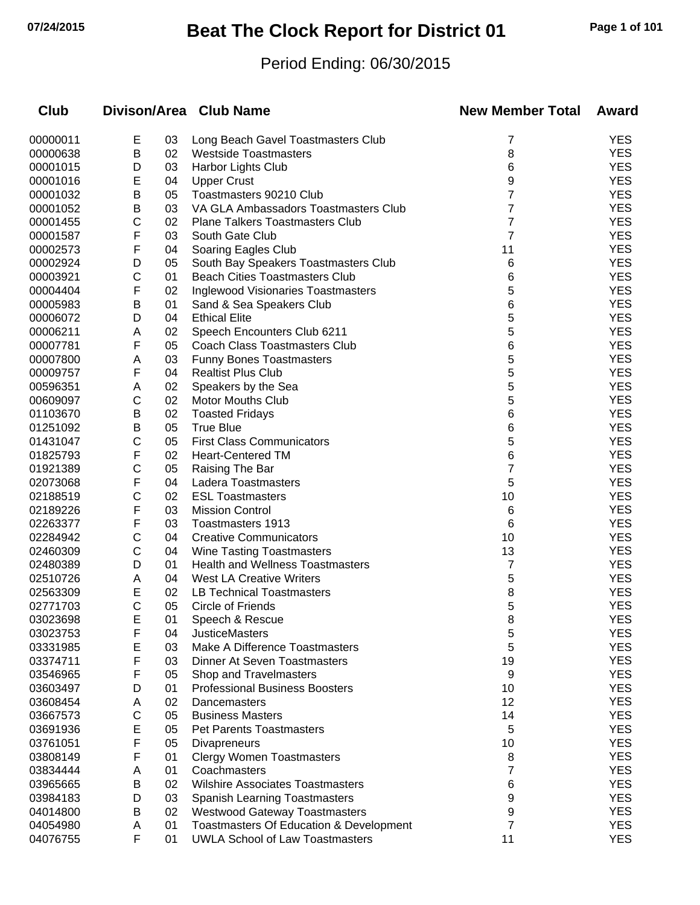# **07/24/2015 Beat The Clock Report for District 01 Page 1 of 101**

### Period Ending: 06/30/2015

| <b>Club</b>          |                   |          | Divison/Area Club Name                                                            | <b>New Member Total</b> | Award                    |
|----------------------|-------------------|----------|-----------------------------------------------------------------------------------|-------------------------|--------------------------|
| 00000011             | Е                 | 03       | Long Beach Gavel Toastmasters Club                                                | 7                       | <b>YES</b>               |
| 00000638             | Β                 | 02       | <b>Westside Toastmasters</b>                                                      | 8                       | <b>YES</b>               |
| 00001015             | D                 | 03       | Harbor Lights Club                                                                | 6                       | <b>YES</b>               |
| 00001016             | E                 | 04       | <b>Upper Crust</b>                                                                | 9                       | <b>YES</b>               |
| 00001032             | Β                 | 05       | Toastmasters 90210 Club                                                           | 7                       | <b>YES</b>               |
| 00001052             | Β                 | 03       | VA GLA Ambassadors Toastmasters Club                                              | 7                       | <b>YES</b>               |
| 00001455             | С                 | 02       | <b>Plane Talkers Toastmasters Club</b>                                            | 7                       | <b>YES</b>               |
| 00001587             | F                 | 03       | South Gate Club                                                                   | $\overline{7}$          | <b>YES</b>               |
| 00002573             | F                 | 04       | Soaring Eagles Club                                                               | 11                      | <b>YES</b>               |
| 00002924             | D                 | 05       | South Bay Speakers Toastmasters Club                                              | 6                       | <b>YES</b>               |
| 00003921             | С                 | 01       | <b>Beach Cities Toastmasters Club</b>                                             | 6                       | <b>YES</b>               |
| 00004404             | F                 | 02       | <b>Inglewood Visionaries Toastmasters</b>                                         | 5                       | <b>YES</b>               |
| 00005983             | В                 | 01       | Sand & Sea Speakers Club                                                          | 6                       | <b>YES</b>               |
| 00006072             | D                 | 04       | <b>Ethical Elite</b>                                                              | 5                       | <b>YES</b>               |
| 00006211             | Α                 | 02       | Speech Encounters Club 6211                                                       | 5                       | <b>YES</b>               |
| 00007781             | F                 | 05       | <b>Coach Class Toastmasters Club</b>                                              | 6                       | <b>YES</b>               |
| 00007800             | Α                 | 03       | <b>Funny Bones Toastmasters</b>                                                   | 5                       | <b>YES</b>               |
| 00009757             | F                 | 04       | <b>Realtist Plus Club</b>                                                         | 5                       | <b>YES</b>               |
| 00596351             | Α                 | 02       | Speakers by the Sea                                                               | 5                       | <b>YES</b>               |
| 00609097             | C                 | 02       | <b>Motor Mouths Club</b>                                                          | 5                       | <b>YES</b>               |
| 01103670             | Β                 | 02       | <b>Toasted Fridays</b>                                                            | 6                       | <b>YES</b>               |
| 01251092             | Β                 | 05       | <b>True Blue</b>                                                                  | 6                       | <b>YES</b>               |
| 01431047             | С                 | 05       | <b>First Class Communicators</b>                                                  | 5                       | <b>YES</b>               |
| 01825793             | F                 | 02       | <b>Heart-Centered TM</b>                                                          | 6                       | <b>YES</b>               |
| 01921389             | С                 | 05       | Raising The Bar                                                                   | 7                       | <b>YES</b>               |
| 02073068             | F                 | 04       | Ladera Toastmasters                                                               | 5                       | <b>YES</b>               |
| 02188519             | С                 | 02       | <b>ESL Toastmasters</b>                                                           | 10                      | <b>YES</b>               |
| 02189226             | F                 | 03       | <b>Mission Control</b>                                                            | 6                       | <b>YES</b>               |
| 02263377             | F                 | 03       | <b>Toastmasters 1913</b>                                                          | 6                       | <b>YES</b>               |
| 02284942             | С                 | 04       | <b>Creative Communicators</b>                                                     | 10                      | <b>YES</b>               |
| 02460309             | C                 | 04       | <b>Wine Tasting Toastmasters</b>                                                  | 13                      | <b>YES</b>               |
| 02480389             | D                 | 01       | <b>Health and Wellness Toastmasters</b>                                           | 7                       | <b>YES</b>               |
| 02510726             | Α                 | 04       | <b>West LA Creative Writers</b>                                                   | 5                       | <b>YES</b>               |
| 02563309             | E<br>$\mathsf{C}$ | 02       | LB Technical Toastmasters                                                         | 8                       | <b>YES</b><br><b>YES</b> |
| 02771703             |                   | 05       | Circle of Friends                                                                 | 5                       |                          |
| 03023698             | ᄂ                 | 01       | Speech & Rescue                                                                   | 8                       | YES<br><b>YES</b>        |
| 03023753             | F                 | 04       | <b>JusticeMasters</b>                                                             | 5                       | <b>YES</b>               |
| 03331985             | E                 | 03       | Make A Difference Toastmasters<br><b>Dinner At Seven Toastmasters</b>             | 5                       | <b>YES</b>               |
| 03374711             | F                 | 03       |                                                                                   | 19                      | <b>YES</b>               |
| 03546965             | F                 | 05       | Shop and Travelmasters<br><b>Professional Business Boosters</b>                   | 9                       | <b>YES</b>               |
| 03603497             | D                 | 01<br>02 |                                                                                   | 10<br>12                | <b>YES</b>               |
| 03608454<br>03667573 | A<br>С            | 05       | Dancemasters<br><b>Business Masters</b>                                           | 14                      | <b>YES</b>               |
|                      |                   |          |                                                                                   |                         | <b>YES</b>               |
| 03691936             | E<br>F            | 05       | <b>Pet Parents Toastmasters</b>                                                   | 5<br>10                 | <b>YES</b>               |
| 03761051<br>03808149 | F                 | 05       | Divapreneurs                                                                      |                         | <b>YES</b>               |
|                      |                   | 01       | <b>Clergy Women Toastmasters</b>                                                  | 8                       | <b>YES</b>               |
| 03834444             | A<br>B            | 01<br>02 | Coachmasters<br><b>Wilshire Associates Toastmasters</b>                           | 7                       | <b>YES</b>               |
| 03965665             |                   |          |                                                                                   | 6                       | <b>YES</b>               |
| 03984183             | D<br>B            | 03       | <b>Spanish Learning Toastmasters</b>                                              | 9                       | <b>YES</b>               |
| 04014800<br>04054980 |                   | 02<br>01 | <b>Westwood Gateway Toastmasters</b>                                              | 9<br>7                  | <b>YES</b>               |
| 04076755             | A<br>F            | 01       | Toastmasters Of Education & Development<br><b>UWLA School of Law Toastmasters</b> | 11                      | <b>YES</b>               |
|                      |                   |          |                                                                                   |                         |                          |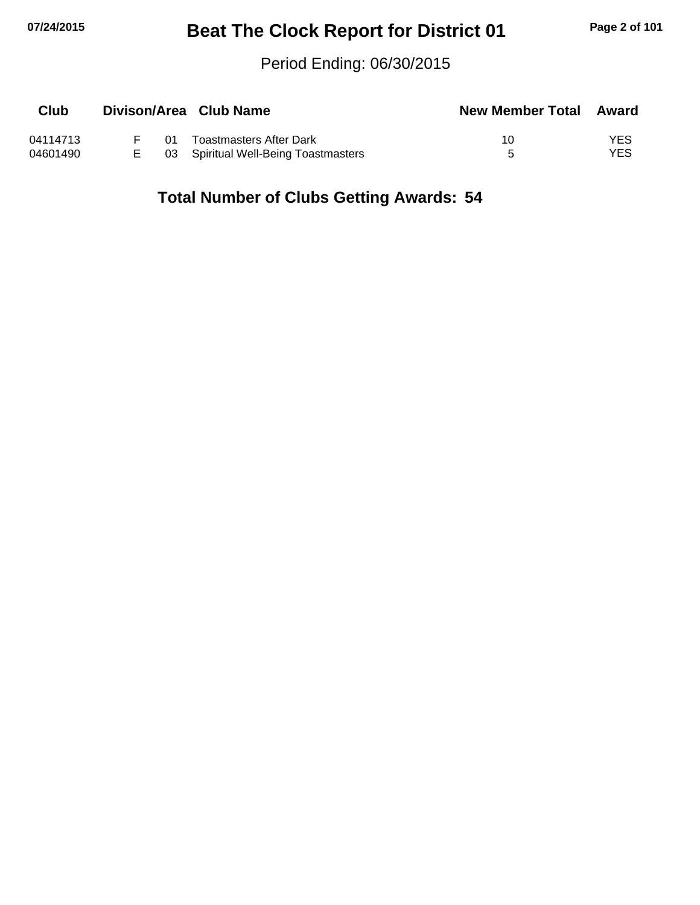## **07/24/2015 Beat The Clock Report for District 01 Page 2 of 101**

#### Period Ending: 06/30/2015

| Club     |    | Divison/Area Club Name               | <b>New Member Total Award</b> |      |
|----------|----|--------------------------------------|-------------------------------|------|
| 04114713 | ሰ1 | Toastmasters After Dark              | 10                            | YES  |
| 04601490 |    | 03 Spiritual Well-Being Toastmasters |                               | YES. |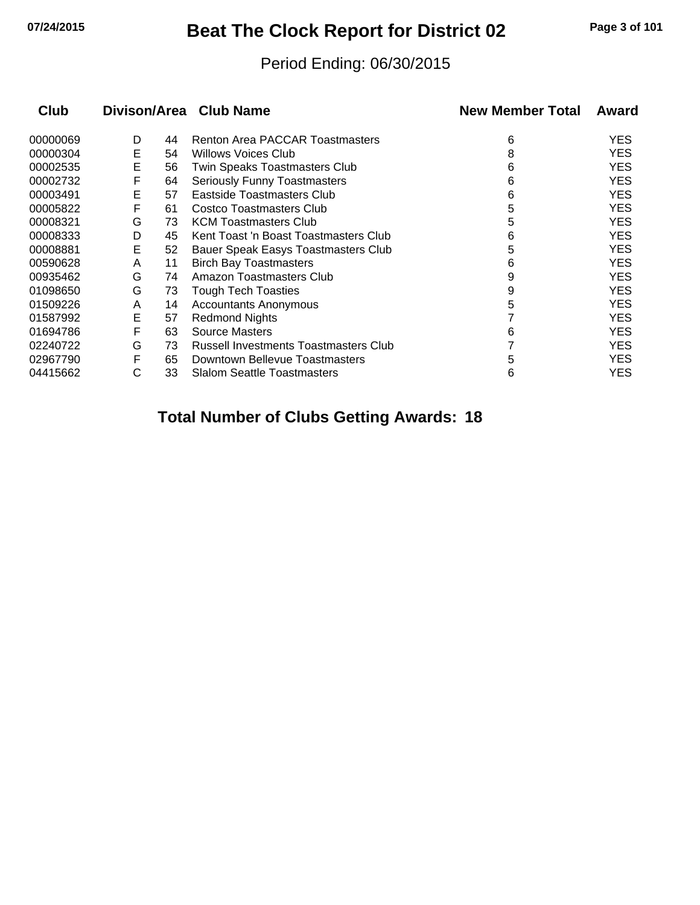## **07/24/2015 Beat The Clock Report for District 02 Page 3 of 101**

#### Period Ending: 06/30/2015

| <b>Club</b> |   |    | Divison/Area Club Name                | <b>New Member Total</b> | Award      |
|-------------|---|----|---------------------------------------|-------------------------|------------|
| 00000069    | D | 44 | Renton Area PACCAR Toastmasters       | 6                       | <b>YES</b> |
| 00000304    | Е | 54 | <b>Willows Voices Club</b>            | 8                       | <b>YES</b> |
| 00002535    | Е | 56 | Twin Speaks Toastmasters Club         | 6                       | <b>YES</b> |
| 00002732    | F | 64 | Seriously Funny Toastmasters          | 6                       | <b>YES</b> |
| 00003491    | E | 57 | Eastside Toastmasters Club            | 6                       | <b>YES</b> |
| 00005822    | F | 61 | <b>Costco Toastmasters Club</b>       | 5                       | <b>YES</b> |
| 00008321    | G | 73 | <b>KCM Toastmasters Club</b>          | 5                       | <b>YES</b> |
| 00008333    | D | 45 | Kent Toast 'n Boast Toastmasters Club | 6                       | <b>YES</b> |
| 00008881    | Е | 52 | Bauer Speak Easys Toastmasters Club   | 5                       | <b>YES</b> |
| 00590628    | A | 11 | <b>Birch Bay Toastmasters</b>         | 6                       | <b>YES</b> |
| 00935462    | G | 74 | Amazon Toastmasters Club              | 9                       | <b>YES</b> |
| 01098650    | G | 73 | <b>Tough Tech Toasties</b>            | 9                       | <b>YES</b> |
| 01509226    | A | 14 | <b>Accountants Anonymous</b>          | 5                       | <b>YES</b> |
| 01587992    | Е | 57 | <b>Redmond Nights</b>                 |                         | <b>YES</b> |
| 01694786    | F | 63 | <b>Source Masters</b>                 | 6                       | <b>YES</b> |
| 02240722    | G | 73 | Russell Investments Toastmasters Club |                         | <b>YES</b> |
| 02967790    | F | 65 | Downtown Bellevue Toastmasters        | 5                       | <b>YES</b> |
| 04415662    | C | 33 | <b>Slalom Seattle Toastmasters</b>    | 6                       | YES        |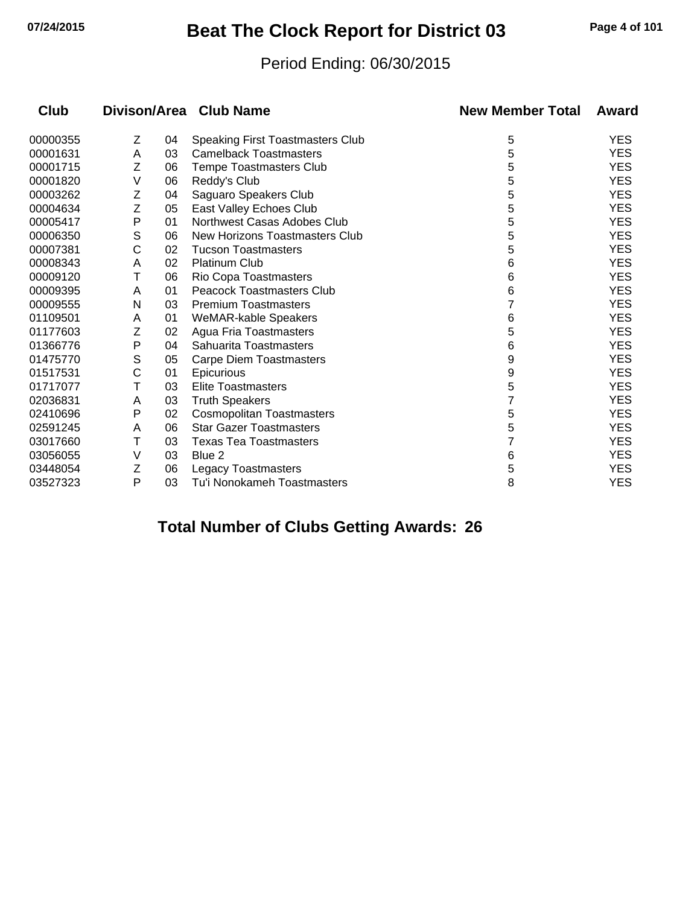## **07/24/2015 Beat The Clock Report for District 03 Page 4 of 101**

#### Period Ending: 06/30/2015

| <b>Club</b> |   |    | Divison/Area Club Name                  | <b>New Member Total</b> | Award      |
|-------------|---|----|-----------------------------------------|-------------------------|------------|
| 00000355    | Ζ | 04 | <b>Speaking First Toastmasters Club</b> | 5                       | <b>YES</b> |
| 00001631    | A | 03 | <b>Camelback Toastmasters</b>           | 5                       | <b>YES</b> |
| 00001715    | Z | 06 | <b>Tempe Toastmasters Club</b>          | 5                       | <b>YES</b> |
| 00001820    | V | 06 | Reddy's Club                            | 5                       | <b>YES</b> |
| 00003262    | Z | 04 | Saguaro Speakers Club                   | 5                       | <b>YES</b> |
| 00004634    | Z | 05 | East Valley Echoes Club                 | 5                       | <b>YES</b> |
| 00005417    | Ρ | 01 | Northwest Casas Adobes Club             | 5                       | <b>YES</b> |
| 00006350    | S | 06 | New Horizons Toastmasters Club          | 5                       | <b>YES</b> |
| 00007381    | С | 02 | <b>Tucson Toastmasters</b>              | 5                       | <b>YES</b> |
| 00008343    | A | 02 | <b>Platinum Club</b>                    | 6                       | <b>YES</b> |
| 00009120    | Τ | 06 | Rio Copa Toastmasters                   | 6                       | <b>YES</b> |
| 00009395    | A | 01 | <b>Peacock Toastmasters Club</b>        | 6                       | <b>YES</b> |
| 00009555    | N | 03 | <b>Premium Toastmasters</b>             |                         | <b>YES</b> |
| 01109501    | A | 01 | WeMAR-kable Speakers                    | 6                       | <b>YES</b> |
| 01177603    | Ζ | 02 | Agua Fria Toastmasters                  | 5                       | <b>YES</b> |
| 01366776    | Ρ | 04 | Sahuarita Toastmasters                  | 6                       | <b>YES</b> |
| 01475770    | S | 05 | <b>Carpe Diem Toastmasters</b>          | 9                       | <b>YES</b> |
| 01517531    | C | 01 | <b>Epicurious</b>                       | 9                       | <b>YES</b> |
| 01717077    | Т | 03 | <b>Elite Toastmasters</b>               | 5                       | <b>YES</b> |
| 02036831    | A | 03 | <b>Truth Speakers</b>                   |                         | <b>YES</b> |
| 02410696    | Ρ | 02 | <b>Cosmopolitan Toastmasters</b>        | 5                       | <b>YES</b> |
| 02591245    | A | 06 | <b>Star Gazer Toastmasters</b>          | 5                       | <b>YES</b> |
| 03017660    | Τ | 03 | <b>Texas Tea Toastmasters</b>           |                         | <b>YES</b> |
| 03056055    | V | 03 | Blue 2                                  | 6                       | <b>YES</b> |
| 03448054    | Z | 06 | <b>Legacy Toastmasters</b>              | 5                       | <b>YES</b> |
| 03527323    | P | 03 | Tu'i Nonokameh Toastmasters             | 8                       | <b>YES</b> |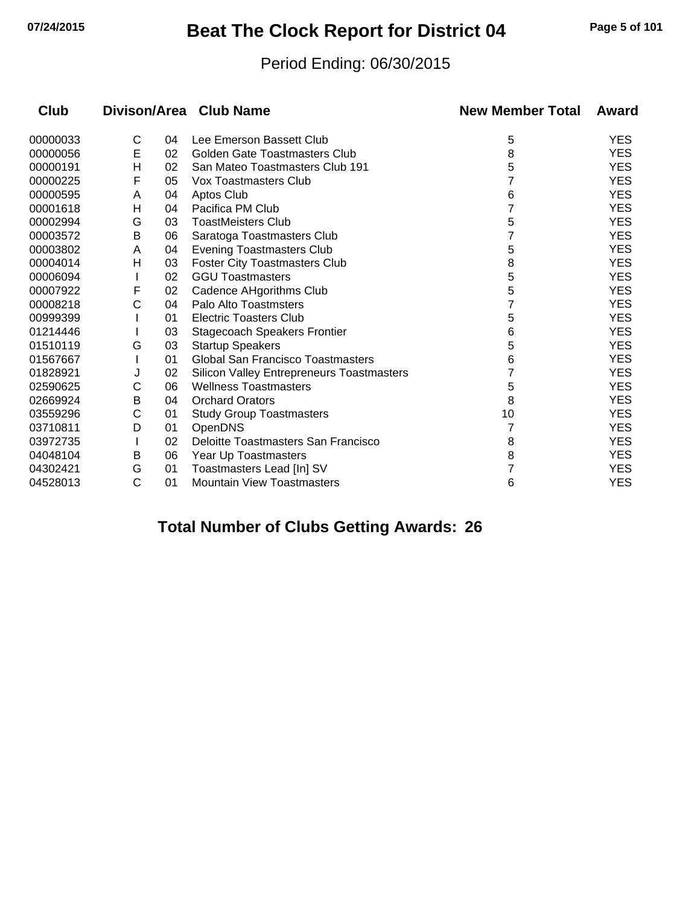## **07/24/2015 Beat The Clock Report for District 04 Page 5 of 101**

#### Period Ending: 06/30/2015

| <b>Club</b> |   |    | Divison/Area Club Name                           | <b>New Member Total</b> | Award      |
|-------------|---|----|--------------------------------------------------|-------------------------|------------|
| 00000033    | C | 04 | Lee Emerson Bassett Club                         | 5                       | <b>YES</b> |
| 00000056    | E | 02 | <b>Golden Gate Toastmasters Club</b>             | 8                       | <b>YES</b> |
| 00000191    | Н | 02 | San Mateo Toastmasters Club 191                  | 5                       | <b>YES</b> |
| 00000225    | F | 05 | Vox Toastmasters Club                            |                         | <b>YES</b> |
| 00000595    | A | 04 | Aptos Club                                       | 6                       | <b>YES</b> |
| 00001618    | н | 04 | Pacifica PM Club                                 | 7                       | <b>YES</b> |
| 00002994    | G | 03 | <b>ToastMeisters Club</b>                        | 5                       | <b>YES</b> |
| 00003572    | Β | 06 | Saratoga Toastmasters Club                       |                         | <b>YES</b> |
| 00003802    | A | 04 | <b>Evening Toastmasters Club</b>                 | 5                       | <b>YES</b> |
| 00004014    | н | 03 | <b>Foster City Toastmasters Club</b>             | 8                       | <b>YES</b> |
| 00006094    |   | 02 | <b>GGU Toastmasters</b>                          | 5                       | <b>YES</b> |
| 00007922    | F | 02 | Cadence AHgorithms Club                          | 5                       | <b>YES</b> |
| 00008218    | С | 04 | Palo Alto Toastmsters                            |                         | <b>YES</b> |
| 00999399    |   | 01 | <b>Electric Toasters Club</b>                    | 5                       | <b>YES</b> |
| 01214446    |   | 03 | <b>Stagecoach Speakers Frontier</b>              | 6                       | <b>YES</b> |
| 01510119    | G | 03 | <b>Startup Speakers</b>                          | 5                       | <b>YES</b> |
| 01567667    |   | 01 | <b>Global San Francisco Toastmasters</b>         | 6                       | <b>YES</b> |
| 01828921    | J | 02 | <b>Silicon Valley Entrepreneurs Toastmasters</b> |                         | <b>YES</b> |
| 02590625    | С | 06 | <b>Wellness Toastmasters</b>                     | 5                       | <b>YES</b> |
| 02669924    | В | 04 | <b>Orchard Orators</b>                           | 8                       | <b>YES</b> |
| 03559296    | C | 01 | <b>Study Group Toastmasters</b>                  | 10                      | <b>YES</b> |
| 03710811    | D | 01 | <b>OpenDNS</b>                                   |                         | <b>YES</b> |
| 03972735    |   | 02 | Deloitte Toastmasters San Francisco              | 8                       | <b>YES</b> |
| 04048104    | B | 06 | Year Up Toastmasters                             | 8                       | <b>YES</b> |
| 04302421    | G | 01 | Toastmasters Lead [In] SV                        |                         | <b>YES</b> |
| 04528013    | C | 01 | <b>Mountain View Toastmasters</b>                | 6                       | <b>YES</b> |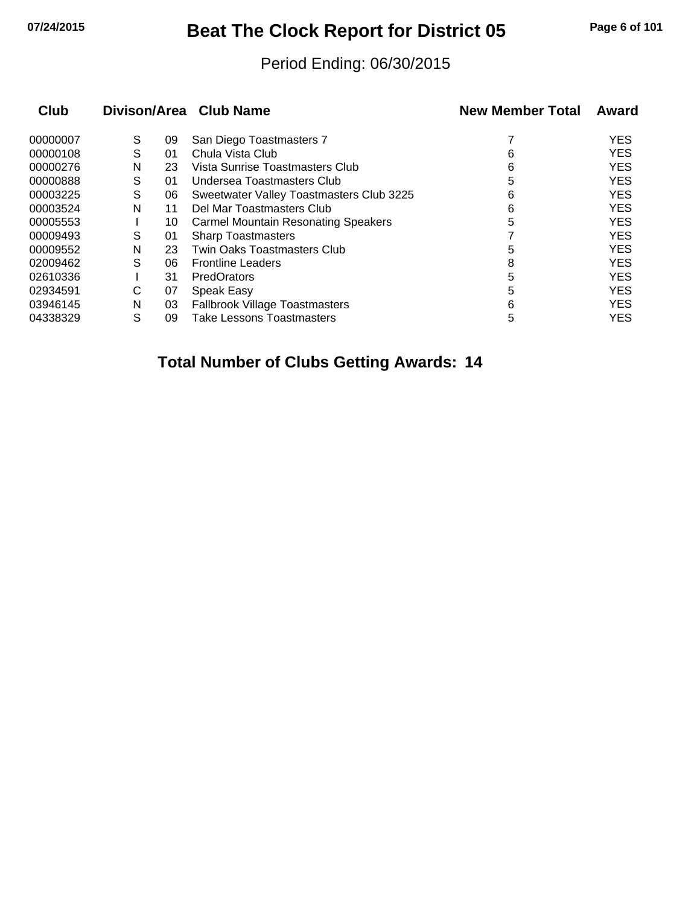## **07/24/2015 Beat The Clock Report for District 05 Page 6 of 101**

#### Period Ending: 06/30/2015

| Club     |   |    | Divison/Area Club Name                     | <b>New Member Total</b> | Award      |
|----------|---|----|--------------------------------------------|-------------------------|------------|
| 00000007 | S | 09 | San Diego Toastmasters 7                   |                         | <b>YES</b> |
| 00000108 | S | 01 | Chula Vista Club                           | 6                       | <b>YES</b> |
| 00000276 | N | 23 | Vista Sunrise Toastmasters Club            | 6                       | <b>YES</b> |
| 00000888 | S | 01 | Undersea Toastmasters Club                 | 5                       | <b>YES</b> |
| 00003225 | S | 06 | Sweetwater Valley Toastmasters Club 3225   | 6                       | <b>YES</b> |
| 00003524 | N | 11 | Del Mar Toastmasters Club                  | 6                       | <b>YES</b> |
| 00005553 |   | 10 | <b>Carmel Mountain Resonating Speakers</b> | 5                       | <b>YES</b> |
| 00009493 | S | 01 | <b>Sharp Toastmasters</b>                  |                         | <b>YES</b> |
| 00009552 | N | 23 | <b>Twin Oaks Toastmasters Club</b>         | 5                       | <b>YES</b> |
| 02009462 | S | 06 | <b>Frontline Leaders</b>                   | 8                       | <b>YES</b> |
| 02610336 |   | 31 | PredOrators                                | 5                       | <b>YES</b> |
| 02934591 | С | 07 | Speak Easy                                 | 5                       | <b>YES</b> |
| 03946145 | N | 03 | <b>Fallbrook Village Toastmasters</b>      | 6                       | <b>YES</b> |
| 04338329 | S | 09 | Take Lessons Toastmasters                  | 5                       | <b>YES</b> |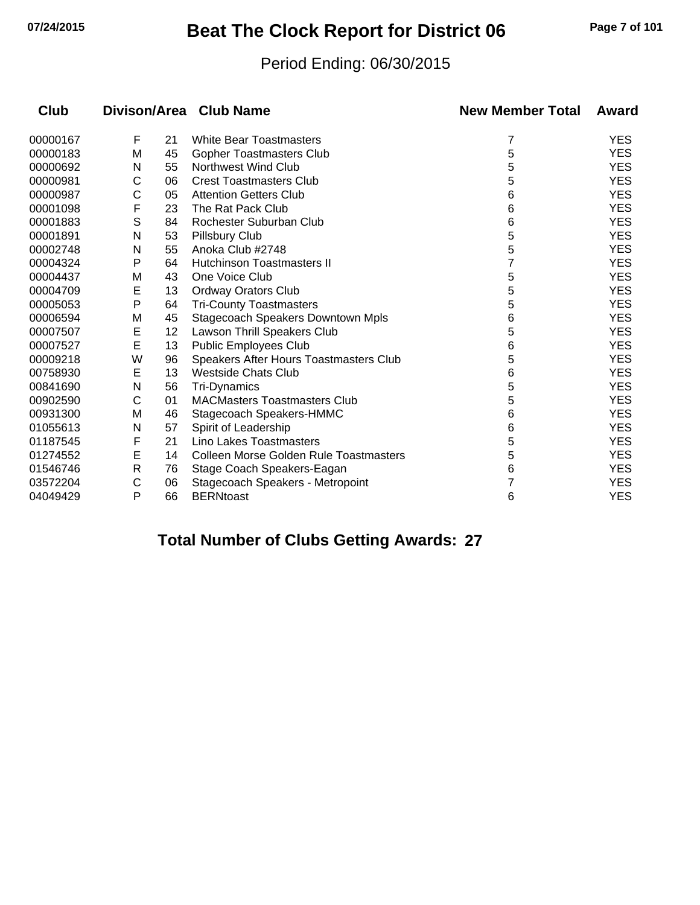## **07/24/2015 Beat The Clock Report for District 06 Page 7 of 101**

#### Period Ending: 06/30/2015

| <b>Club</b> |   |    | Divison/Area Club Name                        | <b>New Member Total</b> | Award      |
|-------------|---|----|-----------------------------------------------|-------------------------|------------|
| 00000167    | F | 21 | <b>White Bear Toastmasters</b>                | 7                       | <b>YES</b> |
| 00000183    | М | 45 | Gopher Toastmasters Club                      | 5                       | <b>YES</b> |
| 00000692    | N | 55 | Northwest Wind Club                           | 5                       | <b>YES</b> |
| 00000981    | С | 06 | <b>Crest Toastmasters Club</b>                | 5                       | <b>YES</b> |
| 00000987    | С | 05 | <b>Attention Getters Club</b>                 | 6                       | <b>YES</b> |
| 00001098    | F | 23 | The Rat Pack Club                             | 6                       | <b>YES</b> |
| 00001883    | S | 84 | Rochester Suburban Club                       | 6                       | <b>YES</b> |
| 00001891    | N | 53 | <b>Pillsbury Club</b>                         | 5                       | <b>YES</b> |
| 00002748    | N | 55 | Anoka Club #2748                              | 5                       | <b>YES</b> |
| 00004324    | P | 64 | <b>Hutchinson Toastmasters II</b>             |                         | <b>YES</b> |
| 00004437    | М | 43 | One Voice Club                                | 5                       | <b>YES</b> |
| 00004709    | E | 13 | <b>Ordway Orators Club</b>                    | 5                       | <b>YES</b> |
| 00005053    | Ρ | 64 | <b>Tri-County Toastmasters</b>                | 5                       | <b>YES</b> |
| 00006594    | M | 45 | Stagecoach Speakers Downtown Mpls             | 6                       | <b>YES</b> |
| 00007507    | E | 12 | Lawson Thrill Speakers Club                   | 5                       | <b>YES</b> |
| 00007527    | E | 13 | <b>Public Employees Club</b>                  | 6                       | <b>YES</b> |
| 00009218    | W | 96 | Speakers After Hours Toastmasters Club        | 5                       | <b>YES</b> |
| 00758930    | Е | 13 | <b>Westside Chats Club</b>                    | 6                       | <b>YES</b> |
| 00841690    | N | 56 | Tri-Dynamics                                  | 5                       | <b>YES</b> |
| 00902590    | С | 01 | <b>MACMasters Toastmasters Club</b>           | 5                       | <b>YES</b> |
| 00931300    | M | 46 | Stagecoach Speakers-HMMC                      | 6                       | <b>YES</b> |
| 01055613    | N | 57 | Spirit of Leadership                          | 6                       | <b>YES</b> |
| 01187545    | F | 21 | Lino Lakes Toastmasters                       | 5                       | <b>YES</b> |
| 01274552    | Е | 14 | <b>Colleen Morse Golden Rule Toastmasters</b> | 5                       | <b>YES</b> |
| 01546746    | R | 76 | Stage Coach Speakers-Eagan                    | 6                       | <b>YES</b> |
| 03572204    | С | 06 | Stagecoach Speakers - Metropoint              |                         | <b>YES</b> |
| 04049429    | Ρ | 66 | <b>BERNtoast</b>                              | 6                       | <b>YES</b> |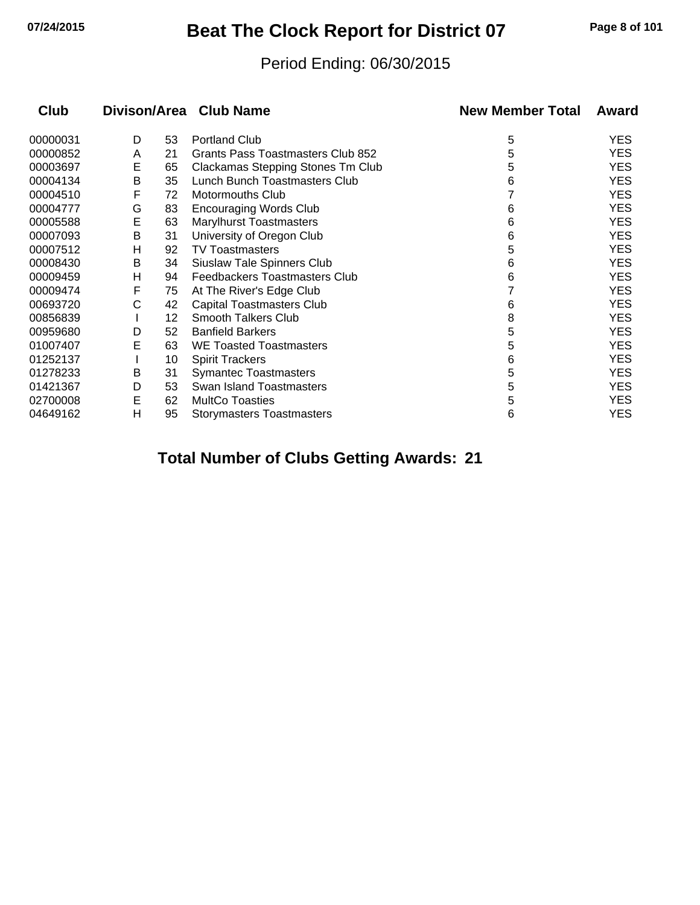## **07/24/2015 Beat The Clock Report for District 07 Page 8 of 101**

#### Period Ending: 06/30/2015

| <b>Club</b> |   |    | Divison/Area Club Name            | <b>New Member Total</b> | Award      |
|-------------|---|----|-----------------------------------|-------------------------|------------|
| 00000031    | D | 53 | <b>Portland Club</b>              | 5                       | YES        |
| 00000852    | Α | 21 | Grants Pass Toastmasters Club 852 | 5                       | <b>YES</b> |
| 00003697    | E | 65 | Clackamas Stepping Stones Tm Club | 5                       | <b>YES</b> |
| 00004134    | Β | 35 | Lunch Bunch Toastmasters Club     | 6                       | YES        |
| 00004510    | F | 72 | <b>Motormouths Club</b>           |                         | <b>YES</b> |
| 00004777    | G | 83 | <b>Encouraging Words Club</b>     | 6                       | YES        |
| 00005588    | E | 63 | <b>Marylhurst Toastmasters</b>    | 6                       | YES        |
| 00007093    | Β | 31 | University of Oregon Club         | 6                       | <b>YES</b> |
| 00007512    | н | 92 | <b>TV Toastmasters</b>            | 5                       | YES        |
| 00008430    | B | 34 | Siuslaw Tale Spinners Club        | 6                       | YES        |
| 00009459    | н | 94 | Feedbackers Toastmasters Club     | 6                       | <b>YES</b> |
| 00009474    | F | 75 | At The River's Edge Club          |                         | YES        |
| 00693720    | С | 42 | Capital Toastmasters Club         | 6                       | <b>YES</b> |
| 00856839    |   | 12 | Smooth Talkers Club               | 8                       | <b>YES</b> |
| 00959680    | D | 52 | <b>Banfield Barkers</b>           | 5                       | YES        |
| 01007407    | E | 63 | <b>WE Toasted Toastmasters</b>    | 5                       | <b>YES</b> |
| 01252137    |   | 10 | <b>Spirit Trackers</b>            | 6                       | YES        |
| 01278233    | B | 31 | <b>Symantec Toastmasters</b>      | 5                       | YES        |
| 01421367    | D | 53 | <b>Swan Island Toastmasters</b>   | 5                       | <b>YES</b> |
| 02700008    | E | 62 | <b>MultCo Toasties</b>            | 5                       | YES        |
| 04649162    | н | 95 | Storymasters Toastmasters         | 6                       | YES        |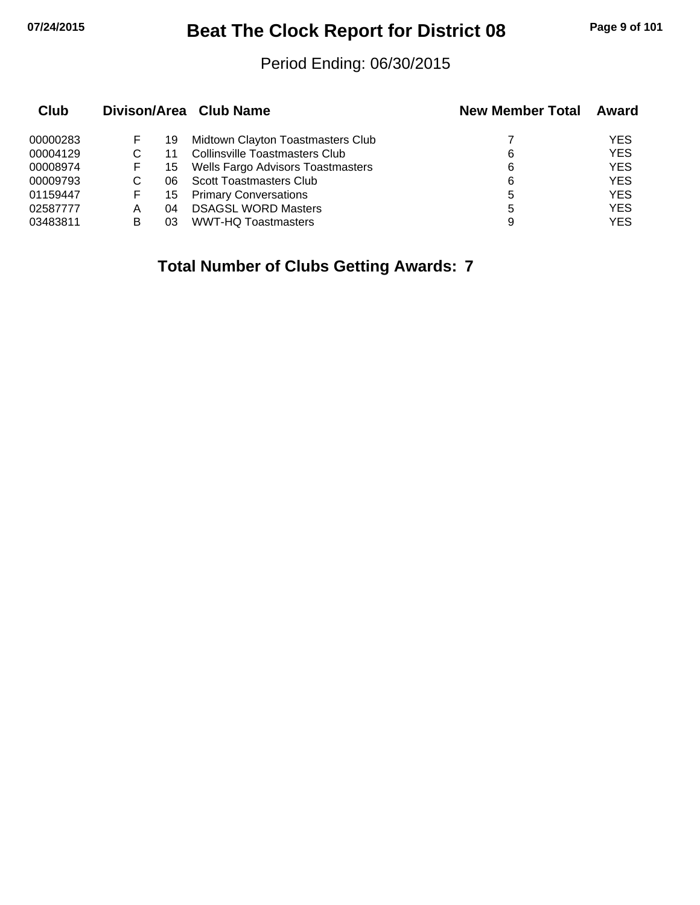## **07/24/2015 Beat The Clock Report for District 08 Page 9 of 101**

#### Period Ending: 06/30/2015

| Club     |   |     | Divison/Area Club Name                | <b>New Member Total</b> | Award      |
|----------|---|-----|---------------------------------------|-------------------------|------------|
| 00000283 | F | 19  | Midtown Clayton Toastmasters Club     |                         | YES        |
| 00004129 |   |     | <b>Collinsville Toastmasters Club</b> | 6                       | <b>YES</b> |
| 00008974 | F | 15  | Wells Fargo Advisors Toastmasters     | 6                       | <b>YES</b> |
| 00009793 |   | 06. | <b>Scott Toastmasters Club</b>        | 6                       | <b>YES</b> |
| 01159447 | F | 15  | <b>Primary Conversations</b>          | 5                       | <b>YES</b> |
| 02587777 | Α | 04  | <b>DSAGSL WORD Masters</b>            | 5                       | <b>YES</b> |
| 03483811 | В | 03  | <b>WWT-HQ Toastmasters</b>            | 9                       | <b>YES</b> |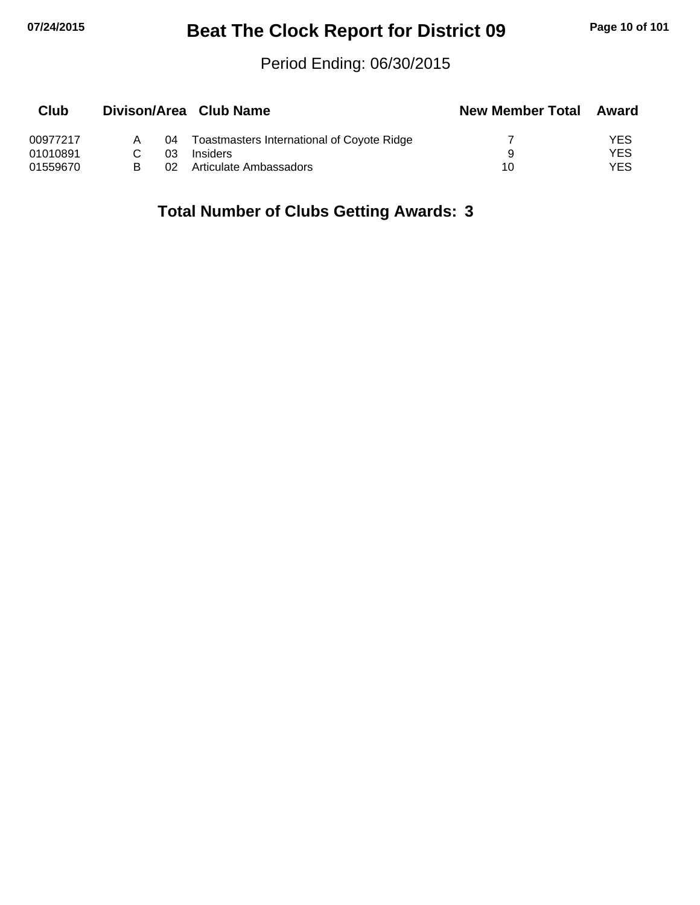# **07/24/2015 Beat The Clock Report for District 09 Page 10 of 101**

#### Period Ending: 06/30/2015

| Club     |    | Divison/Area Club Name                     | <b>New Member Total</b> | Award |
|----------|----|--------------------------------------------|-------------------------|-------|
| 00977217 | 04 | Toastmasters International of Coyote Ridge |                         | YES   |
| 01010891 | በ3 | <b>Insiders</b>                            | a                       | YES   |
| 01559670 | 02 | Articulate Ambassadors                     | 10                      | YES   |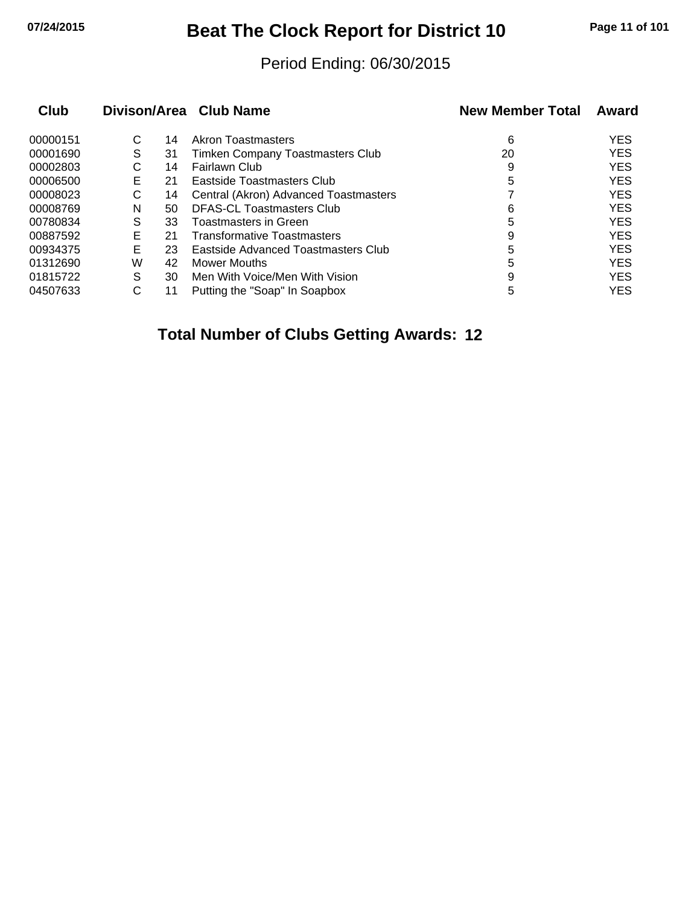## **07/24/2015 Beat The Clock Report for District 10 Page 11 of 101**

#### Period Ending: 06/30/2015

| Club     |   |    | Divison/Area Club Name                | <b>New Member Total</b> | Award      |
|----------|---|----|---------------------------------------|-------------------------|------------|
| 00000151 | С | 14 | <b>Akron Toastmasters</b>             | 6                       | <b>YES</b> |
| 00001690 | S | 31 | Timken Company Toastmasters Club      | 20                      | <b>YES</b> |
| 00002803 | С | 14 | Fairlawn Club                         | 9                       | <b>YES</b> |
| 00006500 | Е | 21 | Eastside Toastmasters Club            | 5                       | <b>YES</b> |
| 00008023 | С | 14 | Central (Akron) Advanced Toastmasters |                         | <b>YES</b> |
| 00008769 | N | 50 | <b>DFAS-CL Toastmasters Club</b>      | 6                       | <b>YES</b> |
| 00780834 | S | 33 | Toastmasters in Green                 | 5                       | <b>YES</b> |
| 00887592 | E | 21 | <b>Transformative Toastmasters</b>    | 9                       | <b>YES</b> |
| 00934375 | Е | 23 | Eastside Advanced Toastmasters Club   | 5                       | <b>YES</b> |
| 01312690 | W | 42 | Mower Mouths                          | 5                       | <b>YES</b> |
| 01815722 | S | 30 | Men With Voice/Men With Vision        | 9                       | <b>YES</b> |
| 04507633 | C | 11 | Putting the "Soap" In Soapbox         | 5                       | <b>YES</b> |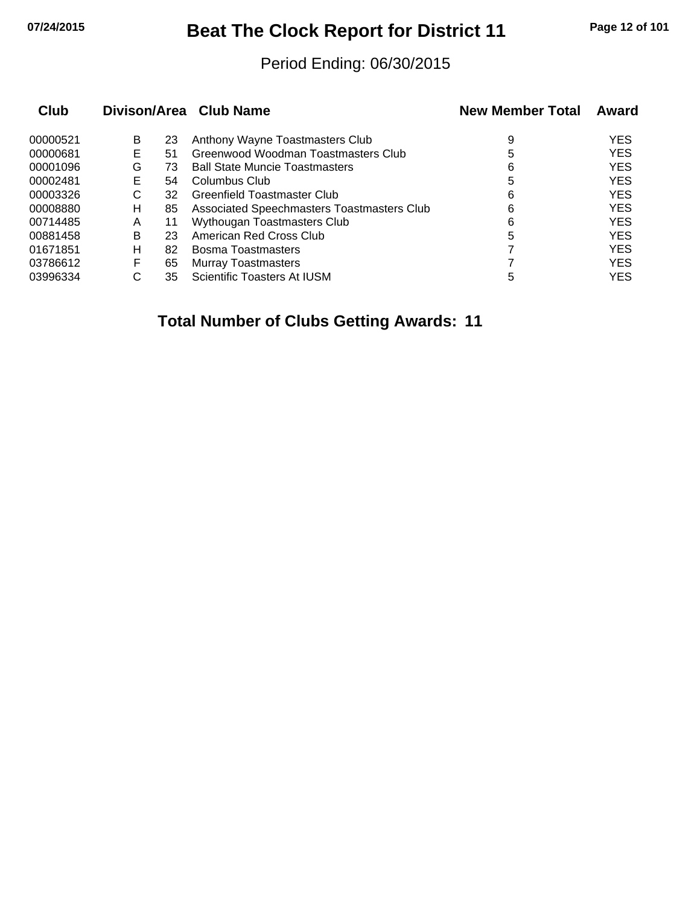## **07/24/2015 Beat The Clock Report for District 11 Page 12 of 101**

#### Period Ending: 06/30/2015

| <b>Club</b> |   |    | Divison/Area Club Name                     | <b>New Member Total</b> | Award      |
|-------------|---|----|--------------------------------------------|-------------------------|------------|
| 00000521    | B | 23 | Anthony Wayne Toastmasters Club            | 9                       | <b>YES</b> |
| 00000681    | Е | 51 | Greenwood Woodman Toastmasters Club        | 5                       | <b>YES</b> |
| 00001096    | G | 73 | <b>Ball State Muncie Toastmasters</b>      | 6                       | <b>YES</b> |
| 00002481    | Е | 54 | Columbus Club                              | 5                       | <b>YES</b> |
| 00003326    | С | 32 | Greenfield Toastmaster Club                | 6                       | <b>YES</b> |
| 00008880    | н | 85 | Associated Speechmasters Toastmasters Club | 6                       | <b>YES</b> |
| 00714485    | A | 11 | Wythougan Toastmasters Club                | 6                       | <b>YES</b> |
| 00881458    | в | 23 | American Red Cross Club                    | 5                       | <b>YES</b> |
| 01671851    | н | 82 | Bosma Toastmasters                         |                         | <b>YES</b> |
| 03786612    | F | 65 | <b>Murray Toastmasters</b>                 |                         | <b>YES</b> |
| 03996334    | С | 35 | Scientific Toasters At IUSM                | 5                       | <b>YES</b> |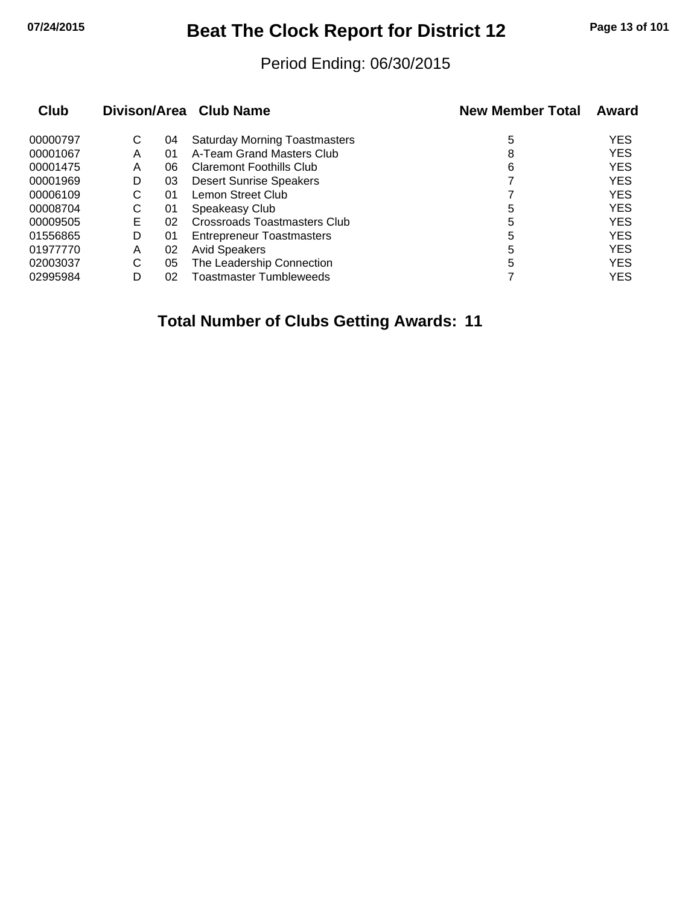## **07/24/2015 Beat The Clock Report for District 12 Page 13 of 101**

#### Period Ending: 06/30/2015

| Club     |   |    | Divison/Area Club Name               | <b>New Member Total</b> | Award      |
|----------|---|----|--------------------------------------|-------------------------|------------|
| 00000797 | С | 04 | <b>Saturday Morning Toastmasters</b> | 5                       | <b>YES</b> |
| 00001067 | Α | 01 | A-Team Grand Masters Club            | 8                       | <b>YES</b> |
| 00001475 | A | 06 | <b>Claremont Foothills Club</b>      | 6                       | <b>YES</b> |
| 00001969 | D | 03 | <b>Desert Sunrise Speakers</b>       |                         | <b>YES</b> |
| 00006109 | С | 01 | Lemon Street Club                    |                         | <b>YES</b> |
| 00008704 | С | 01 | Speakeasy Club                       | 5                       | <b>YES</b> |
| 00009505 | Е | 02 | Crossroads Toastmasters Club         | 5                       | <b>YES</b> |
| 01556865 | D | 01 | <b>Entrepreneur Toastmasters</b>     | 5                       | <b>YES</b> |
| 01977770 | Α | 02 | <b>Avid Speakers</b>                 | 5                       | <b>YES</b> |
| 02003037 | С | 05 | The Leadership Connection            | 5                       | <b>YES</b> |
| 02995984 | D | 02 | <b>Toastmaster Tumbleweeds</b>       |                         | <b>YES</b> |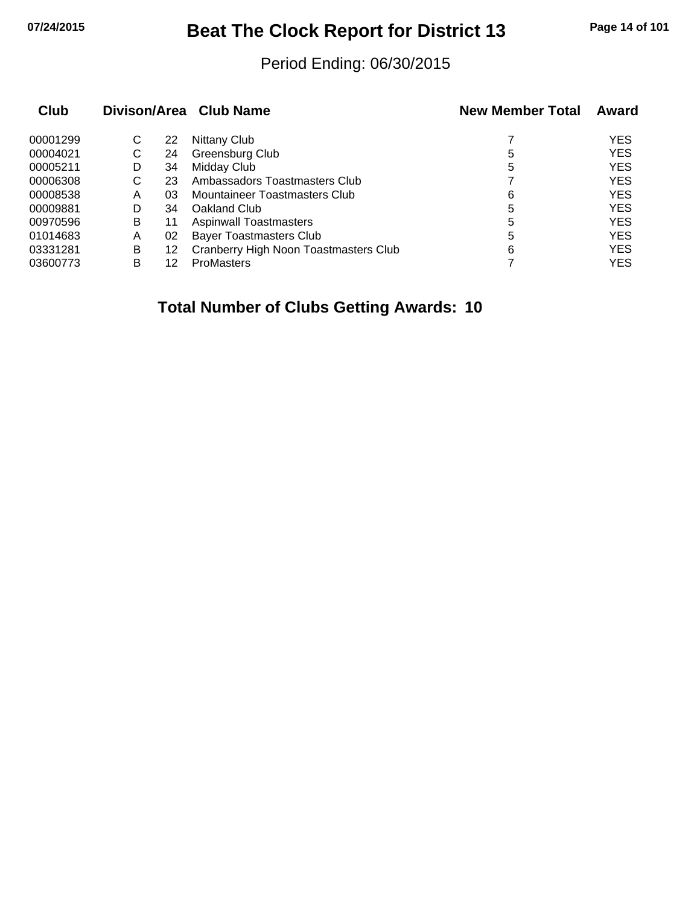## **07/24/2015 Beat The Clock Report for District 13 Page 14 of 101**

#### Period Ending: 06/30/2015

| Club     |   |    | Divison/Area Club Name                | <b>New Member Total</b> | Award      |
|----------|---|----|---------------------------------------|-------------------------|------------|
| 00001299 | С | 22 | <b>Nittany Club</b>                   |                         | <b>YES</b> |
| 00004021 | С | 24 | Greensburg Club                       | 5                       | <b>YES</b> |
| 00005211 | D | 34 | Midday Club                           | 5                       | <b>YES</b> |
| 00006308 | С | 23 | Ambassadors Toastmasters Club         |                         | <b>YES</b> |
| 00008538 | Α | 03 | Mountaineer Toastmasters Club         | 6                       | <b>YES</b> |
| 00009881 | D | 34 | Oakland Club                          | 5                       | <b>YES</b> |
| 00970596 | B | 11 | <b>Aspinwall Toastmasters</b>         | 5                       | <b>YES</b> |
| 01014683 | Α | 02 | <b>Bayer Toastmasters Club</b>        | 5                       | <b>YES</b> |
| 03331281 | B | 12 | Cranberry High Noon Toastmasters Club | 6                       | <b>YES</b> |
| 03600773 | в | 12 | ProMasters                            |                         | <b>YES</b> |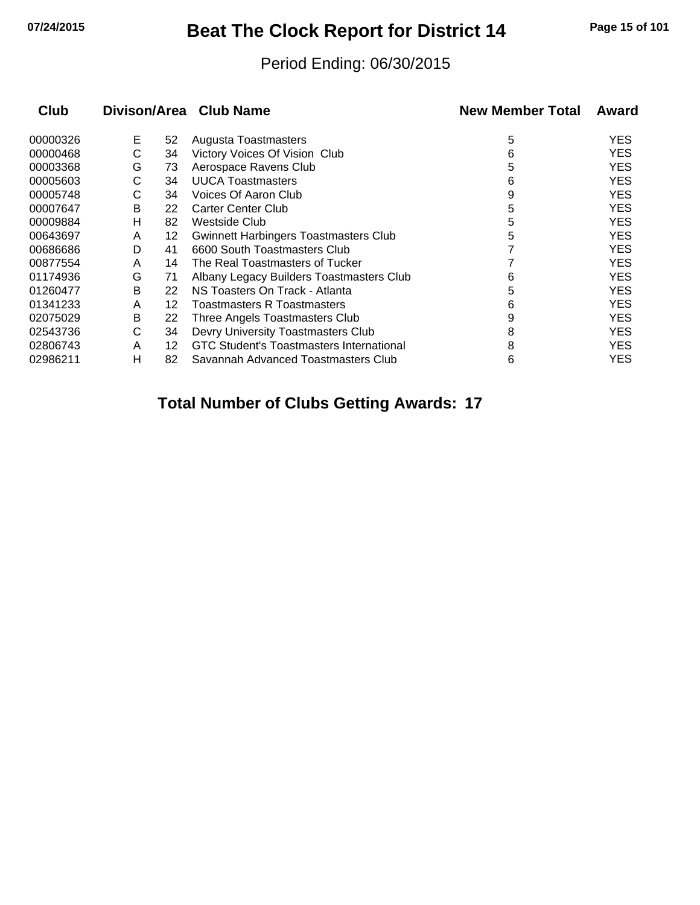## **07/24/2015 Beat The Clock Report for District 14 Page 15 of 101**

#### Period Ending: 06/30/2015

| <b>Club</b> |   |    | Divison/Area Club Name                   | <b>New Member Total</b> | Award      |
|-------------|---|----|------------------------------------------|-------------------------|------------|
| 00000326    | Е | 52 | Augusta Toastmasters                     | 5                       | <b>YES</b> |
| 00000468    | С | 34 | Victory Voices Of Vision Club            | 6                       | <b>YES</b> |
| 00003368    | G | 73 | Aerospace Ravens Club                    | 5                       | <b>YES</b> |
| 00005603    | С | 34 | <b>UUCA Toastmasters</b>                 | 6                       | <b>YES</b> |
| 00005748    | С | 34 | Voices Of Aaron Club                     | 9                       | <b>YES</b> |
| 00007647    | B | 22 | <b>Carter Center Club</b>                | 5                       | <b>YES</b> |
| 00009884    | н | 82 | Westside Club                            | 5                       | <b>YES</b> |
| 00643697    | A | 12 | Gwinnett Harbingers Toastmasters Club    | 5                       | <b>YES</b> |
| 00686686    | D | 41 | 6600 South Toastmasters Club             |                         | <b>YES</b> |
| 00877554    | A | 14 | The Real Toastmasters of Tucker          |                         | <b>YES</b> |
| 01174936    | G | 71 | Albany Legacy Builders Toastmasters Club | 6                       | <b>YES</b> |
| 01260477    | B | 22 | NS Toasters On Track - Atlanta           | 5                       | <b>YES</b> |
| 01341233    | A | 12 | Toastmasters R Toastmasters              | 6                       | <b>YES</b> |
| 02075029    | B | 22 | Three Angels Toastmasters Club           | 9                       | <b>YES</b> |
| 02543736    | С | 34 | Devry University Toastmasters Club       | 8                       | <b>YES</b> |
| 02806743    | A | 12 | GTC Student's Toastmasters International | 8                       | <b>YES</b> |
| 02986211    | н | 82 | Savannah Advanced Toastmasters Club      | 6                       | YES        |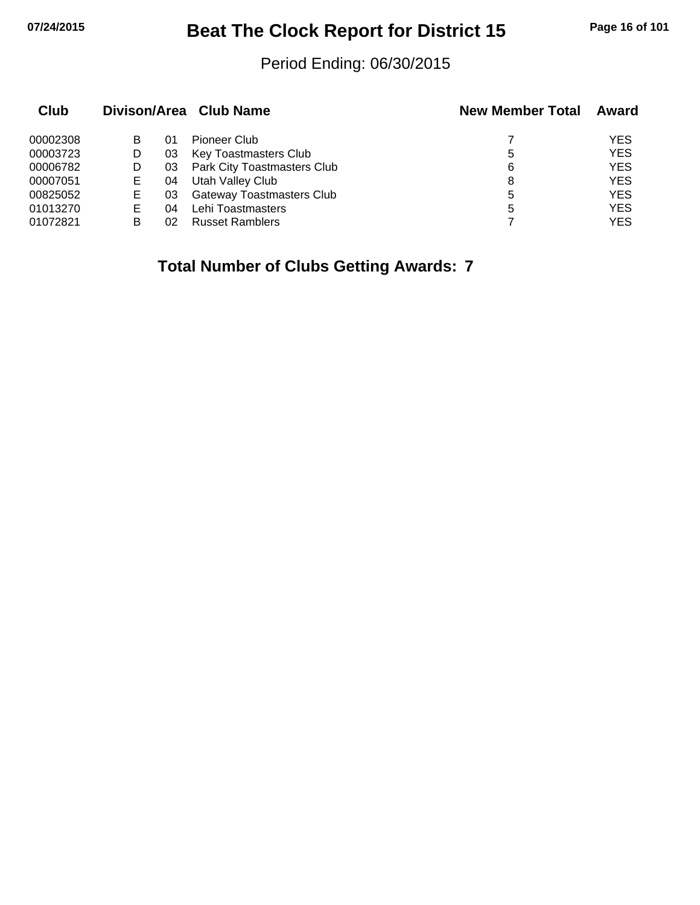## **07/24/2015 Beat The Clock Report for District 15 Page 16 of 101**

#### Period Ending: 06/30/2015

| Club     |    |    | Divison/Area Club Name           | <b>New Member Total</b> | Award      |
|----------|----|----|----------------------------------|-------------------------|------------|
| 00002308 | В  | 01 | Pioneer Club                     |                         | <b>YES</b> |
| 00003723 | D  | 03 | Key Toastmasters Club            | 5                       | <b>YES</b> |
| 00006782 | D  | 03 | Park City Toastmasters Club      | 6                       | <b>YES</b> |
| 00007051 | Е  | 04 | Utah Valley Club                 | 8                       | <b>YES</b> |
| 00825052 | Е  | 03 | <b>Gateway Toastmasters Club</b> | 5                       | <b>YES</b> |
| 01013270 | E. | 04 | Lehi Toastmasters                | 5                       | <b>YES</b> |
| 01072821 | В  | 02 | <b>Russet Ramblers</b>           |                         | YES        |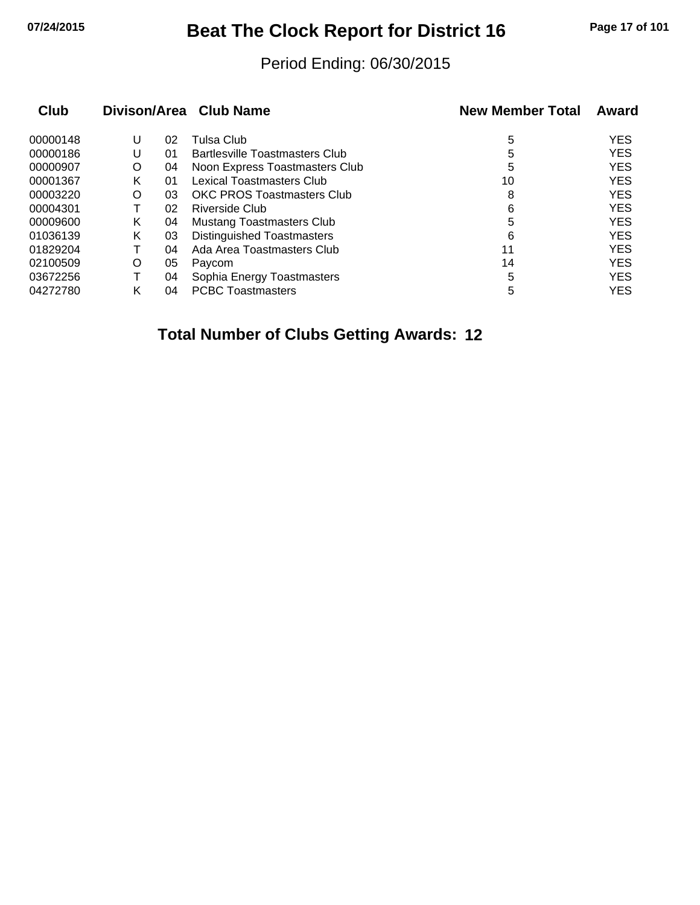## **07/24/2015 Beat The Clock Report for District 16 Page 17 of 101**

#### Period Ending: 06/30/2015

| Club     |   |    | Divison/Area Club Name                | <b>New Member Total</b> | Award      |
|----------|---|----|---------------------------------------|-------------------------|------------|
| 00000148 | U | 02 | Tulsa Club                            | 5                       | <b>YES</b> |
| 00000186 | U | 01 | <b>Bartlesville Toastmasters Club</b> | 5                       | <b>YES</b> |
| 00000907 | O | 04 | Noon Express Toastmasters Club        | 5                       | <b>YES</b> |
| 00001367 | Κ | 01 | <b>Lexical Toastmasters Club</b>      | 10                      | <b>YES</b> |
| 00003220 | O | 03 | <b>OKC PROS Toastmasters Club</b>     | 8                       | <b>YES</b> |
| 00004301 |   | 02 | Riverside Club                        | 6                       | <b>YES</b> |
| 00009600 | Κ | 04 | <b>Mustang Toastmasters Club</b>      | 5                       | <b>YES</b> |
| 01036139 | Κ | 03 | Distinguished Toastmasters            | 6                       | <b>YES</b> |
| 01829204 |   | 04 | Ada Area Toastmasters Club            | 11                      | <b>YES</b> |
| 02100509 | O | 05 | Paycom                                | 14                      | <b>YES</b> |
| 03672256 |   | 04 | Sophia Energy Toastmasters            | 5                       | <b>YES</b> |
| 04272780 | κ | 04 | <b>PCBC Toastmasters</b>              | 5                       | <b>YES</b> |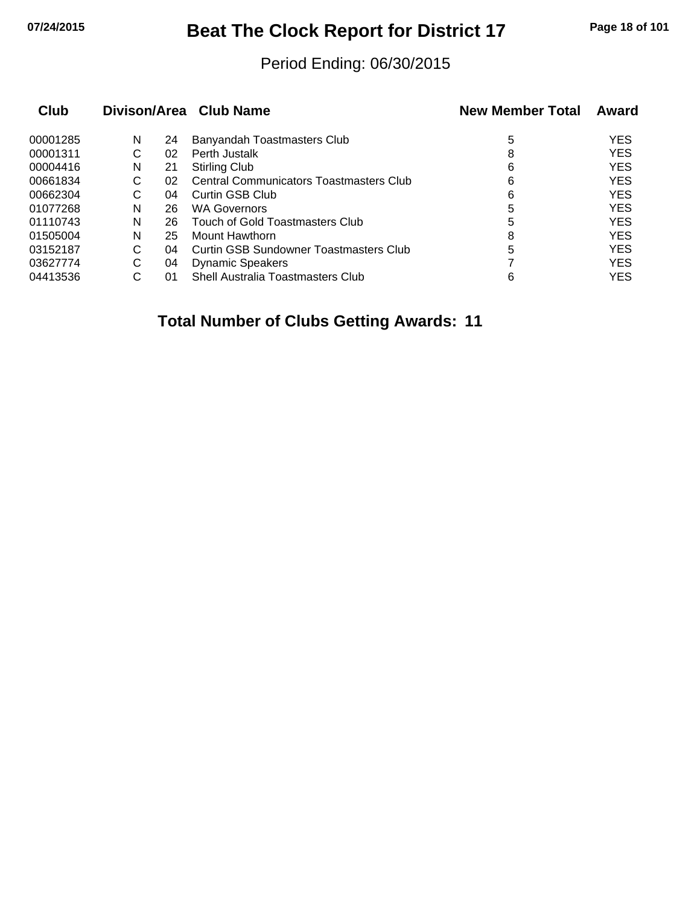## **07/24/2015 Beat The Clock Report for District 17 Page 18 of 101**

#### Period Ending: 06/30/2015

| Club     |   |    | Divison/Area Club Name                         | <b>New Member Total</b> | Award      |
|----------|---|----|------------------------------------------------|-------------------------|------------|
| 00001285 | N | 24 | Banyandah Toastmasters Club                    | 5                       | <b>YES</b> |
| 00001311 | С | 02 | Perth Justalk                                  | 8                       | <b>YES</b> |
| 00004416 | N | 21 | <b>Stirling Club</b>                           | 6                       | <b>YES</b> |
| 00661834 | С | 02 | <b>Central Communicators Toastmasters Club</b> | 6                       | <b>YES</b> |
| 00662304 | С | 04 | Curtin GSB Club                                | 6                       | <b>YES</b> |
| 01077268 | N | 26 | <b>WA Governors</b>                            | 5                       | <b>YES</b> |
| 01110743 | N | 26 | Touch of Gold Toastmasters Club                | 5                       | <b>YES</b> |
| 01505004 | N | 25 | Mount Hawthorn                                 | 8                       | <b>YES</b> |
| 03152187 | C | 04 | Curtin GSB Sundowner Toastmasters Club         | 5                       | <b>YES</b> |
| 03627774 | С | 04 | <b>Dynamic Speakers</b>                        |                         | <b>YES</b> |
| 04413536 | С | 01 | <b>Shell Australia Toastmasters Club</b>       | 6                       | <b>YES</b> |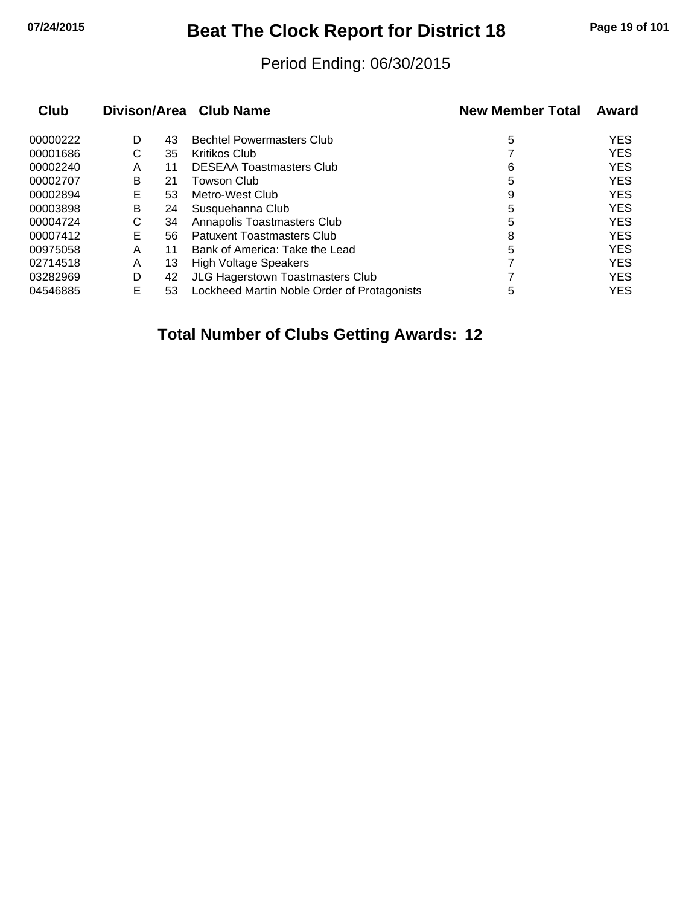## **07/24/2015 Beat The Clock Report for District 18 Page 19 of 101**

#### Period Ending: 06/30/2015

| <b>Club</b> |   |    | Divison/Area Club Name                      | <b>New Member Total</b> | Award      |
|-------------|---|----|---------------------------------------------|-------------------------|------------|
| 00000222    | D | 43 | <b>Bechtel Powermasters Club</b>            | 5                       | <b>YES</b> |
| 00001686    | С | 35 | <b>Kritikos Club</b>                        |                         | <b>YES</b> |
| 00002240    | Α | 11 | <b>DESEAA Toastmasters Club</b>             | 6                       | <b>YES</b> |
| 00002707    | B | 21 | Towson Club                                 | 5                       | <b>YES</b> |
| 00002894    | Е | 53 | Metro-West Club                             | 9                       | <b>YES</b> |
| 00003898    | B | 24 | Susquehanna Club                            | 5                       | <b>YES</b> |
| 00004724    | С | 34 | Annapolis Toastmasters Club                 | 5                       | <b>YES</b> |
| 00007412    | Е | 56 | Patuxent Toastmasters Club                  | 8                       | <b>YES</b> |
| 00975058    | А | 11 | Bank of America: Take the Lead              | 5                       | <b>YES</b> |
| 02714518    | Α | 13 | <b>High Voltage Speakers</b>                |                         | <b>YES</b> |
| 03282969    | D | 42 | <b>JLG Hagerstown Toastmasters Club</b>     |                         | <b>YES</b> |
| 04546885    | E | 53 | Lockheed Martin Noble Order of Protagonists | 5                       | <b>YES</b> |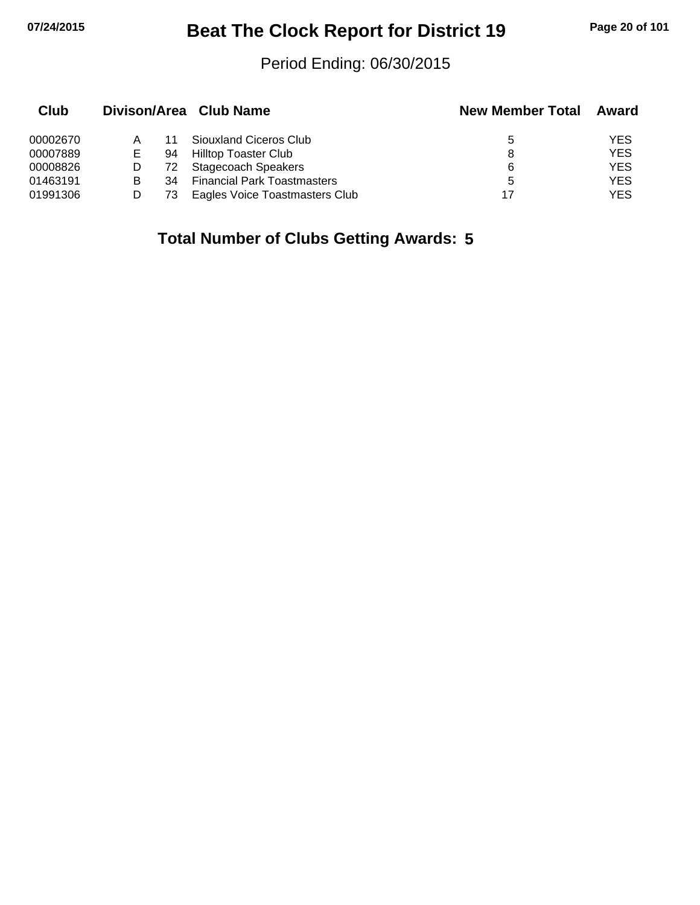# **07/24/2015 Beat The Clock Report for District 19 Page 20 of 101**

#### Period Ending: 06/30/2015

| Club     |   |    | Divison/Area Club Name             | <b>New Member Total</b> | Award      |
|----------|---|----|------------------------------------|-------------------------|------------|
| 00002670 |   |    | Siouxland Ciceros Club             | 5                       | YES        |
| 00007889 | Е | 94 | Hilltop Toaster Club               | 8                       | <b>YES</b> |
| 00008826 |   | 72 | Stagecoach Speakers                | 6                       | <b>YES</b> |
| 01463191 | в | 34 | <b>Financial Park Toastmasters</b> | 5                       | <b>YES</b> |
| 01991306 |   | 73 | Eagles Voice Toastmasters Club     | 17                      | YES        |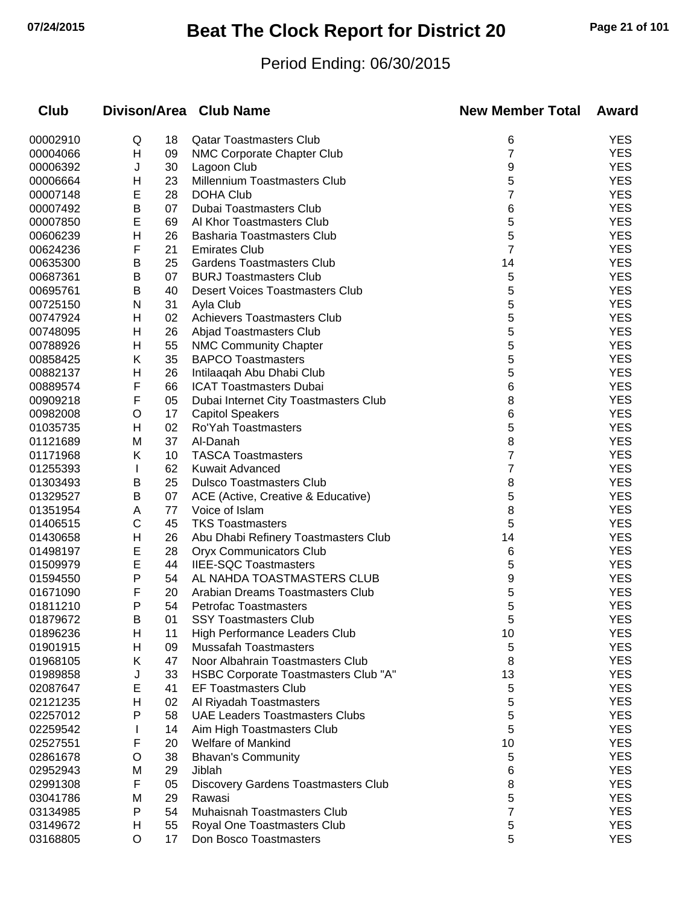# **07/24/2015 Beat The Clock Report for District 20 Page 21 of 101**

### Period Ending: 06/30/2015

| Club     |   |    | Divison/Area Club Name                | <b>New Member Total</b> | Award      |
|----------|---|----|---------------------------------------|-------------------------|------------|
| 00002910 | Q | 18 | <b>Qatar Toastmasters Club</b>        | 6                       | <b>YES</b> |
| 00004066 | Н | 09 | NMC Corporate Chapter Club            | 7                       | <b>YES</b> |
| 00006392 | J | 30 | Lagoon Club                           | 9                       | <b>YES</b> |
| 00006664 | н | 23 | Millennium Toastmasters Club          | 5                       | <b>YES</b> |
| 00007148 | Е | 28 | <b>DOHA Club</b>                      | 7                       | <b>YES</b> |
| 00007492 | Β | 07 | <b>Dubai Toastmasters Club</b>        | 6                       | <b>YES</b> |
| 00007850 | Е | 69 | Al Khor Toastmasters Club             | 5                       | <b>YES</b> |
| 00606239 | Η | 26 | Basharia Toastmasters Club            | 5                       | <b>YES</b> |
| 00624236 | F | 21 | <b>Emirates Club</b>                  | 7                       | <b>YES</b> |
| 00635300 | Β | 25 | <b>Gardens Toastmasters Club</b>      | 14                      | <b>YES</b> |
| 00687361 | Β | 07 | <b>BURJ Toastmasters Club</b>         | 5                       | <b>YES</b> |
| 00695761 | В | 40 | Desert Voices Toastmasters Club       | 5                       | <b>YES</b> |
| 00725150 | N | 31 | Ayla Club                             | 5                       | <b>YES</b> |
| 00747924 | H | 02 | Achievers Toastmasters Club           | 5                       | <b>YES</b> |
| 00748095 | Н | 26 | Abjad Toastmasters Club               | 5                       | <b>YES</b> |
| 00788926 | Н | 55 | <b>NMC Community Chapter</b>          | 5                       | <b>YES</b> |
| 00858425 | Κ | 35 | <b>BAPCO Toastmasters</b>             | 5                       | <b>YES</b> |
| 00882137 | Η | 26 | Intilaaqah Abu Dhabi Club             | 5                       | <b>YES</b> |
| 00889574 | F | 66 | <b>ICAT Toastmasters Dubai</b>        | 6                       | <b>YES</b> |
| 00909218 | F | 05 | Dubai Internet City Toastmasters Club | 8                       | <b>YES</b> |
| 00982008 | O | 17 | <b>Capitol Speakers</b>               | 6                       | <b>YES</b> |
| 01035735 | Η | 02 | Ro'Yah Toastmasters                   | 5                       | <b>YES</b> |
| 01121689 | M | 37 | Al-Danah                              | 8                       | <b>YES</b> |
| 01171968 | Κ | 10 | <b>TASCA Toastmasters</b>             | 7                       | <b>YES</b> |
| 01255393 | L | 62 | Kuwait Advanced                       | 7                       | <b>YES</b> |
| 01303493 | B | 25 | <b>Dulsco Toastmasters Club</b>       | 8                       | <b>YES</b> |
| 01329527 | Β | 07 | ACE (Active, Creative & Educative)    | 5                       | <b>YES</b> |
| 01351954 | A | 77 | Voice of Islam                        | 8                       | <b>YES</b> |
| 01406515 | C | 45 | <b>TKS Toastmasters</b>               | 5                       | <b>YES</b> |
| 01430658 | н | 26 | Abu Dhabi Refinery Toastmasters Club  | 14                      | <b>YES</b> |
| 01498197 | E | 28 | <b>Oryx Communicators Club</b>        | 6                       | <b>YES</b> |
| 01509979 | Е | 44 | <b>IIEE-SQC Toastmasters</b>          | 5                       | <b>YES</b> |
| 01594550 | Ρ | 54 | AL NAHDA TOASTMASTERS CLUB            | 9                       | <b>YES</b> |
| 01671090 | F | 20 | Arabian Dreams Toastmasters Club      | 5                       | <b>YES</b> |
| 01811210 | P | 54 | <b>Petrofac Toastmasters</b>          | 5                       | <b>YES</b> |
| 01879672 | B | 01 | <b>SSY Toastmasters Club</b>          | 5                       | <b>YES</b> |
| 01896236 | H | 11 | <b>High Performance Leaders Club</b>  | 10                      | <b>YES</b> |
| 01901915 | н | 09 | <b>Mussafah Toastmasters</b>          | 5                       | <b>YES</b> |
| 01968105 | Κ | 47 | Noor Albahrain Toastmasters Club      | 8                       | <b>YES</b> |
| 01989858 | J | 33 | HSBC Corporate Toastmasters Club "A"  | 13                      | <b>YES</b> |
| 02087647 | E | 41 | <b>EF Toastmasters Club</b>           | 5                       | <b>YES</b> |
| 02121235 | н | 02 | Al Riyadah Toastmasters               | 5                       | <b>YES</b> |
| 02257012 | P | 58 | <b>UAE Leaders Toastmasters Clubs</b> | 5                       | <b>YES</b> |
| 02259542 |   | 14 | Aim High Toastmasters Club            | 5                       | <b>YES</b> |
| 02527551 | F | 20 | <b>Welfare of Mankind</b>             | 10                      | <b>YES</b> |
| 02861678 | O | 38 | <b>Bhavan's Community</b>             | 5                       | <b>YES</b> |
| 02952943 | M | 29 | Jiblah                                | 6                       | <b>YES</b> |
| 02991308 | F | 05 | Discovery Gardens Toastmasters Club   | 8                       | <b>YES</b> |
| 03041786 | M | 29 | Rawasi                                | 5                       | <b>YES</b> |
| 03134985 | P | 54 | Muhaisnah Toastmasters Club           | 7                       | <b>YES</b> |
| 03149672 | H | 55 | Royal One Toastmasters Club           | 5                       | <b>YES</b> |
| 03168805 | O | 17 | Don Bosco Toastmasters                | 5                       | <b>YES</b> |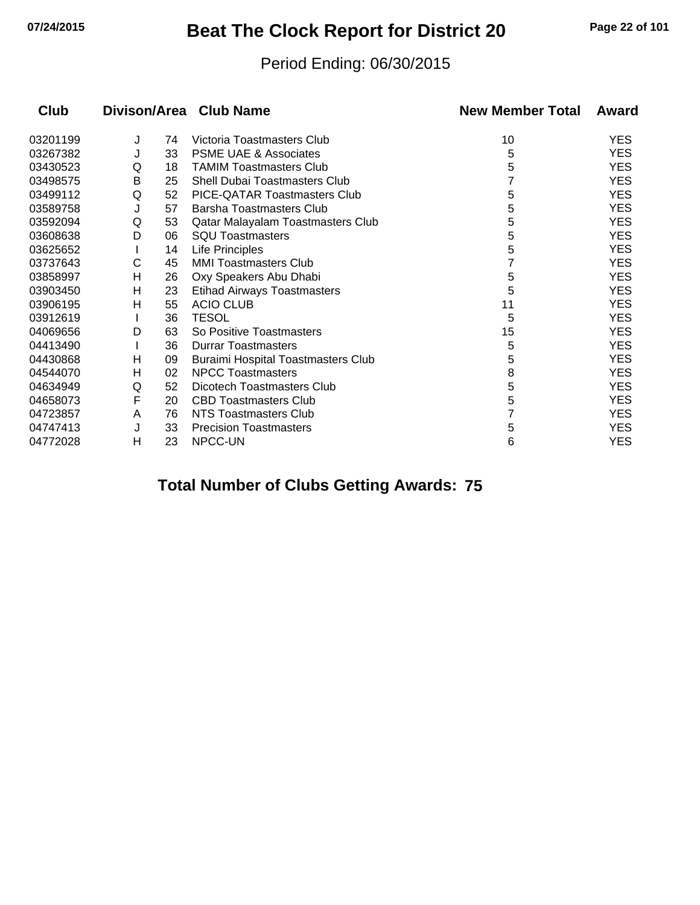## **07/24/2015 Beat The Clock Report for District 20 Page 22 of 101**

#### Period Ending: 06/30/2015

| <b>Club</b> |   |    | Divison/Area Club Name                    | <b>New Member Total</b> | Award      |
|-------------|---|----|-------------------------------------------|-------------------------|------------|
| 03201199    | J | 74 | Victoria Toastmasters Club                | 10                      | <b>YES</b> |
| 03267382    | J | 33 | <b>PSME UAE &amp; Associates</b>          | 5                       | <b>YES</b> |
| 03430523    | Q | 18 | <b>TAMIM Toastmasters Club</b>            | 5                       | <b>YES</b> |
| 03498575    | Β | 25 | <b>Shell Dubai Toastmasters Club</b>      |                         | <b>YES</b> |
| 03499112    | Q | 52 | PICE-QATAR Toastmasters Club              | 5                       | <b>YES</b> |
| 03589758    | J | 57 | <b>Barsha Toastmasters Club</b>           | 5                       | <b>YES</b> |
| 03592094    | Q | 53 | Qatar Malayalam Toastmasters Club         | 5                       | <b>YES</b> |
| 03608638    | D | 06 | <b>SQU Toastmasters</b>                   | 5                       | <b>YES</b> |
| 03625652    |   | 14 | Life Principles                           | 5                       | <b>YES</b> |
| 03737643    | С | 45 | <b>MMI Toastmasters Club</b>              |                         | <b>YES</b> |
| 03858997    | Η | 26 | Oxy Speakers Abu Dhabi                    | 5                       | <b>YES</b> |
| 03903450    | н | 23 | <b>Etihad Airways Toastmasters</b>        | 5                       | <b>YES</b> |
| 03906195    | н | 55 | <b>ACIO CLUB</b>                          | 11                      | <b>YES</b> |
| 03912619    |   | 36 | <b>TESOL</b>                              | 5                       | <b>YES</b> |
| 04069656    | D | 63 | So Positive Toastmasters                  | 15                      | <b>YES</b> |
| 04413490    |   | 36 | <b>Durrar Toastmasters</b>                | 5                       | <b>YES</b> |
| 04430868    | н | 09 | <b>Buraimi Hospital Toastmasters Club</b> | 5                       | <b>YES</b> |
| 04544070    | н | 02 | <b>NPCC Toastmasters</b>                  | 8                       | <b>YES</b> |
| 04634949    | Q | 52 | Dicotech Toastmasters Club                | 5                       | <b>YES</b> |
| 04658073    | F | 20 | <b>CBD Toastmasters Club</b>              | 5                       | <b>YES</b> |
| 04723857    | Α | 76 | NTS Toastmasters Club                     |                         | <b>YES</b> |
| 04747413    | J | 33 | <b>Precision Toastmasters</b>             | 5                       | <b>YES</b> |
| 04772028    | н | 23 | NPCC-UN                                   | 6                       | <b>YES</b> |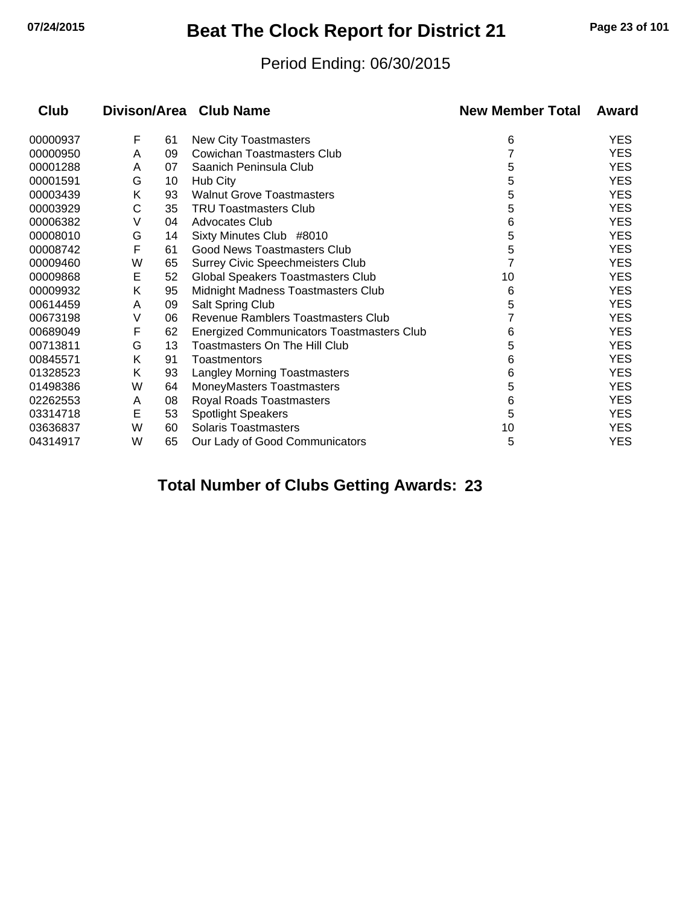## **07/24/2015 Beat The Clock Report for District 21 Page 23 of 101**

#### Period Ending: 06/30/2015

| Club     | Divison/Area |    | <b>Club Name</b>                          | <b>New Member Total</b> | Award      |
|----------|--------------|----|-------------------------------------------|-------------------------|------------|
| 00000937 | F            | 61 | New City Toastmasters                     | 6                       | <b>YES</b> |
| 00000950 | Α            | 09 | Cowichan Toastmasters Club                |                         | <b>YES</b> |
| 00001288 | A            | 07 | Saanich Peninsula Club                    | 5                       | <b>YES</b> |
| 00001591 | G            | 10 | Hub City                                  | 5                       | <b>YES</b> |
| 00003439 | Κ            | 93 | <b>Walnut Grove Toastmasters</b>          | 5                       | <b>YES</b> |
| 00003929 | С            | 35 | <b>TRU Toastmasters Club</b>              | 5                       | <b>YES</b> |
| 00006382 | V            | 04 | Advocates Club                            | 6                       | <b>YES</b> |
| 00008010 | G            | 14 | Sixty Minutes Club #8010                  | 5                       | <b>YES</b> |
| 00008742 | F            | 61 | Good News Toastmasters Club               | 5                       | <b>YES</b> |
| 00009460 | W            | 65 | <b>Surrey Civic Speechmeisters Club</b>   |                         | <b>YES</b> |
| 00009868 | E            | 52 | Global Speakers Toastmasters Club         | 10                      | <b>YES</b> |
| 00009932 | Κ            | 95 | Midnight Madness Toastmasters Club        | 6                       | <b>YES</b> |
| 00614459 | Α            | 09 | Salt Spring Club                          | 5                       | <b>YES</b> |
| 00673198 | V            | 06 | Revenue Ramblers Toastmasters Club        |                         | <b>YES</b> |
| 00689049 | F            | 62 | Energized Communicators Toastmasters Club | 6                       | <b>YES</b> |
| 00713811 | G            | 13 | <b>Toastmasters On The Hill Club</b>      | 5                       | <b>YES</b> |
| 00845571 | Κ            | 91 | Toastmentors                              | 6                       | <b>YES</b> |
| 01328523 | Κ            | 93 | <b>Langley Morning Toastmasters</b>       | 6                       | <b>YES</b> |
| 01498386 | W            | 64 | MoneyMasters Toastmasters                 | 5                       | <b>YES</b> |
| 02262553 | A            | 08 | Royal Roads Toastmasters                  | 6                       | <b>YES</b> |
| 03314718 | E            | 53 | <b>Spotlight Speakers</b>                 | 5                       | <b>YES</b> |
| 03636837 | W            | 60 | <b>Solaris Toastmasters</b>               | 10                      | <b>YES</b> |
| 04314917 | W            | 65 | Our Lady of Good Communicators            | 5                       | <b>YES</b> |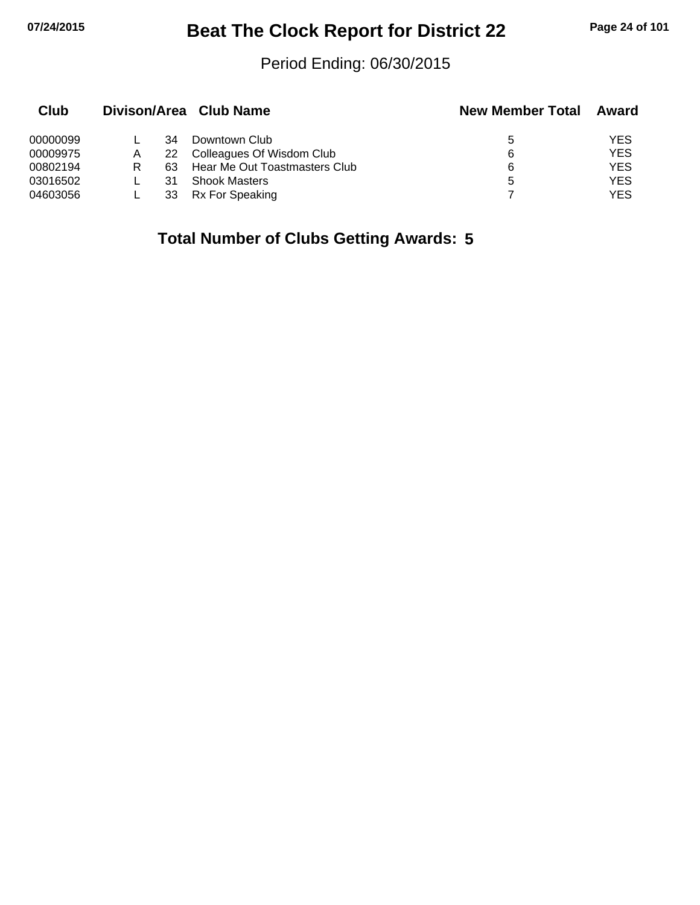## **07/24/2015 Beat The Clock Report for District 22 Page 24 of 101**

#### Period Ending: 06/30/2015

| Club     |   |    | Divison/Area Club Name        | <b>New Member Total</b> | Award      |
|----------|---|----|-------------------------------|-------------------------|------------|
| 00000099 |   | 34 | Downtown Club                 | 5                       | YES.       |
| 00009975 | A | 22 | Colleagues Of Wisdom Club     | 6                       | <b>YES</b> |
| 00802194 | R | 63 | Hear Me Out Toastmasters Club | 6                       | YES.       |
| 03016502 |   | 31 | <b>Shook Masters</b>          | 5                       | <b>YES</b> |
| 04603056 |   | 33 | Rx For Speaking               |                         | <b>YES</b> |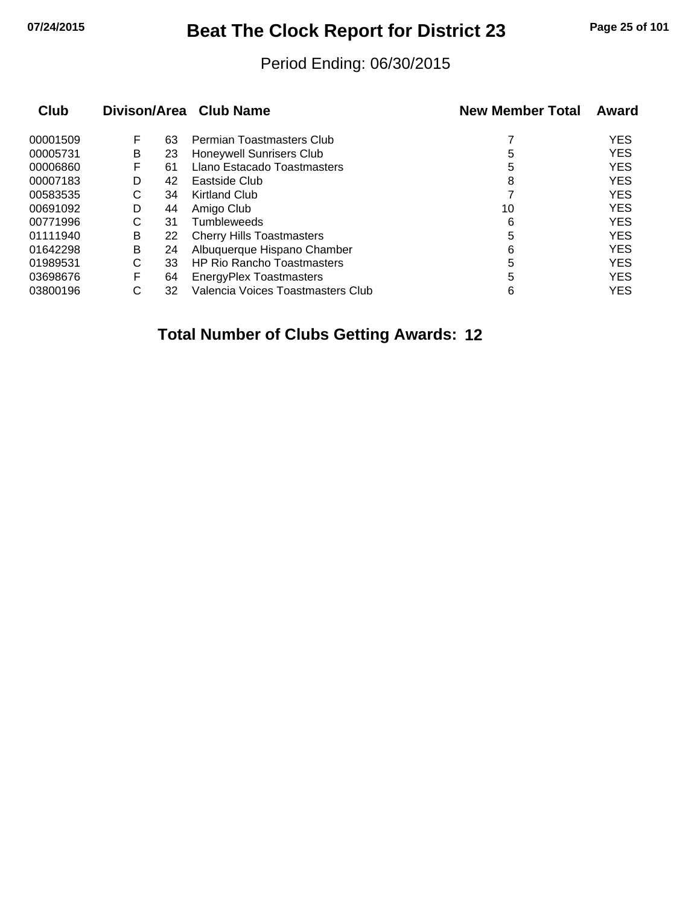## **07/24/2015 Beat The Clock Report for District 23 Page 25 of 101**

#### Period Ending: 06/30/2015

| <b>Club</b> |   |    | Divison/Area Club Name            | <b>New Member Total</b> | Award      |
|-------------|---|----|-----------------------------------|-------------------------|------------|
| 00001509    | F | 63 | Permian Toastmasters Club         |                         | <b>YES</b> |
| 00005731    | B | 23 | <b>Honeywell Sunrisers Club</b>   | 5                       | <b>YES</b> |
| 00006860    | F | 61 | Llano Estacado Toastmasters       | 5                       | <b>YES</b> |
| 00007183    | D | 42 | Eastside Club                     | 8                       | <b>YES</b> |
| 00583535    | С | 34 | Kirtland Club                     |                         | <b>YES</b> |
| 00691092    | D | 44 | Amigo Club                        | 10                      | <b>YES</b> |
| 00771996    | С | 31 | <b>Tumbleweeds</b>                | 6                       | <b>YES</b> |
| 01111940    | B | 22 | <b>Cherry Hills Toastmasters</b>  | 5                       | <b>YES</b> |
| 01642298    | В | 24 | Albuquerque Hispano Chamber       | 6                       | <b>YES</b> |
| 01989531    | С | 33 | <b>HP Rio Rancho Toastmasters</b> | 5                       | <b>YES</b> |
| 03698676    | F | 64 | <b>EnergyPlex Toastmasters</b>    | 5                       | <b>YES</b> |
| 03800196    | С | 32 | Valencia Voices Toastmasters Club | 6                       | <b>YES</b> |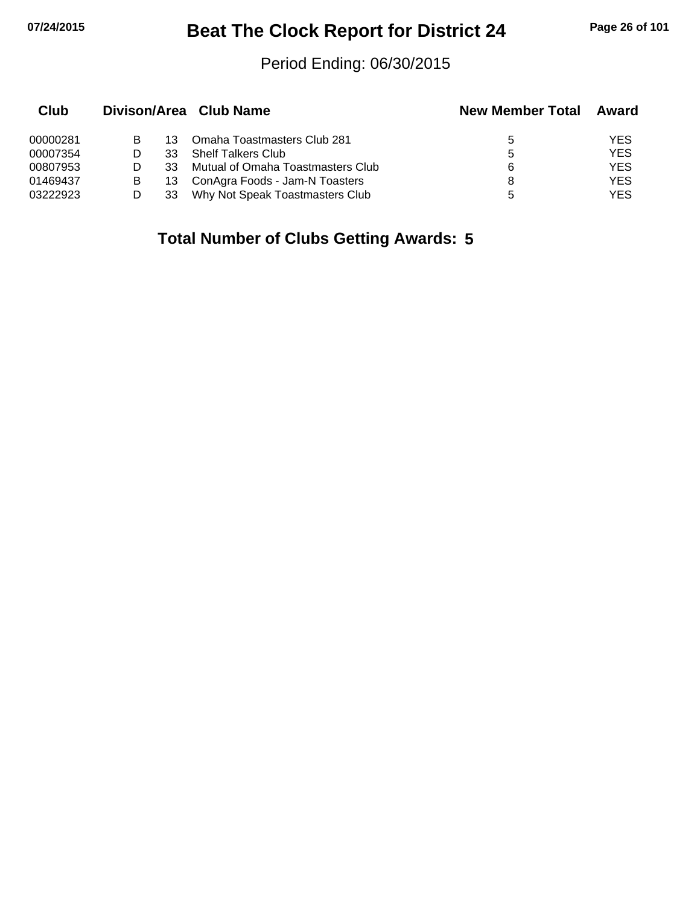## **07/24/2015 Beat The Clock Report for District 24 Page 26 of 101**

#### Period Ending: 06/30/2015

| Club     |   |    | Divison/Area Club Name            | <b>New Member Total</b> | Award      |
|----------|---|----|-----------------------------------|-------------------------|------------|
| 00000281 |   | 13 | Omaha Toastmasters Club 281       | 5                       | YES        |
| 00007354 |   | 33 | <b>Shelf Talkers Club</b>         | 5                       | <b>YES</b> |
| 00807953 |   | 33 | Mutual of Omaha Toastmasters Club | 6                       | <b>YES</b> |
| 01469437 | B | 13 | ConAgra Foods - Jam-N Toasters    | 8                       | <b>YES</b> |
| 03222923 |   |    | Why Not Speak Toastmasters Club   | 5                       | YES        |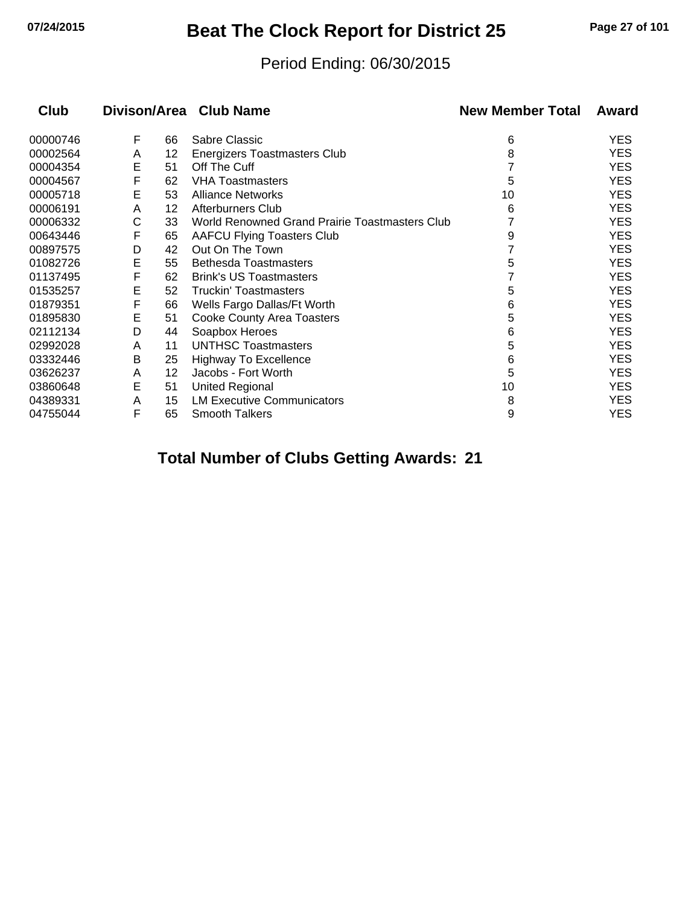## **07/24/2015 Beat The Clock Report for District 25 Page 27 of 101**

#### Period Ending: 06/30/2015

| Club     |   |    | Divison/Area Club Name                         | <b>New Member Total</b> | Award      |
|----------|---|----|------------------------------------------------|-------------------------|------------|
| 00000746 | F | 66 | Sabre Classic                                  | 6                       | YES        |
| 00002564 | A | 12 | Energizers Toastmasters Club                   | 8                       | <b>YES</b> |
| 00004354 | E | 51 | Off The Cuff                                   |                         | YES        |
| 00004567 | F | 62 | <b>VHA Toastmasters</b>                        | 5                       | <b>YES</b> |
| 00005718 | E | 53 | <b>Alliance Networks</b>                       | 10                      | YES        |
| 00006191 | A | 12 | Afterburners Club                              | 6                       | <b>YES</b> |
| 00006332 | С | 33 | World Renowned Grand Prairie Toastmasters Club |                         | YES        |
| 00643446 | F | 65 | <b>AAFCU Flying Toasters Club</b>              | 9                       | <b>YES</b> |
| 00897575 | D | 42 | Out On The Town                                |                         | YES        |
| 01082726 | E | 55 | <b>Bethesda Toastmasters</b>                   | 5                       | YES        |
| 01137495 | F | 62 | <b>Brink's US Toastmasters</b>                 |                         | YES        |
| 01535257 | E | 52 | <b>Truckin' Toastmasters</b>                   | 5                       | YES        |
| 01879351 | F | 66 | Wells Fargo Dallas/Ft Worth                    | 6                       | <b>YES</b> |
| 01895830 | Е | 51 | <b>Cooke County Area Toasters</b>              | 5                       | YES        |
| 02112134 | D | 44 | Soapbox Heroes                                 | 6                       | YES        |
| 02992028 | A | 11 | <b>UNTHSC Toastmasters</b>                     | 5                       | YES        |
| 03332446 | B | 25 | <b>Highway To Excellence</b>                   | 6                       | YES        |
| 03626237 | A | 12 | Jacobs - Fort Worth                            | 5                       | YES        |
| 03860648 | E | 51 | <b>United Regional</b>                         | 10                      | <b>YES</b> |
| 04389331 | A | 15 | <b>LM Executive Communicators</b>              | 8                       | YES        |
| 04755044 | F | 65 | <b>Smooth Talkers</b>                          | 9                       | <b>YES</b> |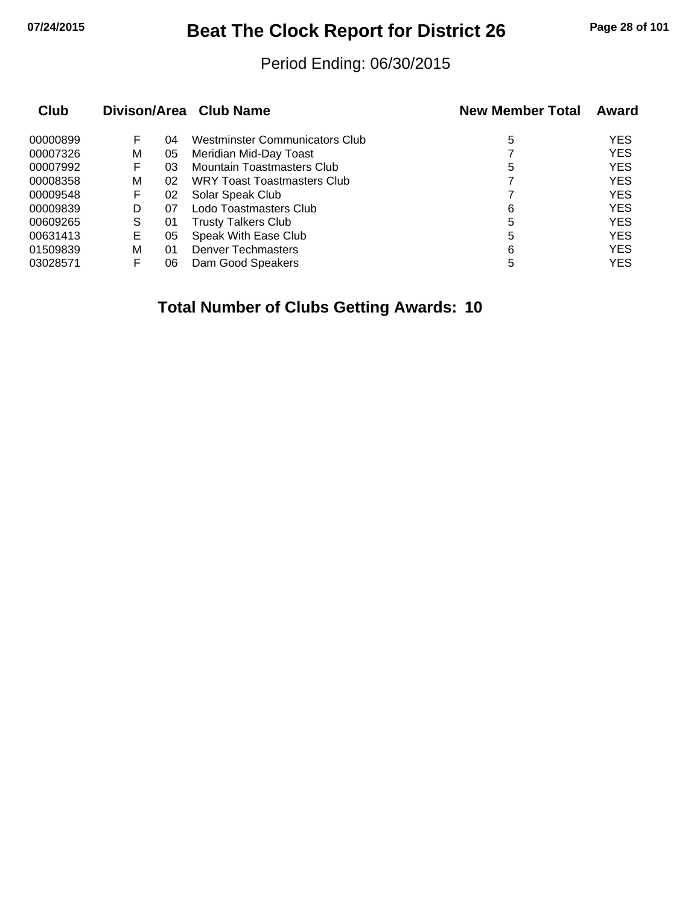## **07/24/2015 Beat The Clock Report for District 26 Page 28 of 101**

#### Period Ending: 06/30/2015

| <b>Club</b> |    |    | Divison/Area Club Name            | <b>New Member Total</b> | Award      |
|-------------|----|----|-----------------------------------|-------------------------|------------|
| 00000899    | F  | 04 | Westminster Communicators Club    | 5                       | <b>YES</b> |
| 00007326    | м  | 05 | Meridian Mid-Day Toast            |                         | <b>YES</b> |
| 00007992    | F  | 03 | <b>Mountain Toastmasters Club</b> | 5                       | <b>YES</b> |
| 00008358    | м  | 02 | WRY Toast Toastmasters Club       |                         | <b>YES</b> |
| 00009548    | F  | 02 | Solar Speak Club                  |                         | <b>YES</b> |
| 00009839    | D  | 07 | Lodo Toastmasters Club            | 6                       | <b>YES</b> |
| 00609265    | S  | 01 | <b>Trusty Talkers Club</b>        | 5                       | <b>YES</b> |
| 00631413    | E. | 05 | Speak With Ease Club              | 5                       | <b>YES</b> |
| 01509839    | м  | 01 | <b>Denver Techmasters</b>         | 6                       | <b>YES</b> |
| 03028571    |    | 06 | Dam Good Speakers                 | 5                       | <b>YES</b> |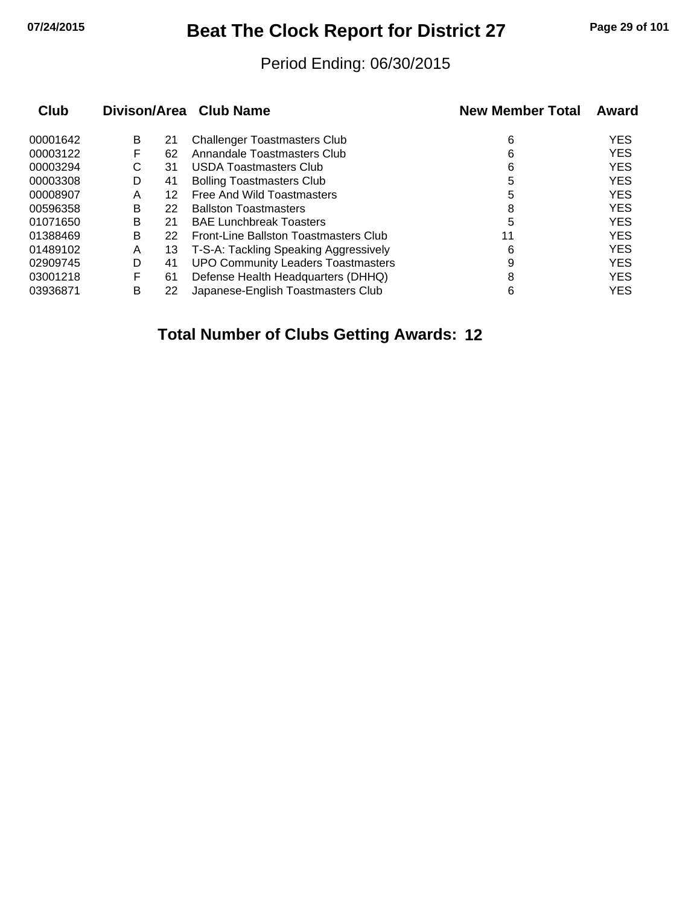## **07/24/2015 Beat The Clock Report for District 27 Page 29 of 101**

#### Period Ending: 06/30/2015

| <b>Club</b> |   |    | Divison/Area Club Name                    | <b>New Member Total</b> | Award      |
|-------------|---|----|-------------------------------------------|-------------------------|------------|
| 00001642    | B | 21 | <b>Challenger Toastmasters Club</b>       | 6                       | <b>YES</b> |
| 00003122    | F | 62 | Annandale Toastmasters Club               | 6                       | <b>YES</b> |
| 00003294    | С | 31 | <b>USDA Toastmasters Club</b>             | 6                       | <b>YES</b> |
| 00003308    | D | 41 | <b>Bolling Toastmasters Club</b>          | 5                       | <b>YES</b> |
| 00008907    | A | 12 | Free And Wild Toastmasters                | 5                       | <b>YES</b> |
| 00596358    | B | 22 | <b>Ballston Toastmasters</b>              | 8                       | <b>YES</b> |
| 01071650    | в | 21 | <b>BAE Lunchbreak Toasters</b>            | 5                       | <b>YES</b> |
| 01388469    | в | 22 | Front-Line Ballston Toastmasters Club     | 11                      | <b>YES</b> |
| 01489102    | Α | 13 | T-S-A: Tackling Speaking Aggressively     | 6                       | <b>YES</b> |
| 02909745    | D | 41 | <b>UPO Community Leaders Toastmasters</b> | 9                       | <b>YES</b> |
| 03001218    | F | 61 | Defense Health Headquarters (DHHQ)        | 8                       | <b>YES</b> |
| 03936871    | в | 22 | Japanese-English Toastmasters Club        | 6                       | <b>YES</b> |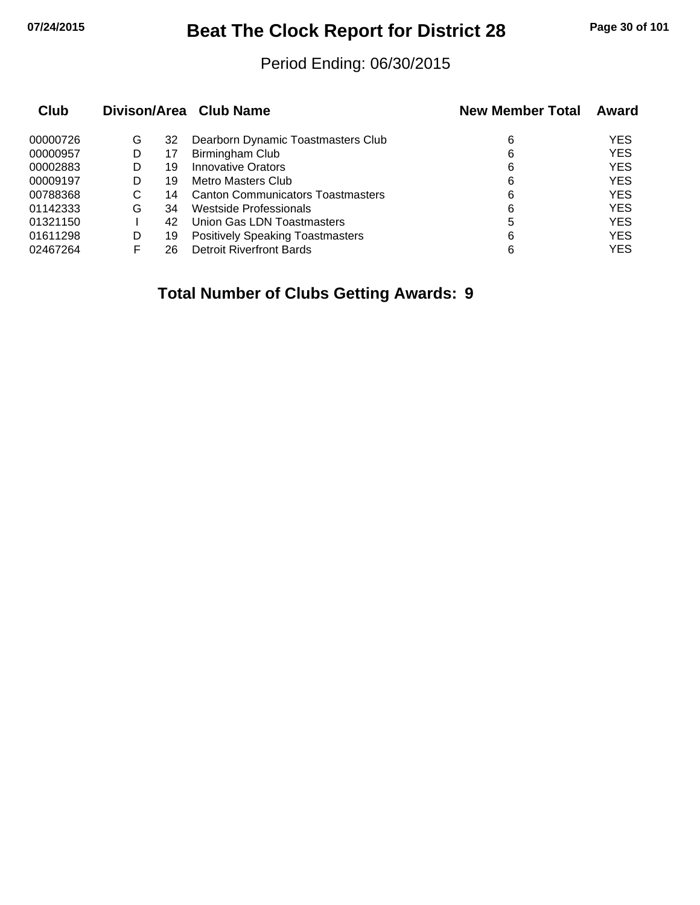## **07/24/2015 Beat The Clock Report for District 28 Page 30 of 101**

#### Period Ending: 06/30/2015

| Club     |   |    | Divison/Area Club Name                   | <b>New Member Total</b> | Award      |
|----------|---|----|------------------------------------------|-------------------------|------------|
| 00000726 | G | 32 | Dearborn Dynamic Toastmasters Club       | 6                       | <b>YES</b> |
| 00000957 | D | 17 | Birmingham Club                          | 6                       | <b>YES</b> |
| 00002883 | D | 19 | <b>Innovative Orators</b>                | 6                       | <b>YES</b> |
| 00009197 | D | 19 | Metro Masters Club                       | 6                       | <b>YES</b> |
| 00788368 | C | 14 | <b>Canton Communicators Toastmasters</b> | 6                       | <b>YES</b> |
| 01142333 | G | 34 | Westside Professionals                   | 6                       | <b>YES</b> |
| 01321150 |   | 42 | Union Gas LDN Toastmasters               | 5                       | <b>YES</b> |
| 01611298 | D | 19 | <b>Positively Speaking Toastmasters</b>  | 6                       | <b>YES</b> |
| 02467264 |   | 26 | <b>Detroit Riverfront Bards</b>          | 6                       | <b>YES</b> |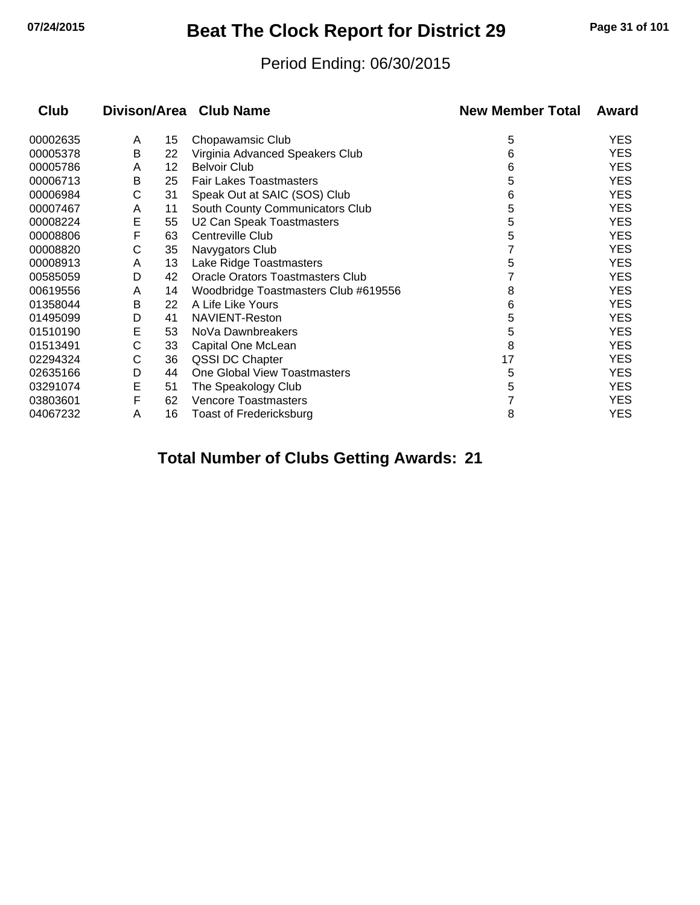## **07/24/2015 Beat The Clock Report for District 29 Page 31 of 101**

#### Period Ending: 06/30/2015

| <b>Club</b> |   |    | Divison/Area Club Name                  | <b>New Member Total</b> | Award      |
|-------------|---|----|-----------------------------------------|-------------------------|------------|
| 00002635    | A | 15 | Chopawamsic Club                        | 5                       | YES        |
| 00005378    | В | 22 | Virginia Advanced Speakers Club         | 6                       | YES        |
| 00005786    | A | 12 | <b>Belvoir Club</b>                     | 6                       | <b>YES</b> |
| 00006713    | B | 25 | <b>Fair Lakes Toastmasters</b>          | 5                       | <b>YES</b> |
| 00006984    | С | 31 | Speak Out at SAIC (SOS) Club            | 6                       | <b>YES</b> |
| 00007467    | A | 11 | South County Communicators Club         | 5                       | <b>YES</b> |
| 00008224    | E | 55 | U2 Can Speak Toastmasters               | 5                       | YES        |
| 00008806    | F | 63 | Centreville Club                        | 5                       | <b>YES</b> |
| 00008820    | С | 35 | Navygators Club                         |                         | <b>YES</b> |
| 00008913    | A | 13 | Lake Ridge Toastmasters                 | 5                       | YES        |
| 00585059    | D | 42 | <b>Oracle Orators Toastmasters Club</b> |                         | <b>YES</b> |
| 00619556    | A | 14 | Woodbridge Toastmasters Club #619556    | 8                       | YES        |
| 01358044    | B | 22 | A Life Like Yours                       | 6                       | <b>YES</b> |
| 01495099    | D | 41 | NAVIENT-Reston                          | 5                       | <b>YES</b> |
| 01510190    | Е | 53 | NoVa Dawnbreakers                       | 5                       | YES        |
| 01513491    | С | 33 | Capital One McLean                      | 8                       | <b>YES</b> |
| 02294324    | С | 36 | QSSI DC Chapter                         | 17                      | YES        |
| 02635166    | D | 44 | One Global View Toastmasters            | 5                       | <b>YES</b> |
| 03291074    | E | 51 | The Speakology Club                     | 5                       | <b>YES</b> |
| 03803601    | F | 62 | <b>Vencore Toastmasters</b>             |                         | YES        |
| 04067232    | A | 16 | Toast of Fredericksburg                 | 8                       | <b>YES</b> |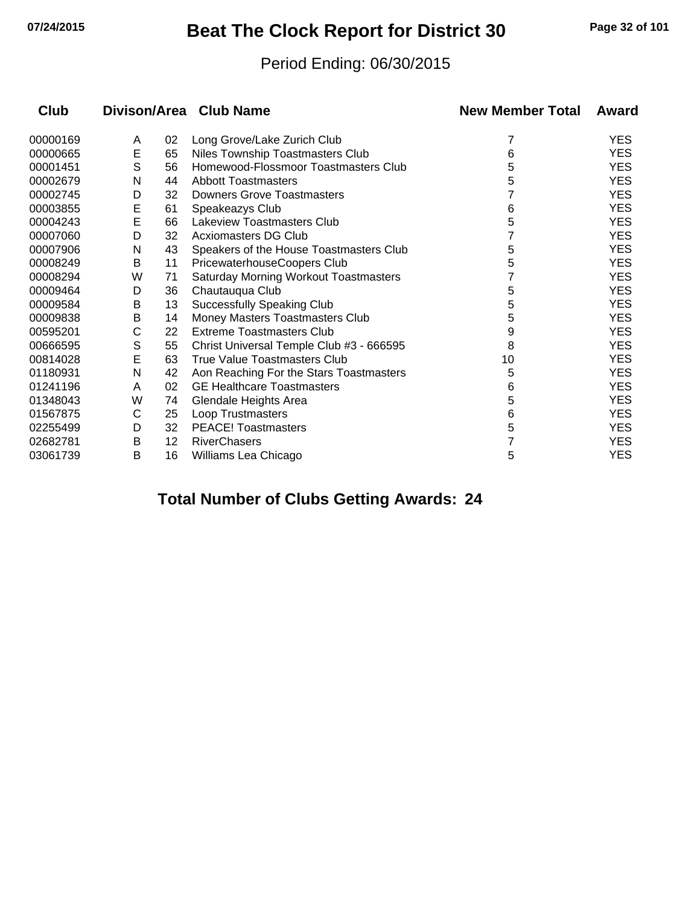## **07/24/2015 Beat The Clock Report for District 30 Page 32 of 101**

#### Period Ending: 06/30/2015

| <b>Club</b> |   |                 | Divison/Area Club Name                       | <b>New Member Total</b> | Award      |
|-------------|---|-----------------|----------------------------------------------|-------------------------|------------|
| 00000169    | A | 02              | Long Grove/Lake Zurich Club                  | 7                       | <b>YES</b> |
| 00000665    | E | 65              | Niles Township Toastmasters Club             | 6                       | <b>YES</b> |
| 00001451    | S | 56              | Homewood-Flossmoor Toastmasters Club         | 5                       | <b>YES</b> |
| 00002679    | N | 44              | <b>Abbott Toastmasters</b>                   | 5                       | <b>YES</b> |
| 00002745    | D | 32              | <b>Downers Grove Toastmasters</b>            |                         | <b>YES</b> |
| 00003855    | E | 61              | Speakeazys Club                              | 6                       | <b>YES</b> |
| 00004243    | E | 66              | Lakeview Toastmasters Club                   | 5                       | <b>YES</b> |
| 00007060    | D | 32              | <b>Acxiomasters DG Club</b>                  |                         | <b>YES</b> |
| 00007906    | N | 43              | Speakers of the House Toastmasters Club      | 5                       | <b>YES</b> |
| 00008249    | В | 11              | PricewaterhouseCoopers Club                  | 5                       | <b>YES</b> |
| 00008294    | W | 71              | <b>Saturday Morning Workout Toastmasters</b> |                         | <b>YES</b> |
| 00009464    | D | 36              | Chautauqua Club                              | 5                       | <b>YES</b> |
| 00009584    | В | 13              | <b>Successfully Speaking Club</b>            | 5                       | <b>YES</b> |
| 00009838    | Β | 14              | Money Masters Toastmasters Club              | 5                       | <b>YES</b> |
| 00595201    | С | 22              | <b>Extreme Toastmasters Club</b>             | 9                       | <b>YES</b> |
| 00666595    | S | 55              | Christ Universal Temple Club #3 - 666595     | 8                       | <b>YES</b> |
| 00814028    | E | 63              | True Value Toastmasters Club                 | 10                      | <b>YES</b> |
| 01180931    | N | 42              | Aon Reaching For the Stars Toastmasters      | 5                       | <b>YES</b> |
| 01241196    | A | 02              | <b>GE Healthcare Toastmasters</b>            | 6                       | <b>YES</b> |
| 01348043    | W | 74              | Glendale Heights Area                        | 5                       | <b>YES</b> |
| 01567875    | C | 25              | <b>Loop Trustmasters</b>                     | 6                       | <b>YES</b> |
| 02255499    | D | 32              | <b>PEACE! Toastmasters</b>                   | 5                       | <b>YES</b> |
| 02682781    | Β | 12 <sup>2</sup> | <b>RiverChasers</b>                          |                         | <b>YES</b> |
| 03061739    | Β | 16              | Williams Lea Chicago                         | 5                       | <b>YES</b> |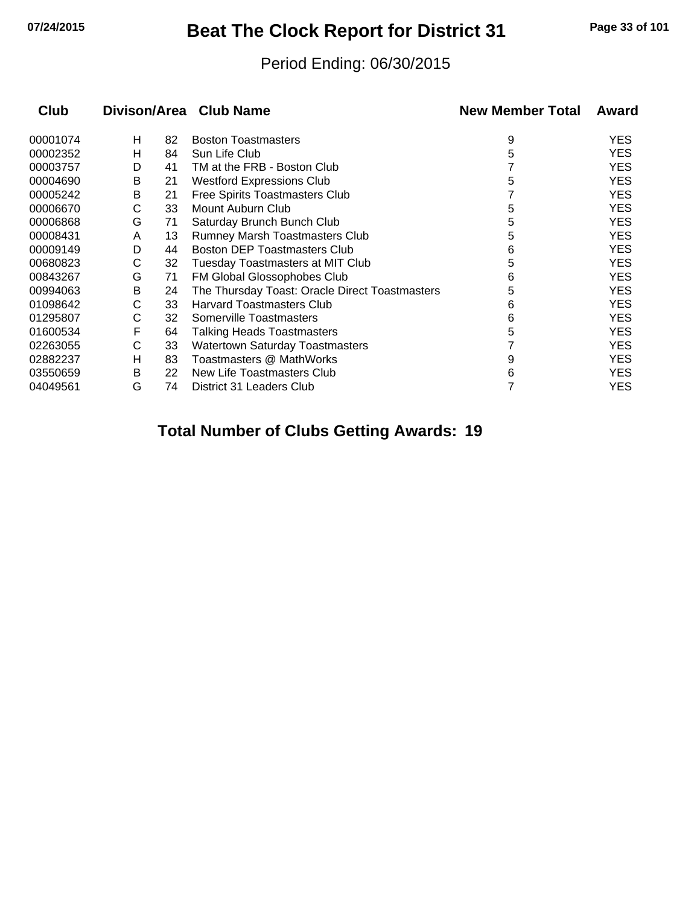## **07/24/2015 Beat The Clock Report for District 31 Page 33 of 101**

#### Period Ending: 06/30/2015

| <b>Club</b> |   |    | Divison/Area Club Name                         | <b>New Member Total</b> | Award      |
|-------------|---|----|------------------------------------------------|-------------------------|------------|
| 00001074    | н | 82 | <b>Boston Toastmasters</b>                     | 9                       | <b>YES</b> |
| 00002352    | н | 84 | Sun Life Club                                  | 5                       | <b>YES</b> |
| 00003757    | D | 41 | TM at the FRB - Boston Club                    |                         | <b>YES</b> |
| 00004690    | B | 21 | <b>Westford Expressions Club</b>               | 5                       | <b>YES</b> |
| 00005242    | В | 21 | Free Spirits Toastmasters Club                 |                         | <b>YES</b> |
| 00006670    | C | 33 | Mount Auburn Club                              | 5                       | <b>YES</b> |
| 00006868    | G | 71 | Saturday Brunch Bunch Club                     | 5                       | <b>YES</b> |
| 00008431    | A | 13 | Rumney Marsh Toastmasters Club                 | 5                       | <b>YES</b> |
| 00009149    | D | 44 | <b>Boston DEP Toastmasters Club</b>            | 6                       | <b>YES</b> |
| 00680823    | С | 32 | <b>Tuesday Toastmasters at MIT Club</b>        | 5                       | <b>YES</b> |
| 00843267    | G | 71 | FM Global Glossophobes Club                    | 6                       | <b>YES</b> |
| 00994063    | В | 24 | The Thursday Toast: Oracle Direct Toastmasters | 5                       | <b>YES</b> |
| 01098642    | С | 33 | <b>Harvard Toastmasters Club</b>               | 6                       | <b>YES</b> |
| 01295807    | С | 32 | Somerville Toastmasters                        | 6                       | <b>YES</b> |
| 01600534    | F | 64 | <b>Talking Heads Toastmasters</b>              | 5                       | <b>YES</b> |
| 02263055    | C | 33 | <b>Watertown Saturday Toastmasters</b>         |                         | <b>YES</b> |
| 02882237    | н | 83 | Toastmasters @ MathWorks                       | 9                       | <b>YES</b> |
| 03550659    | B | 22 | New Life Toastmasters Club                     | 6                       | <b>YES</b> |
| 04049561    | G | 74 | District 31 Leaders Club                       |                         | <b>YES</b> |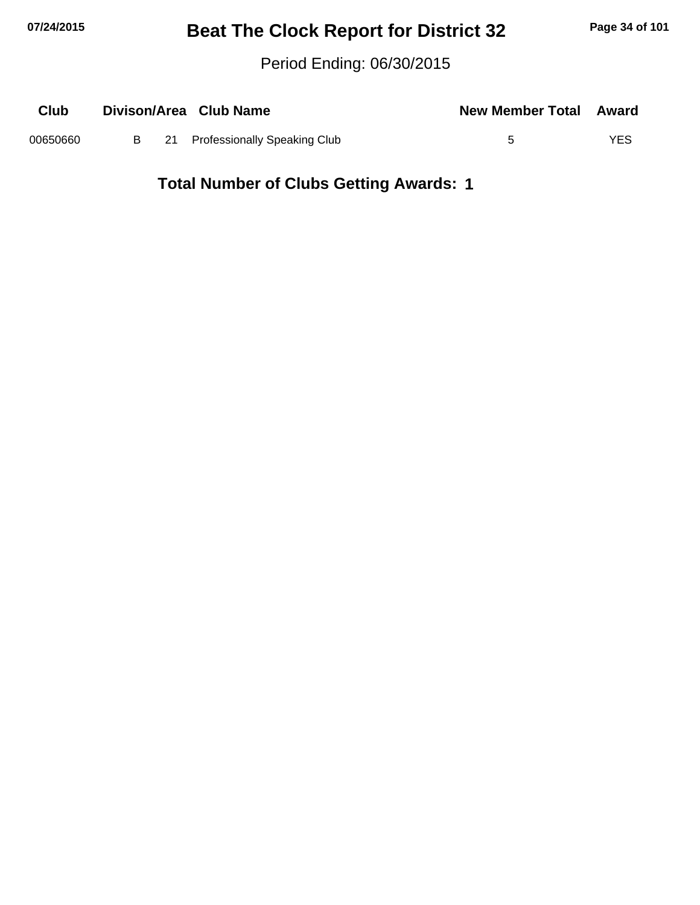## **07/24/2015 Beat The Clock Report for District 32 Page 34 of 101**

Period Ending: 06/30/2015

| Club     |  | Divison/Area Club Name            | <b>New Member Total Award</b> |      |
|----------|--|-----------------------------------|-------------------------------|------|
| 00650660 |  | B 21 Professionally Speaking Club |                               | YES. |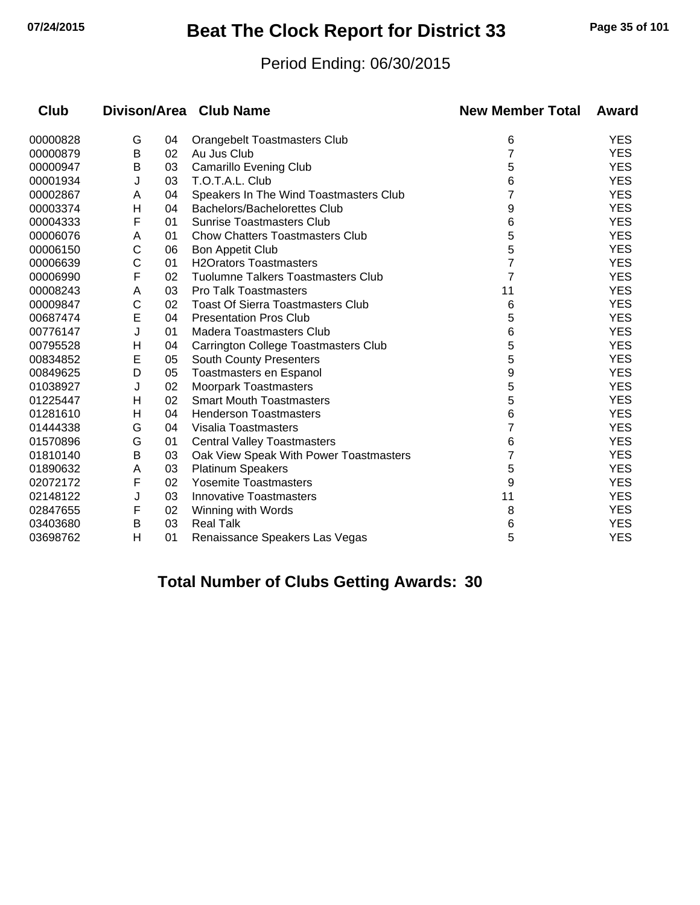## **07/24/2015 Beat The Clock Report for District 33 Page 35 of 101**

#### Period Ending: 06/30/2015

| Club     |   |    | Divison/Area Club Name                      | <b>New Member Total</b> | Award      |
|----------|---|----|---------------------------------------------|-------------------------|------------|
| 00000828 | G | 04 | <b>Orangebelt Toastmasters Club</b>         | 6                       | <b>YES</b> |
| 00000879 | B | 02 | Au Jus Club                                 | $\overline{7}$          | <b>YES</b> |
| 00000947 | Β | 03 | <b>Camarillo Evening Club</b>               | 5                       | <b>YES</b> |
| 00001934 | J | 03 | T.O.T.A.L. Club                             | 6                       | <b>YES</b> |
| 00002867 | A | 04 | Speakers In The Wind Toastmasters Club      | 7                       | <b>YES</b> |
| 00003374 | Н | 04 | Bachelors/Bachelorettes Club                | 9                       | <b>YES</b> |
| 00004333 | F | 01 | <b>Sunrise Toastmasters Club</b>            | 6                       | <b>YES</b> |
| 00006076 | Α | 01 | <b>Chow Chatters Toastmasters Club</b>      | 5                       | <b>YES</b> |
| 00006150 | С | 06 | <b>Bon Appetit Club</b>                     | 5                       | <b>YES</b> |
| 00006639 | C | 01 | <b>H2Orators Toastmasters</b>               | 7                       | <b>YES</b> |
| 00006990 | F | 02 | Tuolumne Talkers Toastmasters Club          | 7                       | <b>YES</b> |
| 00008243 | A | 03 | <b>Pro Talk Toastmasters</b>                | 11                      | <b>YES</b> |
| 00009847 | C | 02 | <b>Toast Of Sierra Toastmasters Club</b>    | 6                       | <b>YES</b> |
| 00687474 | E | 04 | <b>Presentation Pros Club</b>               | 5                       | <b>YES</b> |
| 00776147 | J | 01 | Madera Toastmasters Club                    | 6                       | <b>YES</b> |
| 00795528 | H | 04 | <b>Carrington College Toastmasters Club</b> | 5                       | <b>YES</b> |
| 00834852 | E | 05 | <b>South County Presenters</b>              | 5                       | <b>YES</b> |
| 00849625 | D | 05 | Toastmasters en Espanol                     | 9                       | <b>YES</b> |
| 01038927 | J | 02 | <b>Moorpark Toastmasters</b>                | 5                       | <b>YES</b> |
| 01225447 | Н | 02 | <b>Smart Mouth Toastmasters</b>             | 5                       | <b>YES</b> |
| 01281610 | н | 04 | <b>Henderson Toastmasters</b>               | 6                       | <b>YES</b> |
| 01444338 | G | 04 | Visalia Toastmasters                        | 7                       | <b>YES</b> |
| 01570896 | G | 01 | <b>Central Valley Toastmasters</b>          | 6                       | <b>YES</b> |
| 01810140 | B | 03 | Oak View Speak With Power Toastmasters      | 7                       | <b>YES</b> |
| 01890632 | Α | 03 | <b>Platinum Speakers</b>                    | 5                       | <b>YES</b> |
| 02072172 | F | 02 | <b>Yosemite Toastmasters</b>                | 9                       | <b>YES</b> |
| 02148122 | J | 03 | <b>Innovative Toastmasters</b>              | 11                      | <b>YES</b> |
| 02847655 | F | 02 | Winning with Words                          | 8                       | <b>YES</b> |
| 03403680 | B | 03 | <b>Real Talk</b>                            | 6                       | <b>YES</b> |
| 03698762 | H | 01 | Renaissance Speakers Las Vegas              | 5                       | <b>YES</b> |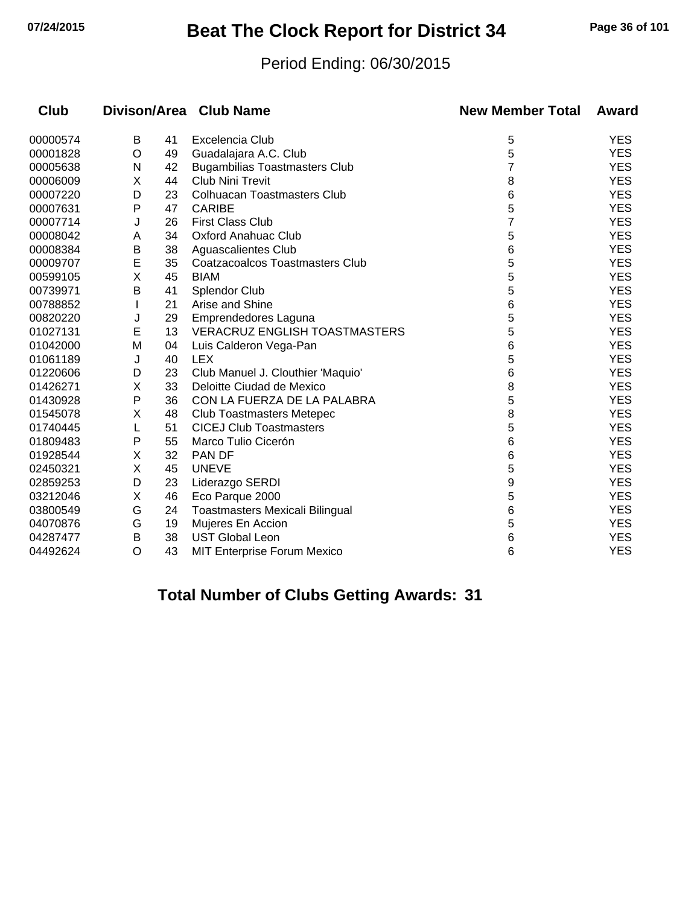## **07/24/2015 Beat The Clock Report for District 34 Page 36 of 101**

#### Period Ending: 06/30/2015

| Club     |         |    | Divison/Area Club Name               | <b>New Member Total</b> | Award      |
|----------|---------|----|--------------------------------------|-------------------------|------------|
| 00000574 | Β       | 41 | Excelencia Club                      | 5                       | <b>YES</b> |
| 00001828 | $\circ$ | 49 | Guadalajara A.C. Club                | 5                       | <b>YES</b> |
| 00005638 | N       | 42 | <b>Bugambilias Toastmasters Club</b> | 7                       | <b>YES</b> |
| 00006009 | X       | 44 | Club Nini Trevit                     | 8                       | <b>YES</b> |
| 00007220 | D       | 23 | <b>Colhuacan Toastmasters Club</b>   | 6                       | <b>YES</b> |
| 00007631 | Ρ       | 47 | <b>CARIBE</b>                        | 5                       | <b>YES</b> |
| 00007714 | J       | 26 | <b>First Class Club</b>              | 7                       | <b>YES</b> |
| 00008042 | Α       | 34 | <b>Oxford Anahuac Club</b>           | 5                       | <b>YES</b> |
| 00008384 | B       | 38 | Aguascalientes Club                  | 6                       | <b>YES</b> |
| 00009707 | E       | 35 | Coatzacoalcos Toastmasters Club      | 5                       | <b>YES</b> |
| 00599105 | Χ       | 45 | <b>BIAM</b>                          | 5                       | <b>YES</b> |
| 00739971 | B       | 41 | Splendor Club                        | 5                       | <b>YES</b> |
| 00788852 |         | 21 | Arise and Shine                      | 6                       | <b>YES</b> |
| 00820220 | J       | 29 | Emprendedores Laguna                 | 5                       | <b>YES</b> |
| 01027131 | E       | 13 | <b>VERACRUZ ENGLISH TOASTMASTERS</b> | 5                       | <b>YES</b> |
| 01042000 | M       | 04 | Luis Calderon Vega-Pan               | 6                       | <b>YES</b> |
| 01061189 | J       | 40 | <b>LEX</b>                           | 5                       | <b>YES</b> |
| 01220606 | D       | 23 | Club Manuel J. Clouthier 'Maquio'    | 6                       | <b>YES</b> |
| 01426271 | X       | 33 | Deloitte Ciudad de Mexico            | 8                       | <b>YES</b> |
| 01430928 | Ρ       | 36 | CON LA FUERZA DE LA PALABRA          | 5                       | <b>YES</b> |
| 01545078 | Χ       | 48 | <b>Club Toastmasters Metepec</b>     | 8                       | <b>YES</b> |
| 01740445 | L       | 51 | <b>CICEJ Club Toastmasters</b>       | 5                       | <b>YES</b> |
| 01809483 | Ρ       | 55 | Marco Tulio Cicerón                  | 6                       | <b>YES</b> |
| 01928544 | X       | 32 | PAN DF                               | 6                       | <b>YES</b> |
| 02450321 | X       | 45 | <b>UNEVE</b>                         | 5                       | <b>YES</b> |
| 02859253 | D       | 23 | Liderazgo SERDI                      | 9                       | <b>YES</b> |
| 03212046 | X       | 46 | Eco Parque 2000                      | 5                       | <b>YES</b> |
| 03800549 | G       | 24 | Toastmasters Mexicali Bilingual      | 6                       | <b>YES</b> |
| 04070876 | G       | 19 | Mujeres En Accion                    | 5                       | <b>YES</b> |
| 04287477 | В       | 38 | <b>UST Global Leon</b>               | 6                       | <b>YES</b> |
| 04492624 | O       | 43 | <b>MIT Enterprise Forum Mexico</b>   | 6                       | <b>YES</b> |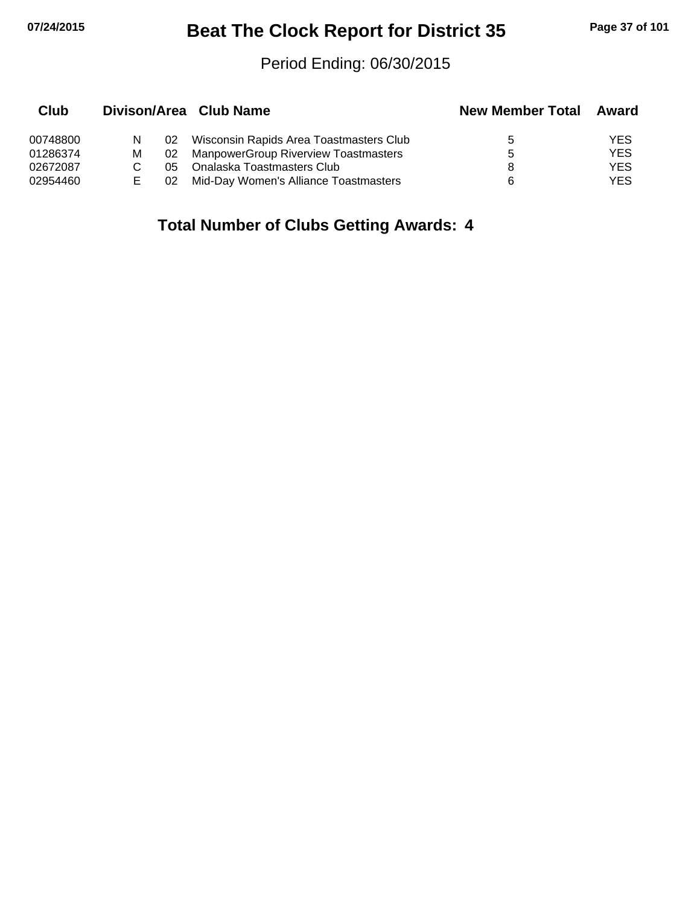# **07/24/2015 Beat The Clock Report for District 35 Page 37 of 101**

#### Period Ending: 06/30/2015

| Club     |   |     | Divison/Area Club Name                      | <b>New Member Total</b> | Award      |
|----------|---|-----|---------------------------------------------|-------------------------|------------|
| 00748800 | N | 02  | Wisconsin Rapids Area Toastmasters Club     | 5                       | YES        |
| 01286374 | м | 02  | <b>ManpowerGroup Riverview Toastmasters</b> | 5                       | YES        |
| 02672087 |   | 05. | Onalaska Toastmasters Club                  | 8                       | YES        |
| 02954460 |   | 02  | Mid-Day Women's Alliance Toastmasters       | 6                       | <b>YES</b> |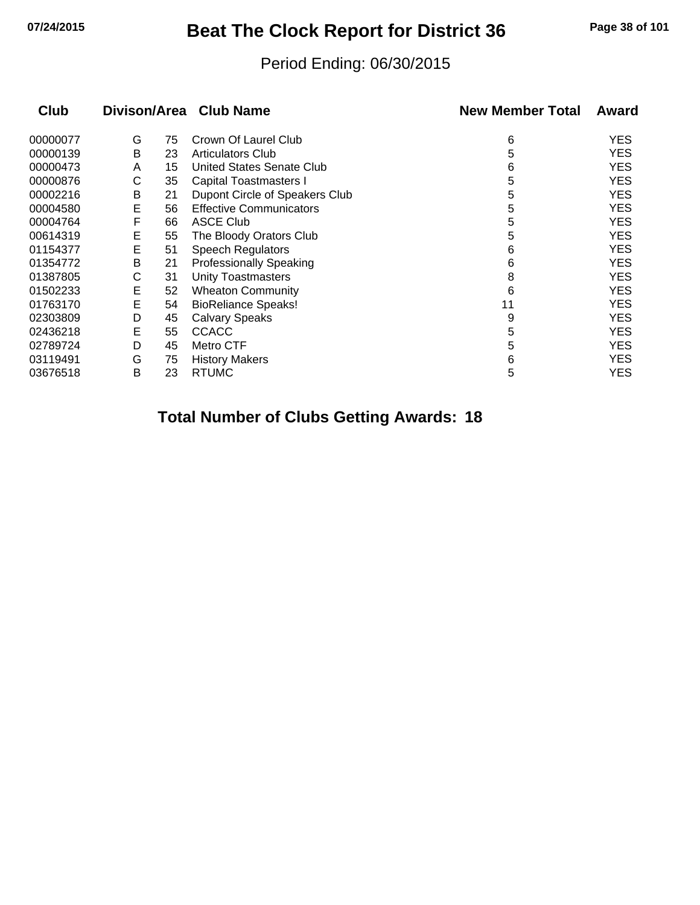# **07/24/2015 Beat The Clock Report for District 36 Page 38 of 101**

#### Period Ending: 06/30/2015

| Club     | Divison/Area |    | <b>Club Name</b>               | <b>New Member Total</b> | Award      |
|----------|--------------|----|--------------------------------|-------------------------|------------|
| 00000077 | G            | 75 | Crown Of Laurel Club           | 6                       | <b>YES</b> |
| 00000139 | В            | 23 | <b>Articulators Club</b>       | 5                       | <b>YES</b> |
| 00000473 | A            | 15 | United States Senate Club      | 6                       | <b>YES</b> |
| 00000876 | С            | 35 | <b>Capital Toastmasters I</b>  | 5                       | <b>YES</b> |
| 00002216 | В            | 21 | Dupont Circle of Speakers Club | 5                       | <b>YES</b> |
| 00004580 | Ε            | 56 | <b>Effective Communicators</b> | 5                       | <b>YES</b> |
| 00004764 | F            | 66 | <b>ASCE Club</b>               | 5                       | <b>YES</b> |
| 00614319 | Ε            | 55 | The Bloody Orators Club        | 5                       | <b>YES</b> |
| 01154377 | E            | 51 | Speech Regulators              | 6                       | <b>YES</b> |
| 01354772 | B            | 21 | <b>Professionally Speaking</b> | 6                       | <b>YES</b> |
| 01387805 | С            | 31 | <b>Unity Toastmasters</b>      | 8                       | <b>YES</b> |
| 01502233 | E            | 52 | <b>Wheaton Community</b>       | 6                       | <b>YES</b> |
| 01763170 | Ε            | 54 | <b>BioReliance Speaks!</b>     | 11                      | <b>YES</b> |
| 02303809 | D            | 45 | <b>Calvary Speaks</b>          | 9                       | <b>YES</b> |
| 02436218 | Е            | 55 | <b>CCACC</b>                   | 5                       | <b>YES</b> |
| 02789724 | D            | 45 | Metro CTF                      | 5                       | <b>YES</b> |
| 03119491 | G            | 75 | <b>History Makers</b>          | 6                       | <b>YES</b> |
| 03676518 | B            | 23 | <b>RTUMC</b>                   | 5                       | <b>YES</b> |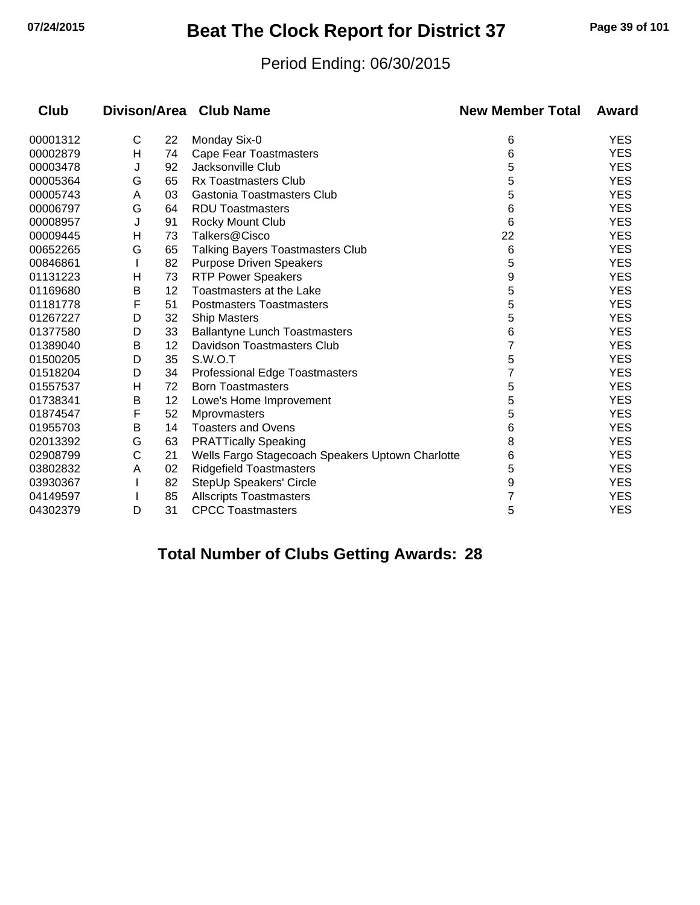# **07/24/2015 Beat The Clock Report for District 37 Page 39 of 101**

#### Period Ending: 06/30/2015

| Club     |              |    | Divison/Area Club Name                           | <b>New Member Total</b> | Award      |
|----------|--------------|----|--------------------------------------------------|-------------------------|------------|
| 00001312 | $\mathsf{C}$ | 22 | Monday Six-0                                     | 6                       | <b>YES</b> |
| 00002879 | Н            | 74 | Cape Fear Toastmasters                           | 6                       | <b>YES</b> |
| 00003478 | J            | 92 | Jacksonville Club                                | 5                       | <b>YES</b> |
| 00005364 | G            | 65 | <b>Rx Toastmasters Club</b>                      | 5                       | <b>YES</b> |
| 00005743 | A            | 03 | Gastonia Toastmasters Club                       | 5                       | <b>YES</b> |
| 00006797 | G            | 64 | <b>RDU Toastmasters</b>                          | 6                       | <b>YES</b> |
| 00008957 | J            | 91 | Rocky Mount Club                                 | 6                       | <b>YES</b> |
| 00009445 | н            | 73 | Talkers@Cisco                                    | 22                      | <b>YES</b> |
| 00652265 | G            | 65 | <b>Talking Bayers Toastmasters Club</b>          | 6                       | <b>YES</b> |
| 00846861 |              | 82 | <b>Purpose Driven Speakers</b>                   | 5                       | <b>YES</b> |
| 01131223 | н            | 73 | <b>RTP Power Speakers</b>                        | 9                       | <b>YES</b> |
| 01169680 | Β            | 12 | Toastmasters at the Lake                         | 5                       | <b>YES</b> |
| 01181778 | F            | 51 | <b>Postmasters Toastmasters</b>                  | 5                       | <b>YES</b> |
| 01267227 | D            | 32 | <b>Ship Masters</b>                              | 5                       | <b>YES</b> |
| 01377580 | D            | 33 | <b>Ballantyne Lunch Toastmasters</b>             | 6                       | <b>YES</b> |
| 01389040 | В            | 12 | Davidson Toastmasters Club                       | 7                       | <b>YES</b> |
| 01500205 | D            | 35 | S.W.O.T                                          | 5                       | <b>YES</b> |
| 01518204 | D            | 34 | <b>Professional Edge Toastmasters</b>            | 7                       | <b>YES</b> |
| 01557537 | н            | 72 | <b>Born Toastmasters</b>                         | 5                       | <b>YES</b> |
| 01738341 | Β            | 12 | Lowe's Home Improvement                          | 5                       | <b>YES</b> |
| 01874547 | F            | 52 | <b>Mprovmasters</b>                              | 5                       | <b>YES</b> |
| 01955703 | Β            | 14 | <b>Toasters and Ovens</b>                        | 6                       | <b>YES</b> |
| 02013392 | G            | 63 | <b>PRATTically Speaking</b>                      | 8                       | <b>YES</b> |
| 02908799 | С            | 21 | Wells Fargo Stagecoach Speakers Uptown Charlotte | 6                       | <b>YES</b> |
| 03802832 | A            | 02 | <b>Ridgefield Toastmasters</b>                   | 5                       | <b>YES</b> |
| 03930367 |              | 82 | StepUp Speakers' Circle                          | 9                       | <b>YES</b> |
| 04149597 |              | 85 | <b>Allscripts Toastmasters</b>                   | 7                       | <b>YES</b> |
| 04302379 | D            | 31 | <b>CPCC Toastmasters</b>                         | 5                       | <b>YES</b> |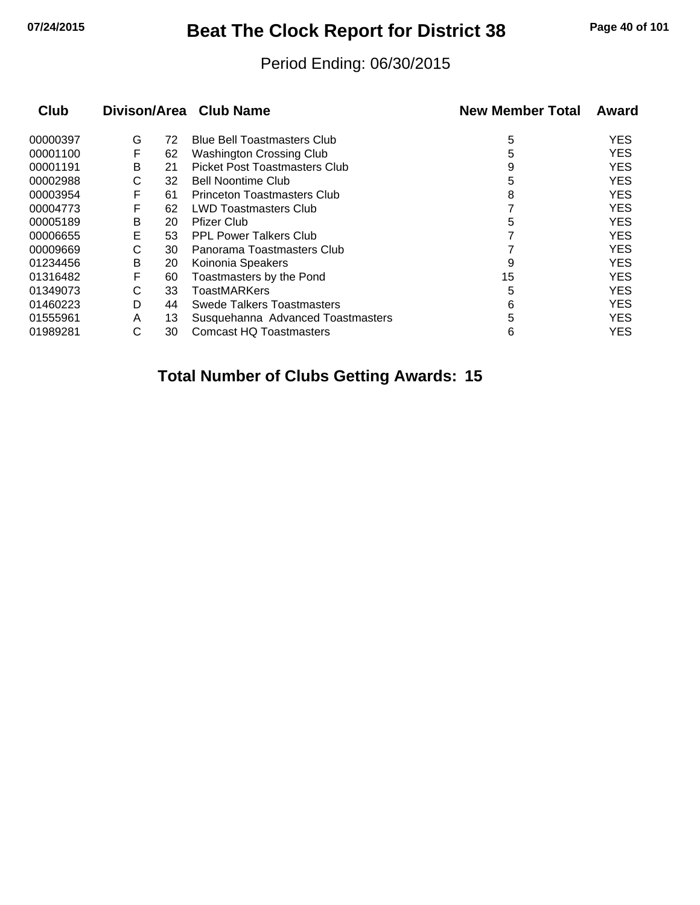# **07/24/2015 Beat The Clock Report for District 38 Page 40 of 101**

#### Period Ending: 06/30/2015

| Club     |   |    | Divison/Area Club Name               | <b>New Member Total</b> | Award      |
|----------|---|----|--------------------------------------|-------------------------|------------|
| 00000397 | G | 72 | <b>Blue Bell Toastmasters Club</b>   | 5                       | <b>YES</b> |
| 00001100 | F | 62 | Washington Crossing Club             | 5                       | <b>YES</b> |
| 00001191 | B | 21 | <b>Picket Post Toastmasters Club</b> | 9                       | <b>YES</b> |
| 00002988 | С | 32 | <b>Bell Noontime Club</b>            | 5                       | <b>YES</b> |
| 00003954 | F | 61 | <b>Princeton Toastmasters Club</b>   | 8                       | <b>YES</b> |
| 00004773 |   | 62 | <b>LWD Toastmasters Club</b>         |                         | <b>YES</b> |
| 00005189 | В | 20 | <b>Pfizer Club</b>                   | 5                       | <b>YES</b> |
| 00006655 | Е | 53 | <b>PPL Power Talkers Club</b>        |                         | <b>YES</b> |
| 00009669 | С | 30 | Panorama Toastmasters Club           |                         | <b>YES</b> |
| 01234456 | В | 20 | Koinonia Speakers                    | 9                       | <b>YES</b> |
| 01316482 | F | 60 | Toastmasters by the Pond             | 15                      | <b>YES</b> |
| 01349073 | C | 33 | <b>ToastMARKers</b>                  | 5                       | <b>YES</b> |
| 01460223 | D | 44 | Swede Talkers Toastmasters           | 6                       | <b>YES</b> |
| 01555961 | A | 13 | Susquehanna Advanced Toastmasters    | 5                       | <b>YES</b> |
| 01989281 | С | 30 | <b>Comcast HQ Toastmasters</b>       | 6                       | <b>YES</b> |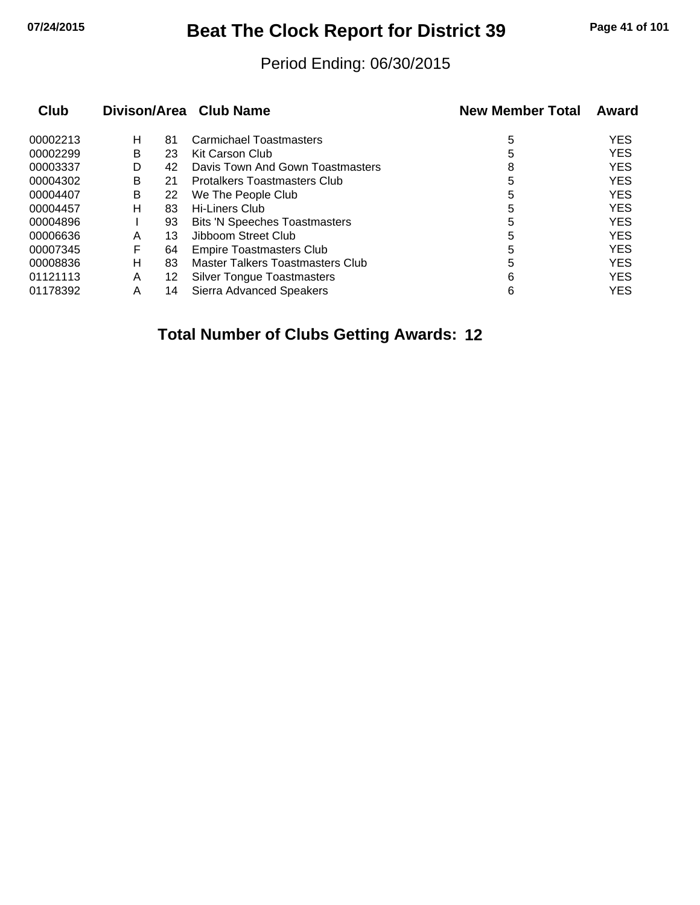# **07/24/2015 Beat The Clock Report for District 39 Page 41 of 101**

#### Period Ending: 06/30/2015

| Club     |   |    | Divison/Area Club Name               | <b>New Member Total</b> | Award      |
|----------|---|----|--------------------------------------|-------------------------|------------|
| 00002213 | н | 81 | Carmichael Toastmasters              | 5                       | <b>YES</b> |
| 00002299 | B | 23 | Kit Carson Club                      | 5                       | <b>YES</b> |
| 00003337 | D | 42 | Davis Town And Gown Toastmasters     | 8                       | <b>YES</b> |
| 00004302 | B | 21 | <b>Protalkers Toastmasters Club</b>  | 5                       | <b>YES</b> |
| 00004407 | B | 22 | We The People Club                   | 5                       | <b>YES</b> |
| 00004457 | н | 83 | Hi-Liners Club                       | 5                       | <b>YES</b> |
| 00004896 |   | 93 | <b>Bits 'N Speeches Toastmasters</b> | 5                       | <b>YES</b> |
| 00006636 | A | 13 | Jibboom Street Club                  | 5                       | <b>YES</b> |
| 00007345 | F | 64 | <b>Empire Toastmasters Club</b>      | 5                       | <b>YES</b> |
| 00008836 | н | 83 | Master Talkers Toastmasters Club     | 5                       | <b>YES</b> |
| 01121113 | A | 12 | <b>Silver Tongue Toastmasters</b>    | 6                       | <b>YES</b> |
| 01178392 | Α | 14 | Sierra Advanced Speakers             | 6                       | <b>YES</b> |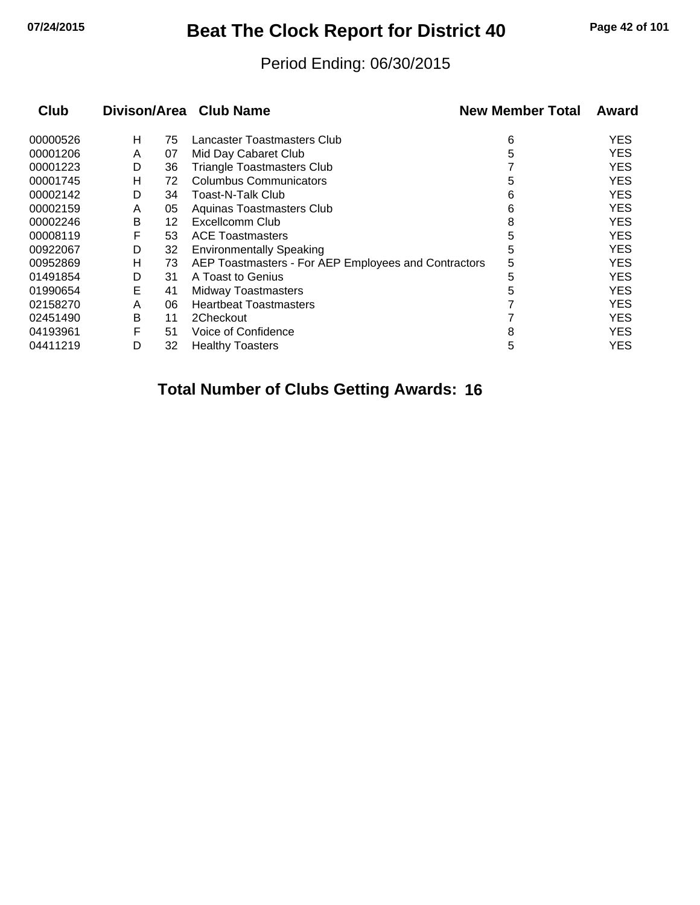# **07/24/2015 Beat The Clock Report for District 40 Page 42 of 101**

#### Period Ending: 06/30/2015

| <b>Club</b> |   |    | Divison/Area Club Name                               | <b>New Member Total</b> | Award |
|-------------|---|----|------------------------------------------------------|-------------------------|-------|
| 00000526    | н | 75 | Lancaster Toastmasters Club                          | 6                       | YES   |
| 00001206    | A | 07 | Mid Day Cabaret Club                                 | 5                       | YES   |
| 00001223    | D | 36 | <b>Triangle Toastmasters Club</b>                    |                         | YES   |
| 00001745    | н | 72 | Columbus Communicators                               | 5                       | YES   |
| 00002142    | D | 34 | Toast-N-Talk Club                                    | 6                       | YES   |
| 00002159    | A | 05 | Aquinas Toastmasters Club                            | 6                       | YES   |
| 00002246    | В | 12 | Excellcomm Club                                      | 8                       | YES   |
| 00008119    | F | 53 | <b>ACE Toastmasters</b>                              | 5                       | YES   |
| 00922067    | D | 32 | <b>Environmentally Speaking</b>                      | 5                       | YES   |
| 00952869    | н | 73 | AEP Toastmasters - For AEP Employees and Contractors | 5                       | YES   |
| 01491854    | D | 31 | A Toast to Genius                                    | 5                       | YES   |
| 01990654    | Е | 41 | <b>Midway Toastmasters</b>                           | 5                       | YES   |
| 02158270    | A | 06 | <b>Heartbeat Toastmasters</b>                        |                         | YES   |
| 02451490    | B | 11 | 2Checkout                                            |                         | YES   |
| 04193961    | F | 51 | Voice of Confidence                                  | 8                       | YES   |
| 04411219    | D | 32 | <b>Healthy Toasters</b>                              | 5                       | YES   |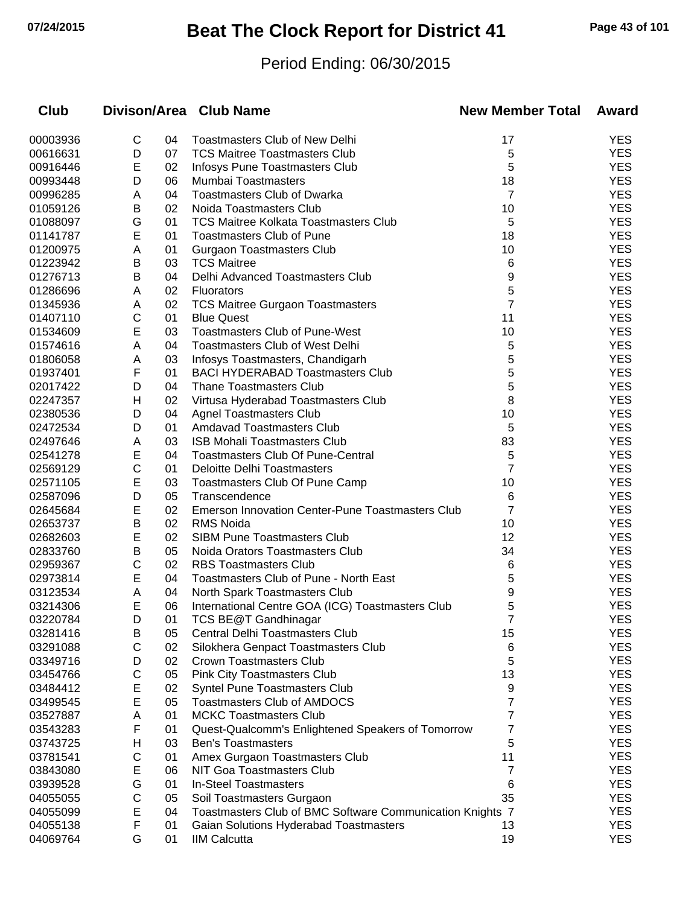# **07/24/2015 Beat The Clock Report for District 41 Page 43 of 101**

### Period Ending: 06/30/2015

| <b>Club</b>          |        |          | Divison/Area Club Name                                                | <b>New Member Total</b> | Award             |
|----------------------|--------|----------|-----------------------------------------------------------------------|-------------------------|-------------------|
| 00003936             | C      | 04       | <b>Toastmasters Club of New Delhi</b>                                 | 17                      | <b>YES</b>        |
| 00616631             | D      | 07       | <b>TCS Maitree Toastmasters Club</b>                                  | 5                       | <b>YES</b>        |
| 00916446             | Е      | 02       | Infosys Pune Toastmasters Club                                        | 5                       | <b>YES</b>        |
| 00993448             | D      | 06       | Mumbai Toastmasters                                                   | 18                      | <b>YES</b>        |
| 00996285             | A      | 04       | <b>Toastmasters Club of Dwarka</b>                                    | $\overline{7}$          | <b>YES</b>        |
| 01059126             | В      | 02       | Noida Toastmasters Club                                               | 10                      | <b>YES</b>        |
| 01088097             | G      | 01       | <b>TCS Maitree Kolkata Toastmasters Club</b>                          | 5                       | <b>YES</b>        |
| 01141787             | Ε      | 01       | <b>Toastmasters Club of Pune</b>                                      | 18                      | <b>YES</b>        |
| 01200975             | Α      | 01       | <b>Gurgaon Toastmasters Club</b>                                      | 10                      | <b>YES</b>        |
| 01223942             | В      | 03       | <b>TCS Maitree</b>                                                    | 6                       | <b>YES</b>        |
| 01276713             | B      | 04       | Delhi Advanced Toastmasters Club                                      | 9                       | <b>YES</b>        |
| 01286696             | A      | 02       | <b>Fluorators</b>                                                     | 5                       | <b>YES</b>        |
| 01345936             | Α      | 02       | <b>TCS Maitree Gurgaon Toastmasters</b>                               | $\overline{7}$          | <b>YES</b>        |
| 01407110             | С      | 01       | <b>Blue Quest</b>                                                     | 11                      | <b>YES</b>        |
| 01534609             | Ε      | 03       | <b>Toastmasters Club of Pune-West</b>                                 | 10                      | <b>YES</b>        |
| 01574616             | Α      | 04       | <b>Toastmasters Club of West Delhi</b>                                | 5                       | <b>YES</b>        |
| 01806058             | A      | 03       | Infosys Toastmasters, Chandigarh                                      | 5                       | <b>YES</b>        |
| 01937401             | F      | 01       | <b>BACI HYDERABAD Toastmasters Club</b>                               | 5                       | <b>YES</b>        |
| 02017422             | D      | 04       | <b>Thane Toastmasters Club</b>                                        | 5                       | <b>YES</b>        |
| 02247357             | н      | 02       | Virtusa Hyderabad Toastmasters Club                                   | 8                       | <b>YES</b>        |
| 02380536             | D      | 04       | <b>Agnel Toastmasters Club</b>                                        | 10                      | <b>YES</b>        |
| 02472534             | D      | 01       | <b>Amdavad Toastmasters Club</b>                                      | 5                       | <b>YES</b>        |
| 02497646             | A      | 03       | <b>ISB Mohali Toastmasters Club</b>                                   | 83                      | <b>YES</b>        |
| 02541278             | Ε      | 04       | <b>Toastmasters Club Of Pune-Central</b>                              | 5                       | <b>YES</b>        |
| 02569129             | C      | 01       | <b>Deloitte Delhi Toastmasters</b>                                    | $\overline{7}$          | <b>YES</b>        |
| 02571105             | Ε      | 03       | Toastmasters Club Of Pune Camp                                        | 10                      | <b>YES</b>        |
| 02587096             | D      | 05       | Transcendence                                                         | 6                       | <b>YES</b>        |
| 02645684             | Ε      | 02       | <b>Emerson Innovation Center-Pune Toastmasters Club</b>               | 7                       | <b>YES</b>        |
| 02653737             | B      | 02       | RMS Noida                                                             | 10                      | <b>YES</b>        |
| 02682603             | E      | 02       | <b>SIBM Pune Toastmasters Club</b>                                    | 12                      | <b>YES</b>        |
| 02833760             | B      | 05       | Noida Orators Toastmasters Club                                       | 34                      | <b>YES</b>        |
| 02959367             | С      | 02       | <b>RBS Toastmasters Club</b>                                          | 6                       | <b>YES</b>        |
| 02973814             | Ε      | 04       | Toastmasters Club of Pune - North East                                | 5                       | <b>YES</b>        |
| 03123534             | Α      | 04       | North Spark Toastmasters Club                                         | 9                       | <b>YES</b>        |
| 03214306             | Е      | 06       | International Centre GOA (ICG) Toastmasters Club                      | 5                       | <b>YES</b>        |
| 03220784<br>03281416 | D      | 01       | TCS BE@T Gandhinagar                                                  | 7                       | YES<br><b>YES</b> |
| 03291088             | В<br>С | 05<br>02 | Central Delhi Toastmasters Club                                       | 15                      | <b>YES</b>        |
| 03349716             | D      | 02       | Silokhera Genpact Toastmasters Club<br><b>Crown Toastmasters Club</b> | 6<br>5                  | <b>YES</b>        |
| 03454766             | С      | 05       | Pink City Toastmasters Club                                           | 13                      | <b>YES</b>        |
| 03484412             | Е      | 02       | Syntel Pune Toastmasters Club                                         | 9                       | <b>YES</b>        |
| 03499545             | E      | 05       | <b>Toastmasters Club of AMDOCS</b>                                    | 7                       | <b>YES</b>        |
| 03527887             | Α      | 01       | <b>MCKC Toastmasters Club</b>                                         | 7                       | <b>YES</b>        |
| 03543283             | F      | 01       | Quest-Qualcomm's Enlightened Speakers of Tomorrow                     | 7                       | <b>YES</b>        |
| 03743725             | н      | 03       | <b>Ben's Toastmasters</b>                                             | 5                       | <b>YES</b>        |
| 03781541             | С      | 01       | Amex Gurgaon Toastmasters Club                                        | 11                      | <b>YES</b>        |
| 03843080             | Е      | 06       | <b>NIT Goa Toastmasters Club</b>                                      | 7                       | <b>YES</b>        |
| 03939528             | G      | 01       | <b>In-Steel Toastmasters</b>                                          | 6                       | <b>YES</b>        |
| 04055055             | С      | 05       | Soil Toastmasters Gurgaon                                             | 35                      | <b>YES</b>        |
| 04055099             | E      | 04       | Toastmasters Club of BMC Software Communication Knights 7             |                         | <b>YES</b>        |
| 04055138             | F      | 01       | Gaian Solutions Hyderabad Toastmasters                                | 13                      | <b>YES</b>        |
| 04069764             | G      | 01       | <b>IIM Calcutta</b>                                                   | 19                      | <b>YES</b>        |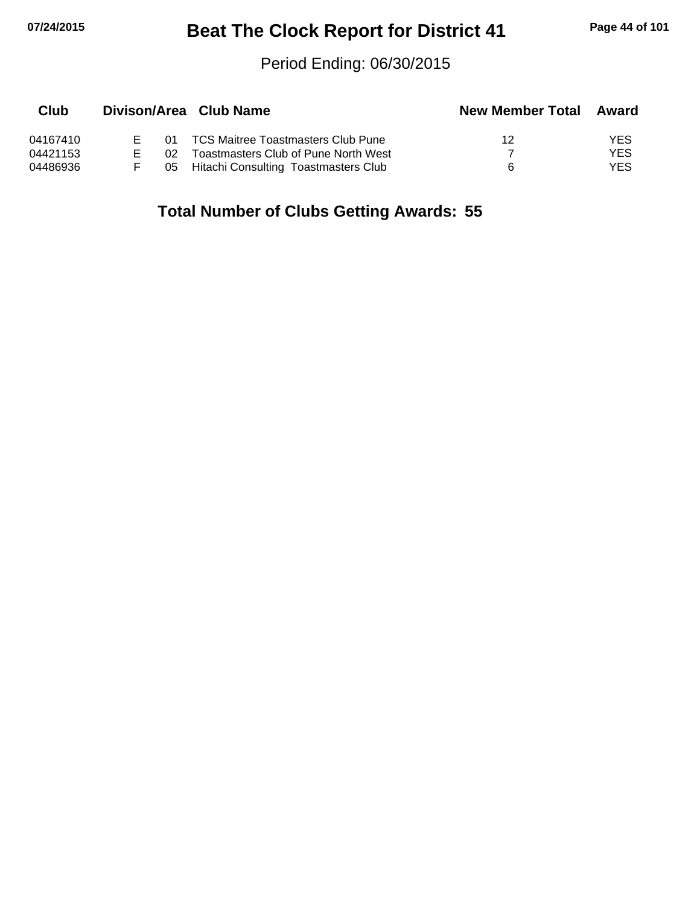# **07/24/2015 Beat The Clock Report for District 41 Page 44 of 101**

#### Period Ending: 06/30/2015

| Club     |     | Divison/Area Club Name                  | <b>New Member Total</b> | Award |
|----------|-----|-----------------------------------------|-------------------------|-------|
| 04167410 |     | 01 TCS Maitree Toastmasters Club Pune   | 12                      | YES   |
| 04421153 | በ2. | Toastmasters Club of Pune North West    |                         | YES   |
| 04486936 |     | 05 Hitachi Consulting Toastmasters Club | Б                       | YES.  |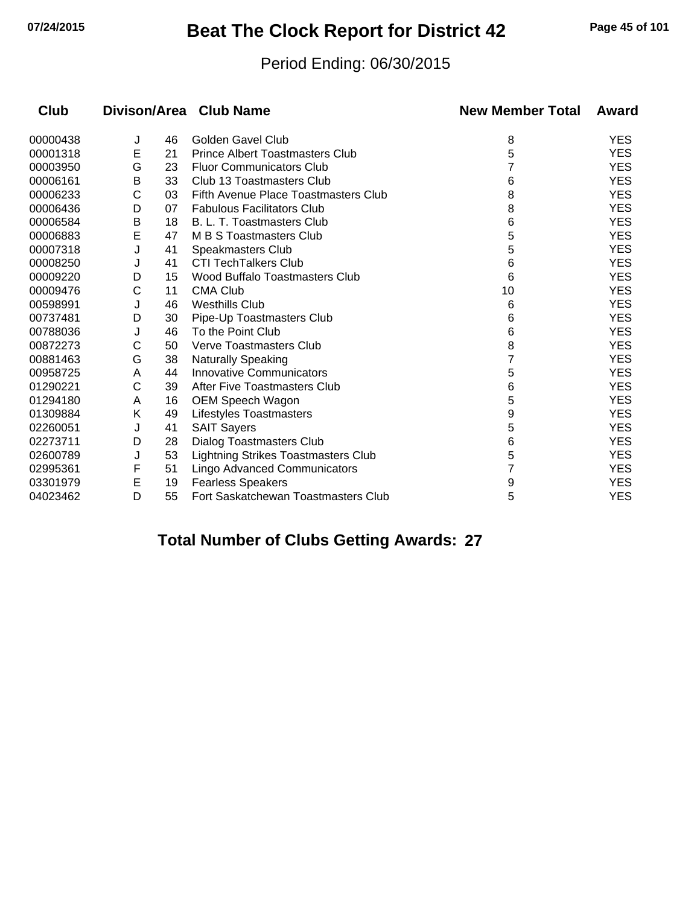# **07/24/2015 Beat The Clock Report for District 42 Page 45 of 101**

#### Period Ending: 06/30/2015

| Club     |   |    | Divison/Area Club Name                 | <b>New Member Total</b> | Award      |
|----------|---|----|----------------------------------------|-------------------------|------------|
| 00000438 | J | 46 | Golden Gavel Club                      | 8                       | <b>YES</b> |
| 00001318 | Е | 21 | <b>Prince Albert Toastmasters Club</b> | 5                       | <b>YES</b> |
| 00003950 | G | 23 | <b>Fluor Communicators Club</b>        |                         | <b>YES</b> |
| 00006161 | В | 33 | Club 13 Toastmasters Club              | 6                       | <b>YES</b> |
| 00006233 | С | 03 | Fifth Avenue Place Toastmasters Club   | 8                       | <b>YES</b> |
| 00006436 | D | 07 | <b>Fabulous Facilitators Club</b>      | 8                       | <b>YES</b> |
| 00006584 | B | 18 | B. L. T. Toastmasters Club             | 6                       | <b>YES</b> |
| 00006883 | E | 47 | M B S Toastmasters Club                | 5                       | <b>YES</b> |
| 00007318 | J | 41 | Speakmasters Club                      | 5                       | <b>YES</b> |
| 00008250 | J | 41 | <b>CTI TechTalkers Club</b>            | 6                       | <b>YES</b> |
| 00009220 | D | 15 | Wood Buffalo Toastmasters Club         | 6                       | <b>YES</b> |
| 00009476 | С | 11 | <b>CMA Club</b>                        | 10                      | <b>YES</b> |
| 00598991 | J | 46 | <b>Westhills Club</b>                  | 6                       | <b>YES</b> |
| 00737481 | D | 30 | Pipe-Up Toastmasters Club              | 6                       | <b>YES</b> |
| 00788036 | J | 46 | To the Point Club                      | 6                       | <b>YES</b> |
| 00872273 | С | 50 | Verve Toastmasters Club                | 8                       | <b>YES</b> |
| 00881463 | G | 38 | <b>Naturally Speaking</b>              |                         | <b>YES</b> |
| 00958725 | Α | 44 | <b>Innovative Communicators</b>        | 5                       | <b>YES</b> |
| 01290221 | С | 39 | After Five Toastmasters Club           | 6                       | <b>YES</b> |
| 01294180 | A | 16 | OEM Speech Wagon                       | 5                       | <b>YES</b> |
| 01309884 | Κ | 49 | Lifestyles Toastmasters                | 9                       | <b>YES</b> |
| 02260051 | J | 41 | <b>SAIT Sayers</b>                     | 5                       | <b>YES</b> |
| 02273711 | D | 28 | Dialog Toastmasters Club               | 6                       | <b>YES</b> |
| 02600789 | J | 53 | Lightning Strikes Toastmasters Club    | 5                       | <b>YES</b> |
| 02995361 | F | 51 | Lingo Advanced Communicators           |                         | <b>YES</b> |
| 03301979 | E | 19 | <b>Fearless Speakers</b>               | 9                       | <b>YES</b> |
| 04023462 | D | 55 | Fort Saskatchewan Toastmasters Club    | 5                       | <b>YES</b> |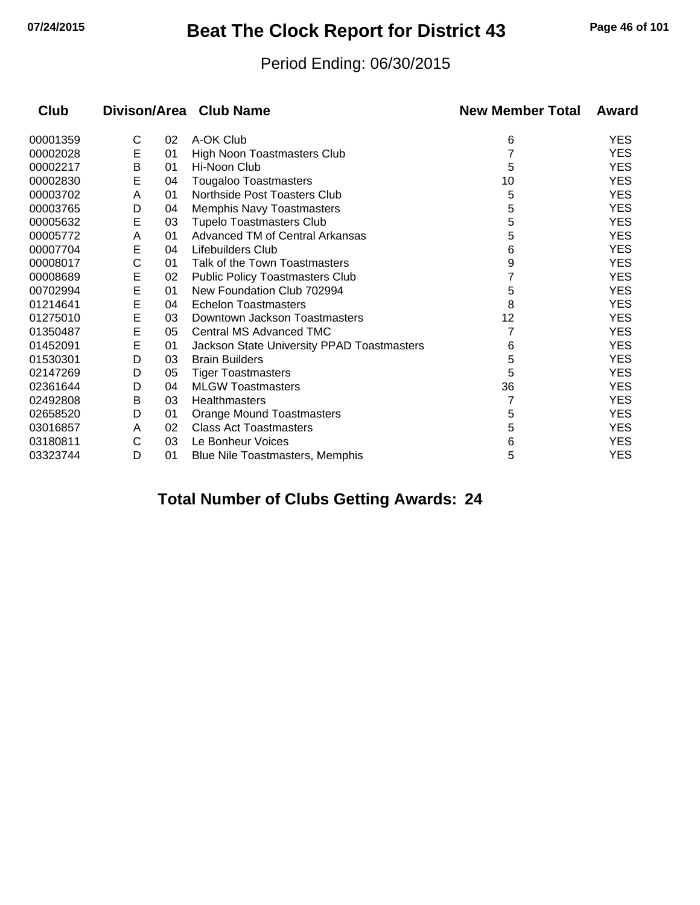# **07/24/2015 Beat The Clock Report for District 43 Page 46 of 101**

#### Period Ending: 06/30/2015

| <b>Club</b> |   |    | Divison/Area Club Name                     | <b>New Member Total</b> | Award      |
|-------------|---|----|--------------------------------------------|-------------------------|------------|
| 00001359    | С | 02 | A-OK Club                                  | 6                       | <b>YES</b> |
| 00002028    | E | 01 | High Noon Toastmasters Club                |                         | <b>YES</b> |
| 00002217    | Β | 01 | Hi-Noon Club                               | 5                       | <b>YES</b> |
| 00002830    | Е | 04 | <b>Tougaloo Toastmasters</b>               | 10                      | <b>YES</b> |
| 00003702    | A | 01 | Northside Post Toasters Club               | 5                       | <b>YES</b> |
| 00003765    | D | 04 | <b>Memphis Navy Toastmasters</b>           | 5                       | <b>YES</b> |
| 00005632    | Е | 03 | <b>Tupelo Toastmasters Club</b>            | 5                       | <b>YES</b> |
| 00005772    | Α | 01 | Advanced TM of Central Arkansas            | 5                       | <b>YES</b> |
| 00007704    | E | 04 | Lifebuilders Club                          | 6                       | <b>YES</b> |
| 00008017    | С | 01 | Talk of the Town Toastmasters              | 9                       | <b>YES</b> |
| 00008689    | E | 02 | <b>Public Policy Toastmasters Club</b>     |                         | <b>YES</b> |
| 00702994    | E | 01 | New Foundation Club 702994                 | 5                       | <b>YES</b> |
| 01214641    | E | 04 | <b>Echelon Toastmasters</b>                | 8                       | <b>YES</b> |
| 01275010    | E | 03 | Downtown Jackson Toastmasters              | 12                      | <b>YES</b> |
| 01350487    | E | 05 | Central MS Advanced TMC                    |                         | <b>YES</b> |
| 01452091    | E | 01 | Jackson State University PPAD Toastmasters | 6                       | <b>YES</b> |
| 01530301    | D | 03 | <b>Brain Builders</b>                      | 5                       | <b>YES</b> |
| 02147269    | D | 05 | <b>Tiger Toastmasters</b>                  | 5                       | <b>YES</b> |
| 02361644    | D | 04 | <b>MLGW Toastmasters</b>                   | 36                      | <b>YES</b> |
| 02492808    | B | 03 | Healthmasters                              |                         | <b>YES</b> |
| 02658520    | D | 01 | <b>Orange Mound Toastmasters</b>           | 5                       | <b>YES</b> |
| 03016857    | A | 02 | <b>Class Act Toastmasters</b>              | 5                       | <b>YES</b> |
| 03180811    | C | 03 | Le Bonheur Voices                          | 6                       | <b>YES</b> |
| 03323744    | D | 01 | <b>Blue Nile Toastmasters, Memphis</b>     | 5                       | <b>YES</b> |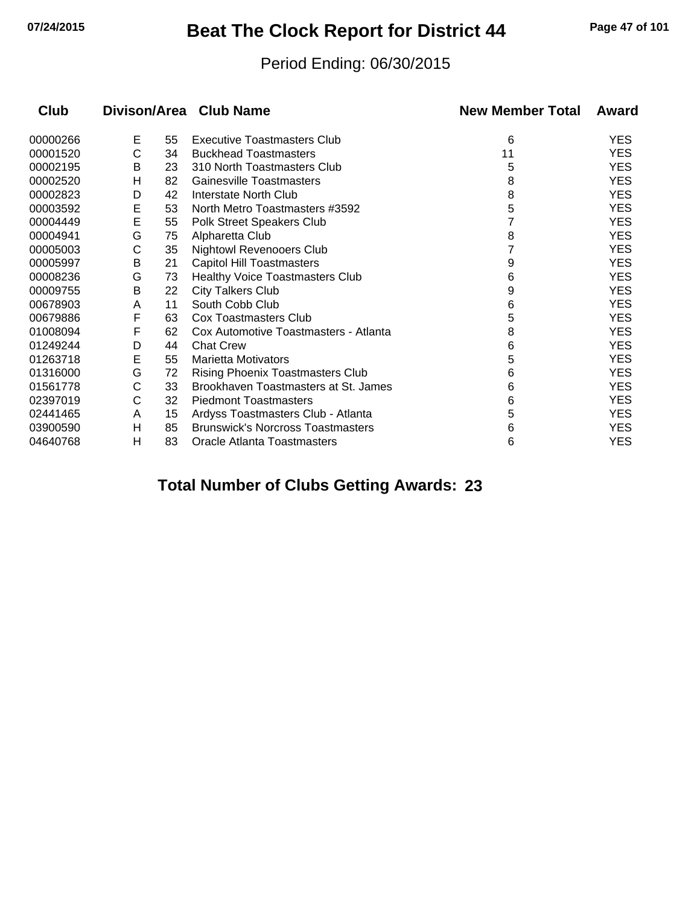# **07/24/2015 Beat The Clock Report for District 44 Page 47 of 101**

#### Period Ending: 06/30/2015

| Club     |   |    | Divison/Area Club Name                   | <b>New Member Total</b> | Award      |
|----------|---|----|------------------------------------------|-------------------------|------------|
| 00000266 | Е | 55 | Executive Toastmasters Club              | 6                       | <b>YES</b> |
| 00001520 | С | 34 | <b>Buckhead Toastmasters</b>             | 11                      | <b>YES</b> |
| 00002195 | B | 23 | 310 North Toastmasters Club              | 5                       | <b>YES</b> |
| 00002520 | н | 82 | <b>Gainesville Toastmasters</b>          | 8                       | <b>YES</b> |
| 00002823 | D | 42 | Interstate North Club                    | 8                       | <b>YES</b> |
| 00003592 | E | 53 | North Metro Toastmasters #3592           | 5                       | <b>YES</b> |
| 00004449 | E | 55 | Polk Street Speakers Club                |                         | <b>YES</b> |
| 00004941 | G | 75 | Alpharetta Club                          | 8                       | <b>YES</b> |
| 00005003 | С | 35 | <b>Nightowl Revenooers Club</b>          |                         | <b>YES</b> |
| 00005997 | B | 21 | <b>Capitol Hill Toastmasters</b>         | 9                       | <b>YES</b> |
| 00008236 | G | 73 | Healthy Voice Toastmasters Club          | 6                       | <b>YES</b> |
| 00009755 | В | 22 | <b>City Talkers Club</b>                 | 9                       | <b>YES</b> |
| 00678903 | Α | 11 | South Cobb Club                          | 6                       | <b>YES</b> |
| 00679886 | F | 63 | Cox Toastmasters Club                    | 5                       | <b>YES</b> |
| 01008094 | F | 62 | Cox Automotive Toastmasters - Atlanta    | 8                       | <b>YES</b> |
| 01249244 | D | 44 | <b>Chat Crew</b>                         | 6                       | <b>YES</b> |
| 01263718 | E | 55 | <b>Marietta Motivators</b>               | 5                       | <b>YES</b> |
| 01316000 | G | 72 | <b>Rising Phoenix Toastmasters Club</b>  | 6                       | <b>YES</b> |
| 01561778 | С | 33 | Brookhaven Toastmasters at St. James     | 6                       | <b>YES</b> |
| 02397019 | С | 32 | <b>Piedmont Toastmasters</b>             | 6                       | <b>YES</b> |
| 02441465 | A | 15 | Ardyss Toastmasters Club - Atlanta       | 5                       | <b>YES</b> |
| 03900590 | Н | 85 | <b>Brunswick's Norcross Toastmasters</b> | 6                       | <b>YES</b> |
| 04640768 | н | 83 | Oracle Atlanta Toastmasters              | 6                       | <b>YES</b> |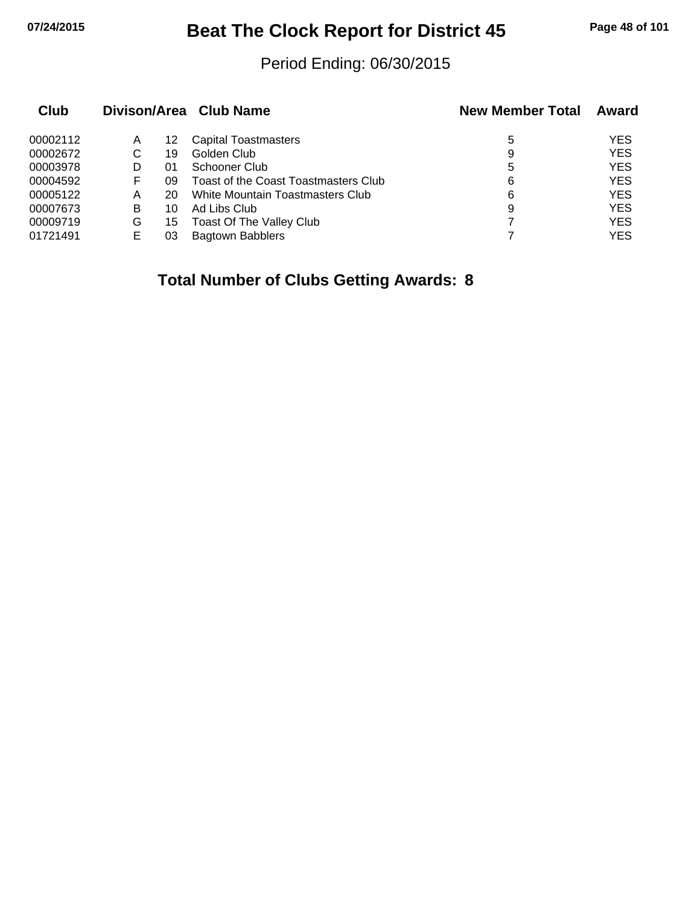# **07/24/2015 Beat The Clock Report for District 45 Page 48 of 101**

#### Period Ending: 06/30/2015

| Club     |   |    | Divison/Area Club Name               | <b>New Member Total</b> | Award      |
|----------|---|----|--------------------------------------|-------------------------|------------|
| 00002112 | Α | 12 | <b>Capital Toastmasters</b>          | 5                       | <b>YES</b> |
| 00002672 | С | 19 | Golden Club                          | 9                       | <b>YES</b> |
| 00003978 |   | 01 | Schooner Club                        | 5                       | <b>YES</b> |
| 00004592 | F | 09 | Toast of the Coast Toastmasters Club | 6                       | <b>YES</b> |
| 00005122 | A | 20 | White Mountain Toastmasters Club     | 6                       | <b>YES</b> |
| 00007673 | B | 10 | Ad Libs Club                         | 9                       | <b>YES</b> |
| 00009719 | G | 15 | <b>Toast Of The Valley Club</b>      |                         | <b>YES</b> |
| 01721491 | Е | 03 | <b>Bagtown Babblers</b>              |                         | <b>YES</b> |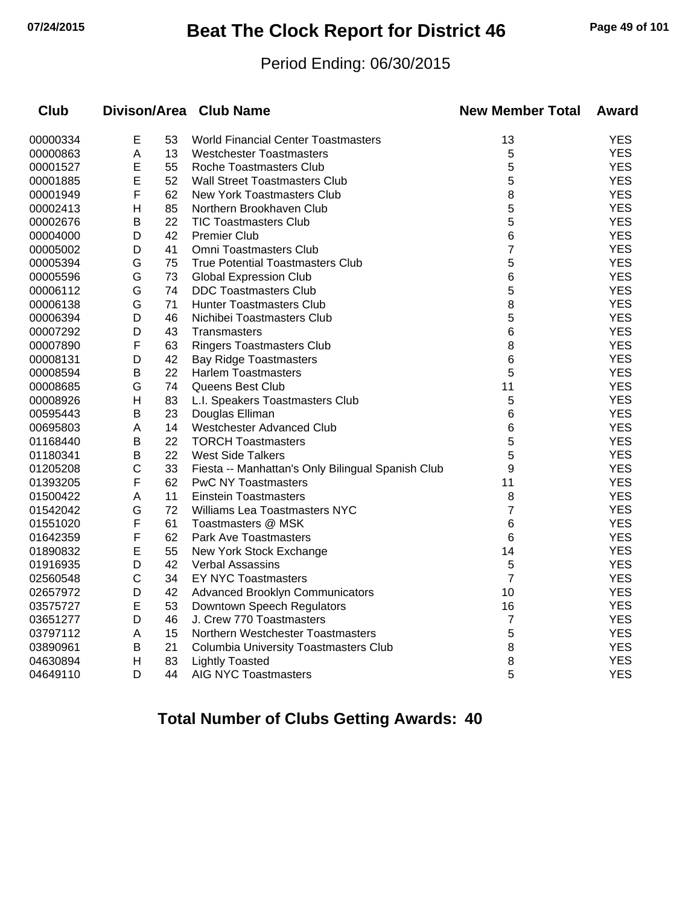# **07/24/2015 Beat The Clock Report for District 46 Page 49 of 101**

#### Period Ending: 06/30/2015

| <b>Club</b> |              |    | Divison/Area Club Name                            | <b>New Member Total</b> | Award      |
|-------------|--------------|----|---------------------------------------------------|-------------------------|------------|
| 00000334    | E            | 53 | <b>World Financial Center Toastmasters</b>        | 13                      | <b>YES</b> |
| 00000863    | A            | 13 | <b>Westchester Toastmasters</b>                   | 5                       | <b>YES</b> |
| 00001527    | E            | 55 | Roche Toastmasters Club                           | 5                       | <b>YES</b> |
| 00001885    | E            | 52 | <b>Wall Street Toastmasters Club</b>              | 5                       | <b>YES</b> |
| 00001949    | F            | 62 | <b>New York Toastmasters Club</b>                 | 8                       | <b>YES</b> |
| 00002413    | H            | 85 | Northern Brookhaven Club                          | 5                       | <b>YES</b> |
| 00002676    | B            | 22 | <b>TIC Toastmasters Club</b>                      | 5                       | <b>YES</b> |
| 00004000    | D            | 42 | <b>Premier Club</b>                               | 6                       | <b>YES</b> |
| 00005002    | D            | 41 | Omni Toastmasters Club                            | $\overline{7}$          | <b>YES</b> |
| 00005394    | G            | 75 | <b>True Potential Toastmasters Club</b>           | 5                       | <b>YES</b> |
| 00005596    | G            | 73 | <b>Global Expression Club</b>                     | 6                       | <b>YES</b> |
| 00006112    | G            | 74 | <b>DDC Toastmasters Club</b>                      | 5                       | <b>YES</b> |
| 00006138    | G            | 71 | <b>Hunter Toastmasters Club</b>                   | 8                       | <b>YES</b> |
| 00006394    | D            | 46 | Nichibei Toastmasters Club                        | 5                       | <b>YES</b> |
| 00007292    | D            | 43 | <b>Transmasters</b>                               | 6                       | <b>YES</b> |
| 00007890    | F            | 63 | <b>Ringers Toastmasters Club</b>                  | 8                       | <b>YES</b> |
| 00008131    | D            | 42 | <b>Bay Ridge Toastmasters</b>                     | 6                       | <b>YES</b> |
| 00008594    | B            | 22 | <b>Harlem Toastmasters</b>                        | 5                       | <b>YES</b> |
| 00008685    | G            | 74 | Queens Best Club                                  | 11                      | <b>YES</b> |
| 00008926    | н            | 83 | L.I. Speakers Toastmasters Club                   | 5                       | <b>YES</b> |
| 00595443    | B            | 23 | Douglas Elliman                                   | 6                       | <b>YES</b> |
| 00695803    | A            | 14 | Westchester Advanced Club                         | 6                       | <b>YES</b> |
| 01168440    | B            | 22 | <b>TORCH Toastmasters</b>                         | 5                       | <b>YES</b> |
| 01180341    | B            | 22 | <b>West Side Talkers</b>                          | 5                       | <b>YES</b> |
| 01205208    | C            | 33 | Fiesta -- Manhattan's Only Bilingual Spanish Club | 9                       | <b>YES</b> |
| 01393205    | F            | 62 | <b>PwC NY Toastmasters</b>                        | 11                      | <b>YES</b> |
| 01500422    | A            | 11 | <b>Einstein Toastmasters</b>                      | 8                       | <b>YES</b> |
| 01542042    | G            | 72 | Williams Lea Toastmasters NYC                     | 7                       | <b>YES</b> |
| 01551020    | F            | 61 | Toastmasters @ MSK                                | 6                       | <b>YES</b> |
| 01642359    | F            | 62 | <b>Park Ave Toastmasters</b>                      | 6                       | <b>YES</b> |
| 01890832    | E            | 55 | New York Stock Exchange                           | 14                      | <b>YES</b> |
| 01916935    | D            | 42 | <b>Verbal Assassins</b>                           | 5                       | <b>YES</b> |
| 02560548    | $\mathsf{C}$ | 34 | <b>EY NYC Toastmasters</b>                        | $\overline{7}$          | <b>YES</b> |
| 02657972    | D            | 42 | <b>Advanced Brooklyn Communicators</b>            | 10                      | <b>YES</b> |
| 03575727    | E            | 53 | Downtown Speech Regulators                        | 16                      | <b>YES</b> |
| 03651277    | D            | 46 | J. Crew 770 Toastmasters                          | $\overline{7}$          | <b>YES</b> |
| 03797112    | Α            | 15 | Northern Westchester Toastmasters                 | 5                       | <b>YES</b> |
| 03890961    | в            | 21 | Columbia University Toastmasters Club             | 8                       | <b>YES</b> |
| 04630894    | $\mathsf{H}$ | 83 | <b>Lightly Toasted</b>                            | 8                       | <b>YES</b> |
| 04649110    | D            | 44 | <b>AIG NYC Toastmasters</b>                       | 5                       | <b>YES</b> |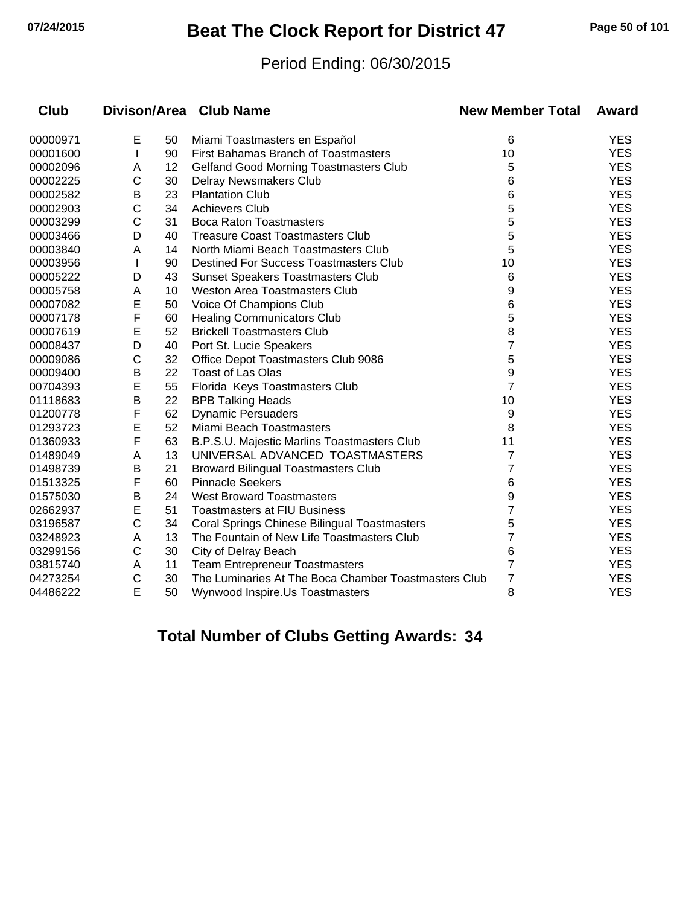# **07/24/2015 Beat The Clock Report for District 47 Page 50 of 101**

#### Period Ending: 06/30/2015

| <b>Club</b> |              |    | Divison/Area Club Name                               | <b>New Member Total</b> | <b>Award</b> |
|-------------|--------------|----|------------------------------------------------------|-------------------------|--------------|
| 00000971    | E            | 50 | Miami Toastmasters en Español                        | 6                       | <b>YES</b>   |
| 00001600    | $\mathbf{I}$ | 90 | First Bahamas Branch of Toastmasters                 | 10                      | <b>YES</b>   |
| 00002096    | A            | 12 | <b>Gelfand Good Morning Toastmasters Club</b>        | 5                       | <b>YES</b>   |
| 00002225    | C            | 30 | Delray Newsmakers Club                               | 6                       | <b>YES</b>   |
| 00002582    | В            | 23 | <b>Plantation Club</b>                               | 6                       | <b>YES</b>   |
| 00002903    | C            | 34 | <b>Achievers Club</b>                                | 5                       | <b>YES</b>   |
| 00003299    | C            | 31 | <b>Boca Raton Toastmasters</b>                       | 5                       | <b>YES</b>   |
| 00003466    | D            | 40 | <b>Treasure Coast Toastmasters Club</b>              | 5                       | <b>YES</b>   |
| 00003840    | A            | 14 | North Miami Beach Toastmasters Club                  | 5                       | <b>YES</b>   |
| 00003956    | $\mathbf{I}$ | 90 | <b>Destined For Success Toastmasters Club</b>        | 10                      | <b>YES</b>   |
| 00005222    | D            | 43 | <b>Sunset Speakers Toastmasters Club</b>             | 6                       | <b>YES</b>   |
| 00005758    | A            | 10 | Weston Area Toastmasters Club                        | 9                       | <b>YES</b>   |
| 00007082    | E            | 50 | Voice Of Champions Club                              | 6                       | <b>YES</b>   |
| 00007178    | F            | 60 | <b>Healing Communicators Club</b>                    | 5                       | <b>YES</b>   |
| 00007619    | E            | 52 | <b>Brickell Toastmasters Club</b>                    | 8                       | <b>YES</b>   |
| 00008437    | D            | 40 | Port St. Lucie Speakers                              | 7                       | <b>YES</b>   |
| 00009086    | C            | 32 | Office Depot Toastmasters Club 9086                  | 5                       | <b>YES</b>   |
| 00009400    | В            | 22 | Toast of Las Olas                                    | 9                       | <b>YES</b>   |
| 00704393    | E            | 55 | Florida Keys Toastmasters Club                       | $\overline{7}$          | <b>YES</b>   |
| 01118683    | B            | 22 | <b>BPB Talking Heads</b>                             | 10                      | <b>YES</b>   |
| 01200778    | F            | 62 | <b>Dynamic Persuaders</b>                            | 9                       | <b>YES</b>   |
| 01293723    | E            | 52 | Miami Beach Toastmasters                             | 8                       | <b>YES</b>   |
| 01360933    | F            | 63 | B.P.S.U. Majestic Marlins Toastmasters Club          | 11                      | <b>YES</b>   |
| 01489049    | A            | 13 | UNIVERSAL ADVANCED TOASTMASTERS                      | 7                       | <b>YES</b>   |
| 01498739    | Β            | 21 | <b>Broward Bilingual Toastmasters Club</b>           | 7                       | <b>YES</b>   |
| 01513325    | F            | 60 | <b>Pinnacle Seekers</b>                              | 6                       | <b>YES</b>   |
| 01575030    | В            | 24 | <b>West Broward Toastmasters</b>                     | 9                       | <b>YES</b>   |
| 02662937    | E            | 51 | <b>Toastmasters at FIU Business</b>                  | 7                       | <b>YES</b>   |
| 03196587    | C            | 34 | Coral Springs Chinese Bilingual Toastmasters         | 5                       | <b>YES</b>   |
| 03248923    | A            | 13 | The Fountain of New Life Toastmasters Club           | 7                       | <b>YES</b>   |
| 03299156    | C            | 30 | City of Delray Beach                                 | 6                       | <b>YES</b>   |
| 03815740    | A            | 11 | <b>Team Entrepreneur Toastmasters</b>                | 7                       | <b>YES</b>   |
| 04273254    | С            | 30 | The Luminaries At The Boca Chamber Toastmasters Club | 7                       | <b>YES</b>   |
| 04486222    | E            | 50 | Wynwood Inspire.Us Toastmasters                      | 8                       | <b>YES</b>   |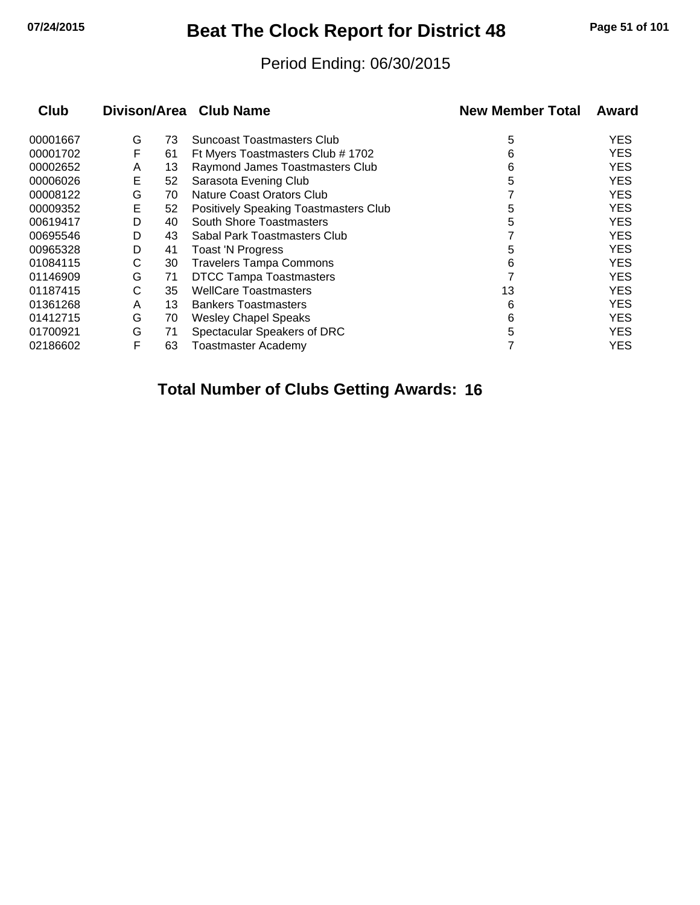# **07/24/2015 Beat The Clock Report for District 48 Page 51 of 101**

#### Period Ending: 06/30/2015

| Club     |   |    | Divison/Area Club Name                | <b>New Member Total</b> | Award      |
|----------|---|----|---------------------------------------|-------------------------|------------|
| 00001667 | G | 73 | <b>Suncoast Toastmasters Club</b>     | 5                       | <b>YES</b> |
| 00001702 | F | 61 | Ft Myers Toastmasters Club # 1702     | 6                       | <b>YES</b> |
| 00002652 | A | 13 | Raymond James Toastmasters Club       | 6                       | <b>YES</b> |
| 00006026 | Е | 52 | Sarasota Evening Club                 | 5                       | <b>YES</b> |
| 00008122 | G | 70 | Nature Coast Orators Club             |                         | <b>YES</b> |
| 00009352 | Е | 52 | Positively Speaking Toastmasters Club | 5                       | <b>YES</b> |
| 00619417 | D | 40 | <b>South Shore Toastmasters</b>       | 5                       | <b>YES</b> |
| 00695546 | D | 43 | Sabal Park Toastmasters Club          |                         | <b>YES</b> |
| 00965328 | D | 41 | <b>Toast 'N Progress</b>              | 5                       | <b>YES</b> |
| 01084115 | С | 30 | <b>Travelers Tampa Commons</b>        | 6                       | <b>YES</b> |
| 01146909 | G | 71 | <b>DTCC Tampa Toastmasters</b>        |                         | <b>YES</b> |
| 01187415 | С | 35 | <b>WellCare Toastmasters</b>          | 13                      | <b>YES</b> |
| 01361268 | A | 13 | <b>Bankers Toastmasters</b>           | 6                       | <b>YES</b> |
| 01412715 | G | 70 | <b>Wesley Chapel Speaks</b>           | 6                       | <b>YES</b> |
| 01700921 | G | 71 | Spectacular Speakers of DRC           | 5                       | <b>YES</b> |
| 02186602 | F | 63 | <b>Toastmaster Academy</b>            |                         | YES        |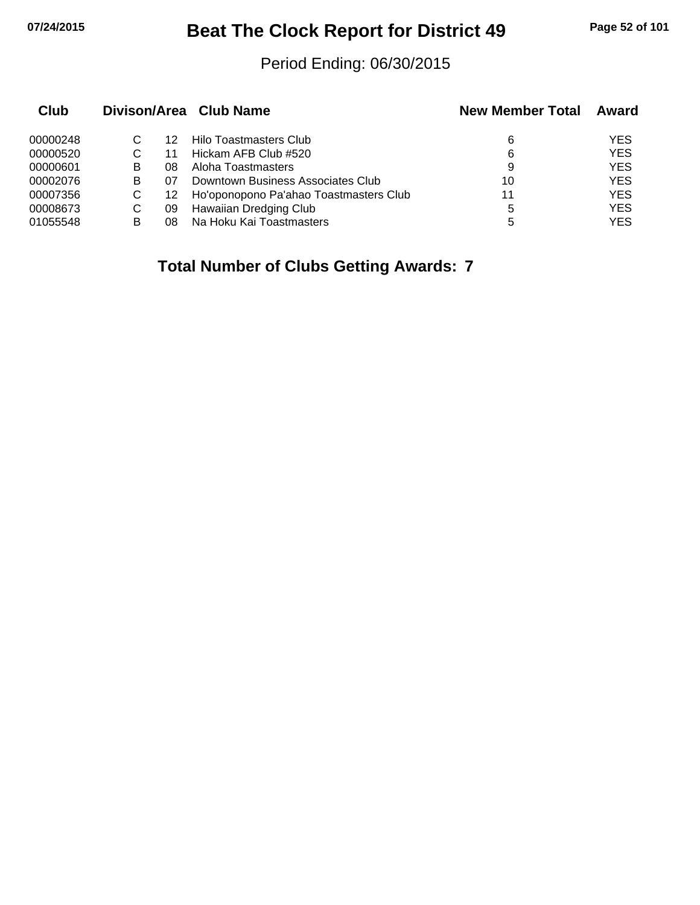# **07/24/2015 Beat The Clock Report for District 49 Page 52 of 101**

#### Period Ending: 06/30/2015

| Club     |   |     | Divison/Area Club Name                 | <b>New Member Total</b> | Award      |
|----------|---|-----|----------------------------------------|-------------------------|------------|
| 00000248 |   | 12  | Hilo Toastmasters Club                 | 6                       | YES        |
| 00000520 |   | 11  | Hickam AFB Club #520                   | 6                       | <b>YES</b> |
| 00000601 | В | 08  | Aloha Toastmasters                     | 9                       | <b>YES</b> |
| 00002076 | В | 07  | Downtown Business Associates Club      | 10                      | <b>YES</b> |
| 00007356 | С | 12. | Ho'oponopono Pa'ahao Toastmasters Club | 11                      | <b>YES</b> |
| 00008673 | С | 09  | Hawaiian Dredging Club                 | 5                       | <b>YES</b> |
| 01055548 | B | 08  | Na Hoku Kai Toastmasters               | 5                       | YES        |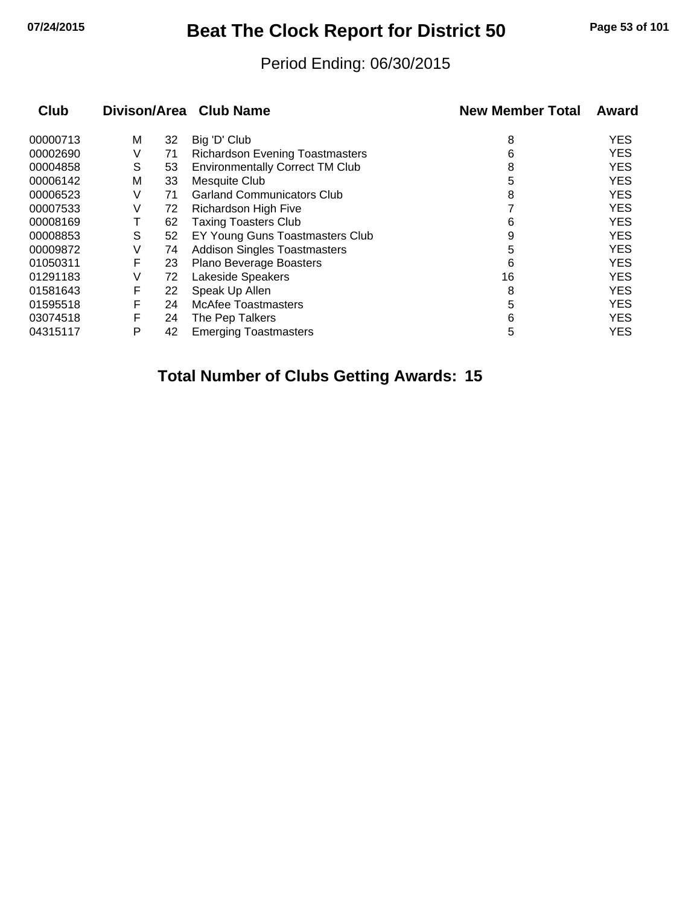# **07/24/2015 Beat The Clock Report for District 50 Page 53 of 101**

#### Period Ending: 06/30/2015

| <b>Club</b> |   |    | Divison/Area Club Name                 | <b>New Member Total</b> | Award      |
|-------------|---|----|----------------------------------------|-------------------------|------------|
| 00000713    | м | 32 | Big 'D' Club                           | 8                       | <b>YES</b> |
| 00002690    | V | 71 | <b>Richardson Evening Toastmasters</b> | 6                       | <b>YES</b> |
| 00004858    | S | 53 | <b>Environmentally Correct TM Club</b> | 8                       | <b>YES</b> |
| 00006142    | М | 33 | Mesquite Club                          | 5                       | <b>YES</b> |
| 00006523    | V | 71 | <b>Garland Communicators Club</b>      | 8                       | <b>YES</b> |
| 00007533    | V | 72 | Richardson High Five                   |                         | <b>YES</b> |
| 00008169    | Τ | 62 | <b>Taxing Toasters Club</b>            | 6                       | <b>YES</b> |
| 00008853    | S | 52 | EY Young Guns Toastmasters Club        | 9                       | <b>YES</b> |
| 00009872    | V | 74 | <b>Addison Singles Toastmasters</b>    | 5                       | <b>YES</b> |
| 01050311    | F | 23 | Plano Beverage Boasters                | 6                       | <b>YES</b> |
| 01291183    | V | 72 | Lakeside Speakers                      | 16                      | <b>YES</b> |
| 01581643    | F | 22 | Speak Up Allen                         | 8                       | <b>YES</b> |
| 01595518    | F | 24 | McAfee Toastmasters                    | 5                       | <b>YES</b> |
| 03074518    | F | 24 | The Pep Talkers                        | 6                       | <b>YES</b> |
| 04315117    | P | 42 | <b>Emerging Toastmasters</b>           | 5                       | <b>YES</b> |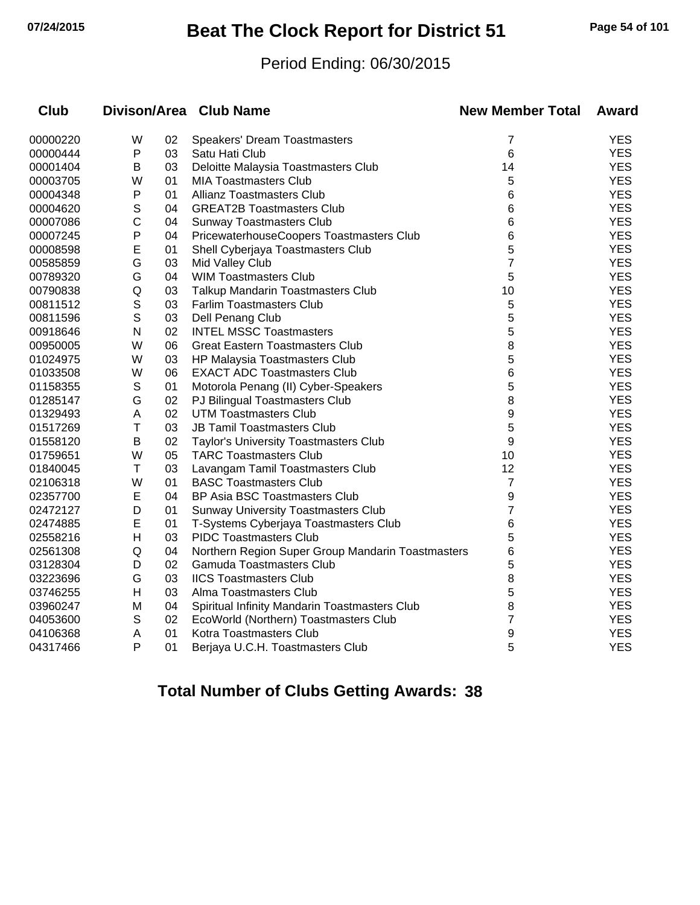# **07/24/2015 Beat The Clock Report for District 51 Page 54 of 101**

#### Period Ending: 06/30/2015

| Club     |              |    | Divison/Area Club Name                            | <b>New Member Total</b> | <b>Award</b> |
|----------|--------------|----|---------------------------------------------------|-------------------------|--------------|
| 00000220 | W            | 02 | Speakers' Dream Toastmasters                      | 7                       | <b>YES</b>   |
| 00000444 | $\mathsf{P}$ | 03 | Satu Hati Club                                    | 6                       | <b>YES</b>   |
| 00001404 | В            | 03 | Deloitte Malaysia Toastmasters Club               | 14                      | <b>YES</b>   |
| 00003705 | W            | 01 | <b>MIA Toastmasters Club</b>                      | 5                       | <b>YES</b>   |
| 00004348 | ${\sf P}$    | 01 | Allianz Toastmasters Club                         | 6                       | <b>YES</b>   |
| 00004620 | $\mathsf S$  | 04 | <b>GREAT2B Toastmasters Club</b>                  | 6                       | <b>YES</b>   |
| 00007086 | C            | 04 | <b>Sunway Toastmasters Club</b>                   | 6                       | <b>YES</b>   |
| 00007245 | $\mathsf{P}$ | 04 | PricewaterhouseCoopers Toastmasters Club          | 6                       | <b>YES</b>   |
| 00008598 | E            | 01 | Shell Cyberjaya Toastmasters Club                 | 5                       | <b>YES</b>   |
| 00585859 | G            | 03 | Mid Valley Club                                   | $\overline{7}$          | <b>YES</b>   |
| 00789320 | G            | 04 | <b>WIM Toastmasters Club</b>                      | 5                       | <b>YES</b>   |
| 00790838 | Q            | 03 | Talkup Mandarin Toastmasters Club                 | 10                      | <b>YES</b>   |
| 00811512 | $\mathbb S$  | 03 | <b>Farlim Toastmasters Club</b>                   | 5                       | <b>YES</b>   |
| 00811596 | $\mathsf S$  | 03 | Dell Penang Club                                  | 5                       | <b>YES</b>   |
| 00918646 | $\mathsf{N}$ | 02 | <b>INTEL MSSC Toastmasters</b>                    | 5                       | <b>YES</b>   |
| 00950005 | W            | 06 | <b>Great Eastern Toastmasters Club</b>            | 8                       | <b>YES</b>   |
| 01024975 | W            | 03 | HP Malaysia Toastmasters Club                     | 5                       | <b>YES</b>   |
| 01033508 | W            | 06 | <b>EXACT ADC Toastmasters Club</b>                | 6                       | <b>YES</b>   |
| 01158355 | $\mathbb S$  | 01 | Motorola Penang (II) Cyber-Speakers               | 5                       | <b>YES</b>   |
| 01285147 | G            | 02 | PJ Bilingual Toastmasters Club                    | 8                       | <b>YES</b>   |
| 01329493 | A            | 02 | <b>UTM Toastmasters Club</b>                      | 9                       | <b>YES</b>   |
| 01517269 | T            | 03 | <b>JB Tamil Toastmasters Club</b>                 | 5                       | <b>YES</b>   |
| 01558120 | B            | 02 | Taylor's University Toastmasters Club             | 9                       | <b>YES</b>   |
| 01759651 | W            | 05 | <b>TARC Toastmasters Club</b>                     | 10                      | <b>YES</b>   |
| 01840045 | T            | 03 | Lavangam Tamil Toastmasters Club                  | 12                      | <b>YES</b>   |
| 02106318 | W            | 01 | <b>BASC Toastmasters Club</b>                     | 7                       | <b>YES</b>   |
| 02357700 | E            | 04 | <b>BP Asia BSC Toastmasters Club</b>              | 9                       | <b>YES</b>   |
| 02472127 | D            | 01 | <b>Sunway University Toastmasters Club</b>        | $\overline{7}$          | <b>YES</b>   |
| 02474885 | E            | 01 | T-Systems Cyberjaya Toastmasters Club             | 6                       | <b>YES</b>   |
| 02558216 | Н            | 03 | <b>PIDC Toastmasters Club</b>                     | 5                       | <b>YES</b>   |
| 02561308 | Q            | 04 | Northern Region Super Group Mandarin Toastmasters | 6                       | <b>YES</b>   |
| 03128304 | D            | 02 | Gamuda Toastmasters Club                          | 5                       | <b>YES</b>   |
| 03223696 | G            | 03 | <b>IICS Toastmasters Club</b>                     | 8                       | <b>YES</b>   |
| 03746255 | н            | 03 | Alma Toastmasters Club                            | 5                       | <b>YES</b>   |
| 03960247 | M            | 04 | Spiritual Infinity Mandarin Toastmasters Club     | 8                       | <b>YES</b>   |
| 04053600 | S            | 02 | EcoWorld (Northern) Toastmasters Club             | $\overline{7}$          | <b>YES</b>   |
| 04106368 | Α            | 01 | Kotra Toastmasters Club                           | 9                       | <b>YES</b>   |
| 04317466 | P            | 01 | Berjaya U.C.H. Toastmasters Club                  | 5                       | <b>YES</b>   |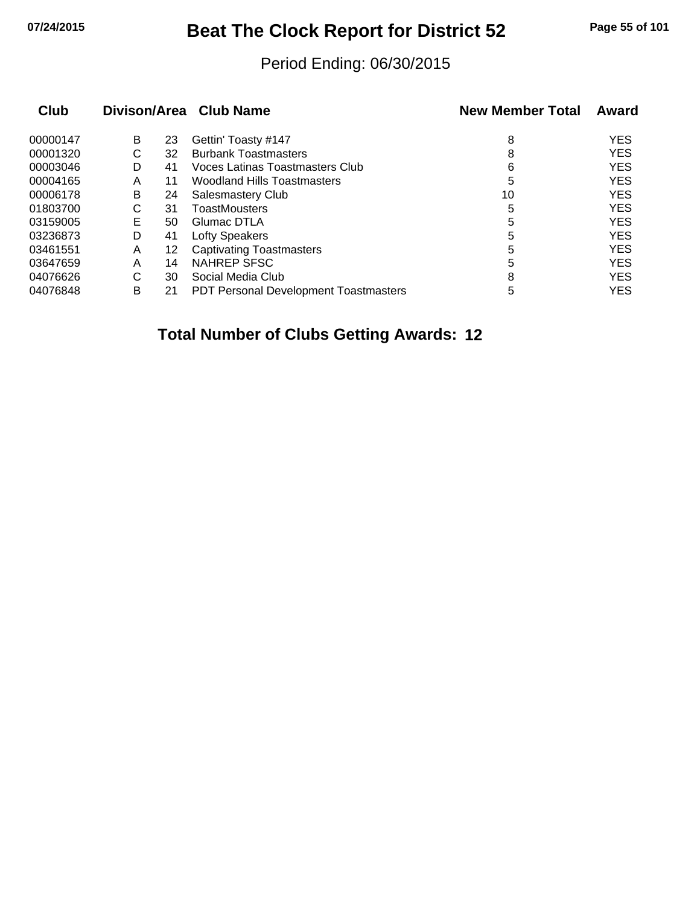# **07/24/2015 Beat The Clock Report for District 52 Page 55 of 101**

#### Period Ending: 06/30/2015

|   |    |                                              | <b>New Member Total</b> | Award      |
|---|----|----------------------------------------------|-------------------------|------------|
| B | 23 | Gettin' Toasty #147                          | 8                       | <b>YES</b> |
| С | 32 | <b>Burbank Toastmasters</b>                  | 8                       | <b>YES</b> |
| D | 41 | Voces Latinas Toastmasters Club              | 6                       | <b>YES</b> |
| Α | 11 | <b>Woodland Hills Toastmasters</b>           | 5                       | <b>YES</b> |
| B | 24 | <b>Salesmastery Club</b>                     | 10                      | <b>YES</b> |
| С | 31 | <b>ToastMousters</b>                         | 5                       | <b>YES</b> |
| Е | 50 | Glumac DTLA                                  | 5                       | <b>YES</b> |
| D | 41 | Lofty Speakers                               | 5                       | <b>YES</b> |
| A | 12 | <b>Captivating Toastmasters</b>              | 5                       | <b>YES</b> |
| Α | 14 | NAHREP SFSC                                  | 5                       | <b>YES</b> |
| С | 30 | Social Media Club                            | 8                       | <b>YES</b> |
| в | 21 | <b>PDT Personal Development Toastmasters</b> | 5                       | <b>YES</b> |
|   |    |                                              | Divison/Area Club Name  |            |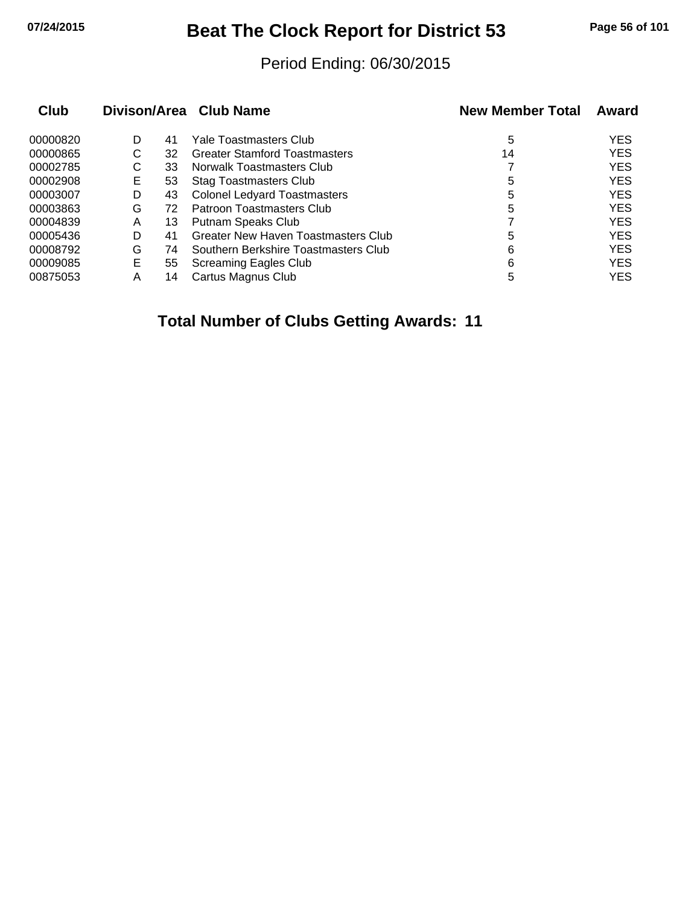# **07/24/2015 Beat The Clock Report for District 53 Page 56 of 101**

#### Period Ending: 06/30/2015

| Club     |   |    | Divison/Area Club Name               | <b>New Member Total</b> | Award      |
|----------|---|----|--------------------------------------|-------------------------|------------|
| 00000820 | D | 41 | Yale Toastmasters Club               | 5                       | <b>YES</b> |
| 00000865 | С | 32 | <b>Greater Stamford Toastmasters</b> | 14                      | <b>YES</b> |
| 00002785 | С | 33 | Norwalk Toastmasters Club            |                         | <b>YES</b> |
| 00002908 | Е | 53 | <b>Stag Toastmasters Club</b>        | 5                       | <b>YES</b> |
| 00003007 | D | 43 | <b>Colonel Ledyard Toastmasters</b>  | 5                       | <b>YES</b> |
| 00003863 | G | 72 | Patroon Toastmasters Club            | 5                       | <b>YES</b> |
| 00004839 | Α | 13 | Putnam Speaks Club                   |                         | <b>YES</b> |
| 00005436 | D | 41 | Greater New Haven Toastmasters Club  | 5                       | <b>YES</b> |
| 00008792 | G | 74 | Southern Berkshire Toastmasters Club | 6                       | <b>YES</b> |
| 00009085 | Е | 55 | Screaming Eagles Club                | 6                       | <b>YES</b> |
| 00875053 | Α | 14 | Cartus Magnus Club                   | 5                       | <b>YES</b> |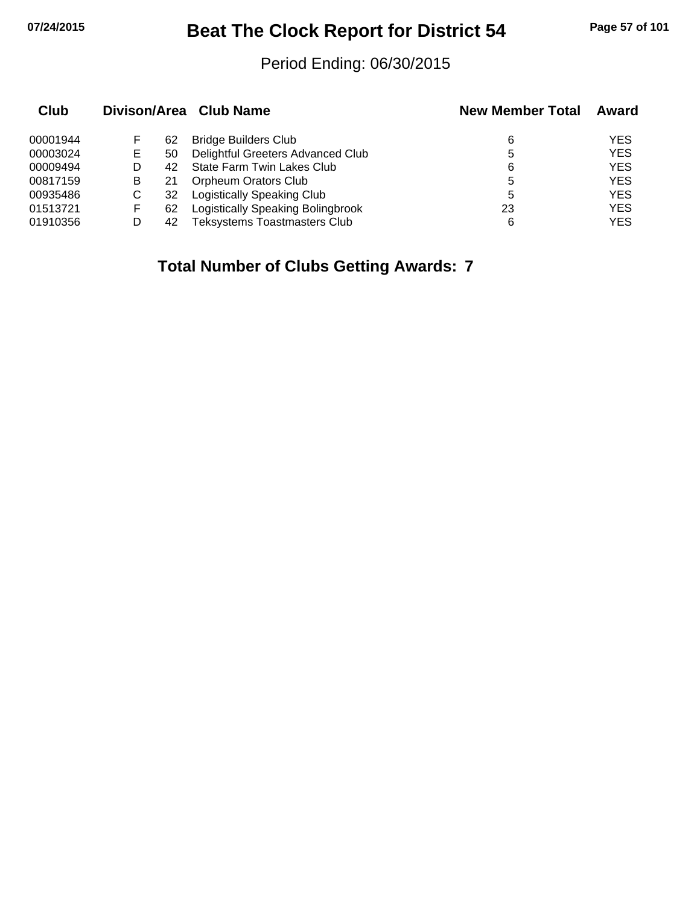# **07/24/2015 Beat The Clock Report for District 54 Page 57 of 101**

#### Period Ending: 06/30/2015

| Club     |    |    | Divison/Area Club Name              | <b>New Member Total</b> | Award      |
|----------|----|----|-------------------------------------|-------------------------|------------|
| 00001944 |    | 62 | <b>Bridge Builders Club</b>         | 6                       | <b>YES</b> |
| 00003024 | E. | 50 | Delightful Greeters Advanced Club   | 5                       | <b>YES</b> |
| 00009494 |    | 42 | State Farm Twin Lakes Club          | 6                       | <b>YES</b> |
| 00817159 | B  |    | <b>Orpheum Orators Club</b>         | 5                       | <b>YES</b> |
| 00935486 | С  | 32 | <b>Logistically Speaking Club</b>   | 5                       | <b>YES</b> |
| 01513721 | F  | 62 | Logistically Speaking Bolingbrook   | 23                      | <b>YES</b> |
| 01910356 |    | 42 | <b>Teksystems Toastmasters Club</b> | 6                       | <b>YES</b> |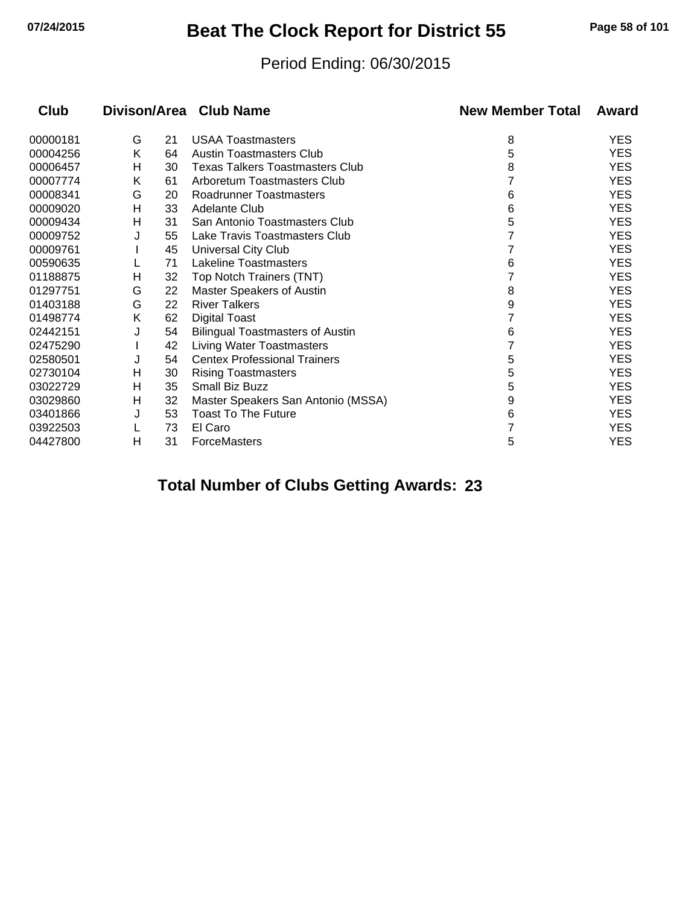# **07/24/2015 Beat The Clock Report for District 55 Page 58 of 101**

#### Period Ending: 06/30/2015

| Club     |   |    | Divison/Area Club Name                  | <b>New Member Total</b> | Award      |
|----------|---|----|-----------------------------------------|-------------------------|------------|
| 00000181 | G | 21 | <b>USAA Toastmasters</b>                | 8                       | <b>YES</b> |
| 00004256 | K | 64 | Austin Toastmasters Club                | 5                       | <b>YES</b> |
| 00006457 | н | 30 | <b>Texas Talkers Toastmasters Club</b>  | 8                       | <b>YES</b> |
| 00007774 | Κ | 61 | Arboretum Toastmasters Club             |                         | <b>YES</b> |
| 00008341 | G | 20 | Roadrunner Toastmasters                 | 6                       | <b>YES</b> |
| 00009020 | н | 33 | Adelante Club                           | 6                       | <b>YES</b> |
| 00009434 | Н | 31 | San Antonio Toastmasters Club           | 5                       | <b>YES</b> |
| 00009752 | J | 55 | Lake Travis Toastmasters Club           |                         | <b>YES</b> |
| 00009761 |   | 45 | Universal City Club                     |                         | <b>YES</b> |
| 00590635 |   | 71 | <b>Lakeline Toastmasters</b>            | 6                       | <b>YES</b> |
| 01188875 | н | 32 | Top Notch Trainers (TNT)                |                         | <b>YES</b> |
| 01297751 | G | 22 | <b>Master Speakers of Austin</b>        | 8                       | <b>YES</b> |
| 01403188 | G | 22 | <b>River Talkers</b>                    | 9                       | <b>YES</b> |
| 01498774 | Κ | 62 | <b>Digital Toast</b>                    |                         | <b>YES</b> |
| 02442151 | J | 54 | <b>Bilingual Toastmasters of Austin</b> | 6                       | <b>YES</b> |
| 02475290 |   | 42 | Living Water Toastmasters               |                         | <b>YES</b> |
| 02580501 | J | 54 | <b>Centex Professional Trainers</b>     | 5                       | <b>YES</b> |
| 02730104 | н | 30 | <b>Rising Toastmasters</b>              | 5                       | <b>YES</b> |
| 03022729 | н | 35 | Small Biz Buzz                          | 5                       | <b>YES</b> |
| 03029860 | н | 32 | Master Speakers San Antonio (MSSA)      | 9                       | <b>YES</b> |
| 03401866 | J | 53 | <b>Toast To The Future</b>              | 6                       | <b>YES</b> |
| 03922503 |   | 73 | El Caro                                 |                         | <b>YES</b> |
| 04427800 | н | 31 | <b>ForceMasters</b>                     | 5                       | <b>YES</b> |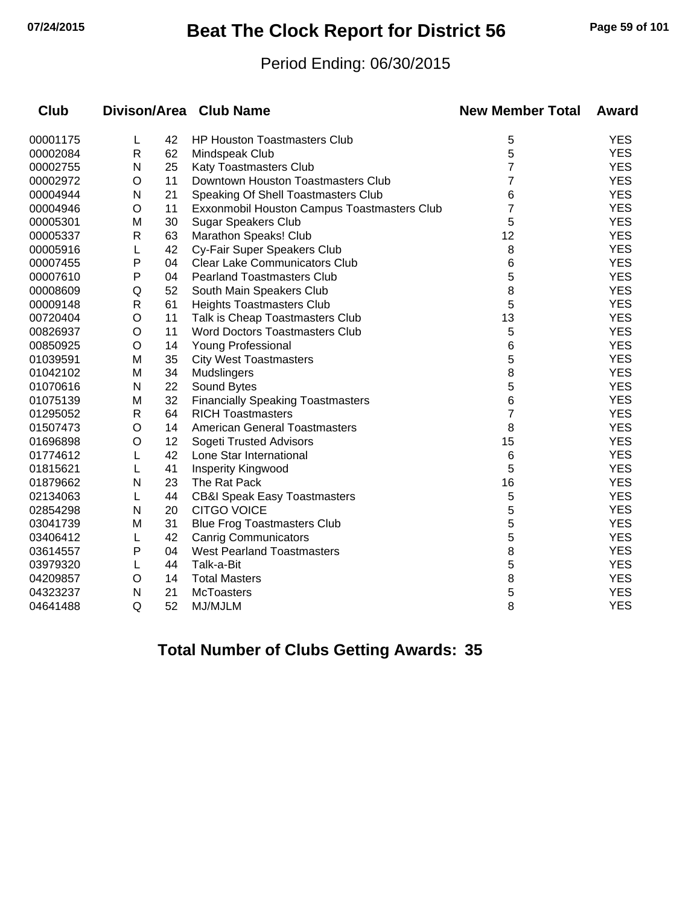# **07/24/2015 Beat The Clock Report for District 56 Page 59 of 101**

#### Period Ending: 06/30/2015

| <b>Club</b> |              |    | Divison/Area Club Name                      | <b>New Member Total</b> | <b>Award</b> |
|-------------|--------------|----|---------------------------------------------|-------------------------|--------------|
| 00001175    | L            | 42 | <b>HP Houston Toastmasters Club</b>         | 5                       | <b>YES</b>   |
| 00002084    | $\mathsf{R}$ | 62 | Mindspeak Club                              | 5                       | <b>YES</b>   |
| 00002755    | N            | 25 | Katy Toastmasters Club                      | 7                       | <b>YES</b>   |
| 00002972    | O            | 11 | Downtown Houston Toastmasters Club          | 7                       | <b>YES</b>   |
| 00004944    | N            | 21 | Speaking Of Shell Toastmasters Club         | 6                       | <b>YES</b>   |
| 00004946    | O            | 11 | Exxonmobil Houston Campus Toastmasters Club | 7                       | <b>YES</b>   |
| 00005301    | М            | 30 | <b>Sugar Speakers Club</b>                  | 5                       | <b>YES</b>   |
| 00005337    | R            | 63 | Marathon Speaks! Club                       | 12                      | <b>YES</b>   |
| 00005916    | L            | 42 | Cy-Fair Super Speakers Club                 | 8                       | <b>YES</b>   |
| 00007455    | Ρ            | 04 | <b>Clear Lake Communicators Club</b>        | 6                       | <b>YES</b>   |
| 00007610    | Ρ            | 04 | <b>Pearland Toastmasters Club</b>           | 5                       | <b>YES</b>   |
| 00008609    | Q            | 52 | South Main Speakers Club                    | 8                       | <b>YES</b>   |
| 00009148    | R            | 61 | <b>Heights Toastmasters Club</b>            | 5                       | <b>YES</b>   |
| 00720404    | O            | 11 | Talk is Cheap Toastmasters Club             | 13                      | <b>YES</b>   |
| 00826937    | O            | 11 | <b>Word Doctors Toastmasters Club</b>       | 5                       | <b>YES</b>   |
| 00850925    | O            | 14 | Young Professional                          | 6                       | <b>YES</b>   |
| 01039591    | М            | 35 | <b>City West Toastmasters</b>               | 5                       | <b>YES</b>   |
| 01042102    | M            | 34 | Mudslingers                                 | 8                       | <b>YES</b>   |
| 01070616    | N            | 22 | Sound Bytes                                 | 5                       | <b>YES</b>   |
| 01075139    | М            | 32 | <b>Financially Speaking Toastmasters</b>    | 6                       | <b>YES</b>   |
| 01295052    | R            | 64 | <b>RICH Toastmasters</b>                    | 7                       | <b>YES</b>   |
| 01507473    | O            | 14 | <b>American General Toastmasters</b>        | 8                       | <b>YES</b>   |
| 01696898    | O            | 12 | Sogeti Trusted Advisors                     | 15                      | <b>YES</b>   |
| 01774612    | L            | 42 | Lone Star International                     | 6                       | <b>YES</b>   |
| 01815621    | L            | 41 | Insperity Kingwood                          | 5                       | <b>YES</b>   |
| 01879662    | N            | 23 | The Rat Pack                                | 16                      | <b>YES</b>   |
| 02134063    | L            | 44 | <b>CB&amp;I Speak Easy Toastmasters</b>     | 5                       | <b>YES</b>   |
| 02854298    | N            | 20 | <b>CITGO VOICE</b>                          | 5                       | <b>YES</b>   |
| 03041739    | M            | 31 | <b>Blue Frog Toastmasters Club</b>          | 5                       | <b>YES</b>   |
| 03406412    | L            | 42 | <b>Canrig Communicators</b>                 | 5                       | <b>YES</b>   |
| 03614557    | P            | 04 | <b>West Pearland Toastmasters</b>           | 8                       | <b>YES</b>   |
| 03979320    | L            | 44 | Talk-a-Bit                                  | 5                       | <b>YES</b>   |
| 04209857    | O            | 14 | <b>Total Masters</b>                        | 8                       | <b>YES</b>   |
| 04323237    | N            | 21 | <b>McToasters</b>                           | 5                       | <b>YES</b>   |
| 04641488    | Q            | 52 | MJ/MJLM                                     | 8                       | <b>YES</b>   |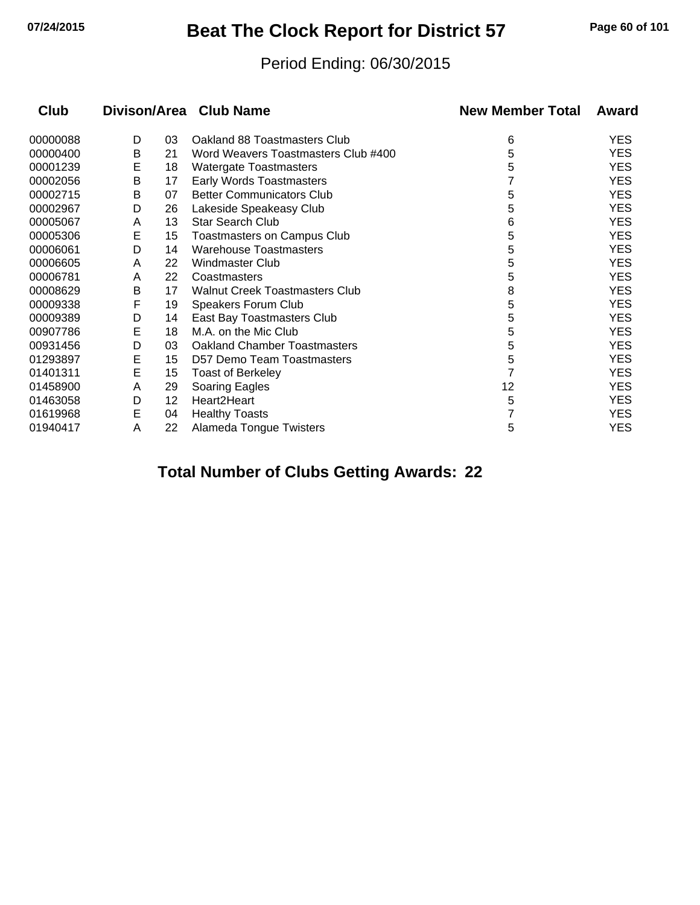# **07/24/2015 Beat The Clock Report for District 57 Page 60 of 101**

#### Period Ending: 06/30/2015

| Club     |   |    | Divison/Area Club Name              | <b>New Member Total</b> | Award      |
|----------|---|----|-------------------------------------|-------------------------|------------|
| 00000088 | D | 03 | Oakland 88 Toastmasters Club        | 6                       | <b>YES</b> |
| 00000400 | Β | 21 | Word Weavers Toastmasters Club #400 | 5                       | <b>YES</b> |
| 00001239 | E | 18 | Watergate Toastmasters              | 5                       | <b>YES</b> |
| 00002056 | В | 17 | <b>Early Words Toastmasters</b>     |                         | <b>YES</b> |
| 00002715 | В | 07 | <b>Better Communicators Club</b>    | 5                       | <b>YES</b> |
| 00002967 | D | 26 | Lakeside Speakeasy Club             | 5                       | <b>YES</b> |
| 00005067 | A | 13 | <b>Star Search Club</b>             | 6                       | <b>YES</b> |
| 00005306 | Е | 15 | Toastmasters on Campus Club         | 5                       | <b>YES</b> |
| 00006061 | D | 14 | <b>Warehouse Toastmasters</b>       | 5                       | <b>YES</b> |
| 00006605 | A | 22 | Windmaster Club                     | 5                       | <b>YES</b> |
| 00006781 | A | 22 | Coastmasters                        | 5                       | <b>YES</b> |
| 00008629 | В | 17 | Walnut Creek Toastmasters Club      | 8                       | <b>YES</b> |
| 00009338 | F | 19 | Speakers Forum Club                 | 5                       | <b>YES</b> |
| 00009389 | D | 14 | East Bay Toastmasters Club          | 5                       | <b>YES</b> |
| 00907786 | Е | 18 | M.A. on the Mic Club                | 5                       | <b>YES</b> |
| 00931456 | D | 03 | <b>Oakland Chamber Toastmasters</b> | 5                       | <b>YES</b> |
| 01293897 | Е | 15 | D57 Demo Team Toastmasters          | 5                       | <b>YES</b> |
| 01401311 | E | 15 | <b>Toast of Berkeley</b>            |                         | <b>YES</b> |
| 01458900 | A | 29 | Soaring Eagles                      | 12                      | <b>YES</b> |
| 01463058 | D | 12 | Heart2Heart                         | 5                       | <b>YES</b> |
| 01619968 | Е | 04 | <b>Healthy Toasts</b>               |                         | <b>YES</b> |
| 01940417 | A | 22 | Alameda Tongue Twisters             | 5                       | <b>YES</b> |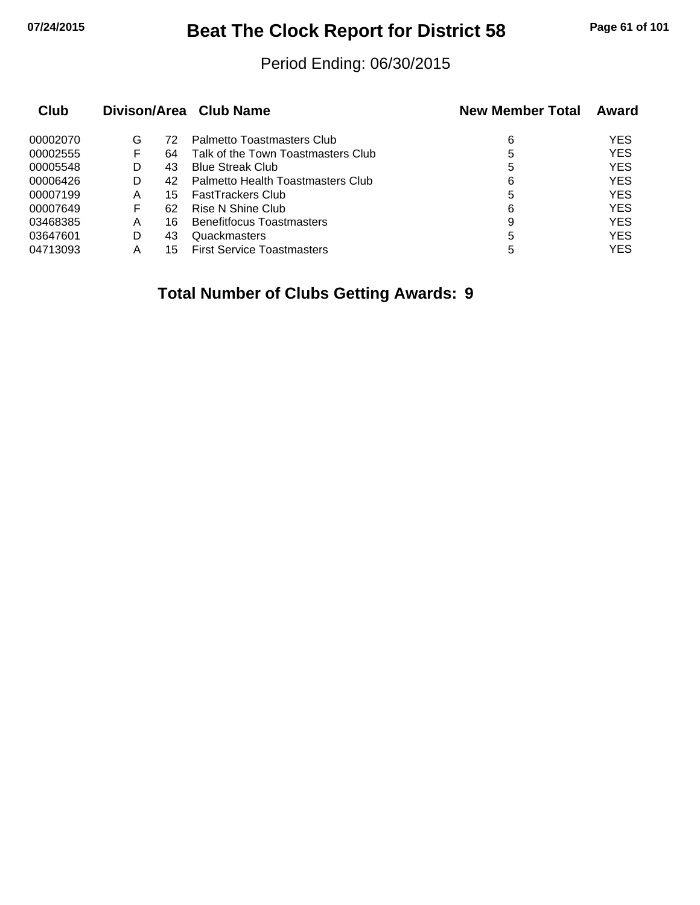# **07/24/2015 Beat The Clock Report for District 58 Page 61 of 101**

#### Period Ending: 06/30/2015

| Club     |   |    | Divison/Area Club Name             | <b>New Member Total</b> | Award      |
|----------|---|----|------------------------------------|-------------------------|------------|
| 00002070 | G | 72 | Palmetto Toastmasters Club         | 6                       | <b>YES</b> |
| 00002555 | F | 64 | Talk of the Town Toastmasters Club | 5                       | <b>YES</b> |
| 00005548 | D | 43 | <b>Blue Streak Club</b>            | 5                       | <b>YES</b> |
| 00006426 | D | 42 | Palmetto Health Toastmasters Club  | 6                       | <b>YES</b> |
| 00007199 | Α | 15 | <b>FastTrackers Club</b>           | 5                       | <b>YES</b> |
| 00007649 | F | 62 | Rise N Shine Club                  | 6                       | <b>YES</b> |
| 03468385 | A | 16 | <b>Benefitfocus Toastmasters</b>   | 9                       | <b>YES</b> |
| 03647601 | D | 43 | Quackmasters                       | 5                       | <b>YES</b> |
| 04713093 | А | 15 | <b>First Service Toastmasters</b>  | 5                       | <b>YES</b> |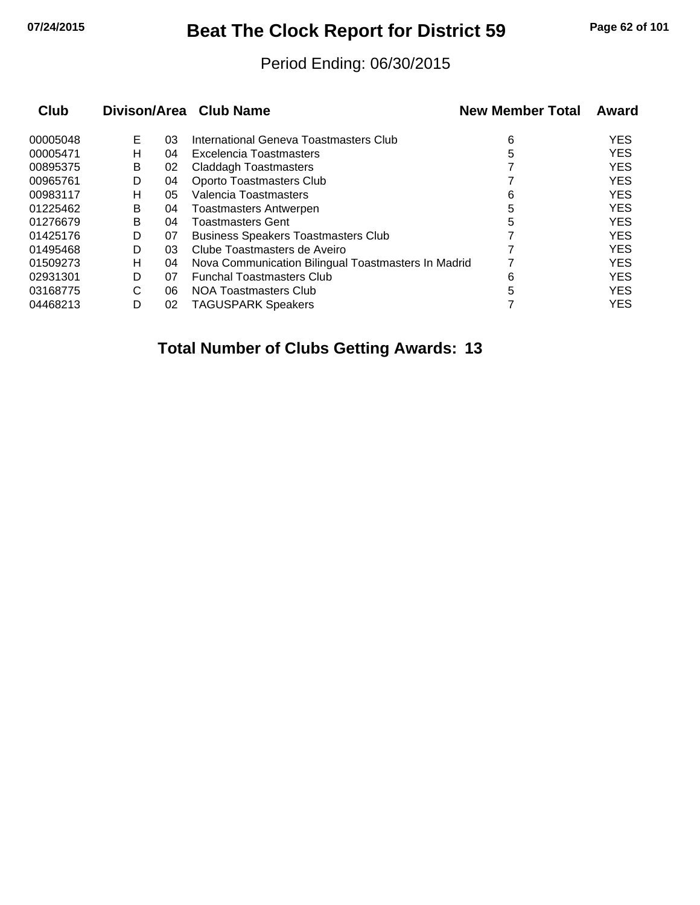# **07/24/2015 Beat The Clock Report for District 59 Page 62 of 101**

#### Period Ending: 06/30/2015

| Club     |   |    | Divison/Area Club Name                              | <b>New Member Total</b> | Award      |
|----------|---|----|-----------------------------------------------------|-------------------------|------------|
| 00005048 | Е | 03 | International Geneva Toastmasters Club              | 6                       | <b>YES</b> |
| 00005471 | н | 04 | Excelencia Toastmasters                             | 5                       | <b>YES</b> |
| 00895375 | В | 02 | <b>Claddagh Toastmasters</b>                        |                         | <b>YES</b> |
| 00965761 | D | 04 | Oporto Toastmasters Club                            |                         | <b>YES</b> |
| 00983117 | н | 05 | Valencia Toastmasters                               | 6                       | <b>YES</b> |
| 01225462 | B | 04 | <b>Toastmasters Antwerpen</b>                       | 5                       | <b>YES</b> |
| 01276679 | B | 04 | <b>Toastmasters Gent</b>                            | 5                       | <b>YES</b> |
| 01425176 | D | 07 | <b>Business Speakers Toastmasters Club</b>          |                         | <b>YES</b> |
| 01495468 | D | 03 | Clube Toastmasters de Aveiro                        |                         | <b>YES</b> |
| 01509273 | н | 04 | Nova Communication Bilingual Toastmasters In Madrid |                         | <b>YES</b> |
| 02931301 | D | 07 | <b>Funchal Toastmasters Club</b>                    | 6                       | <b>YES</b> |
| 03168775 | C | 06 | NOA Toastmasters Club                               | 5                       | <b>YES</b> |
| 04468213 | D | 02 | <b>TAGUSPARK Speakers</b>                           |                         | <b>YES</b> |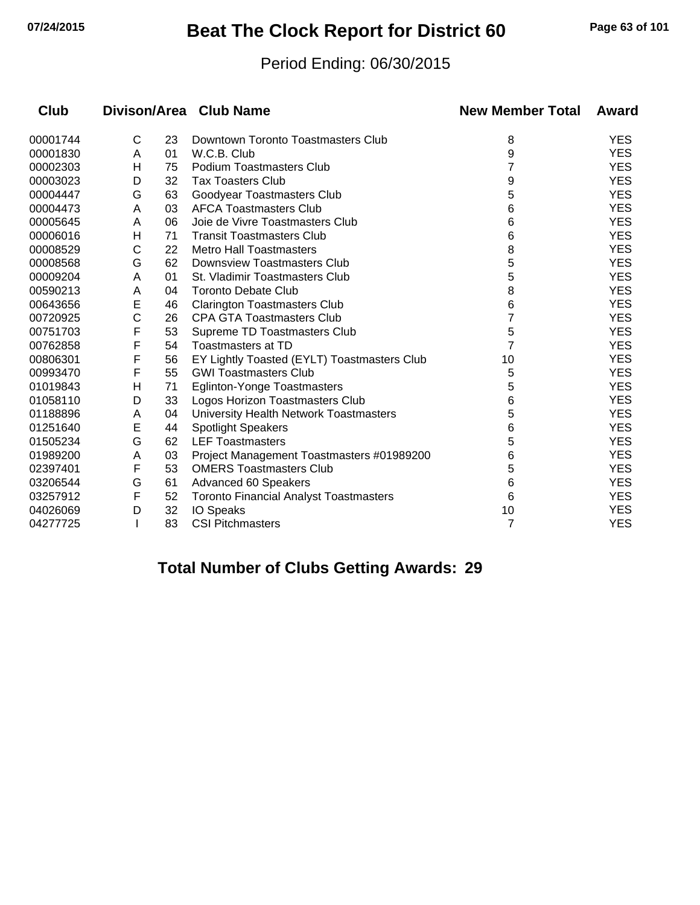# **07/24/2015 Beat The Clock Report for District 60 Page 63 of 101**

#### Period Ending: 06/30/2015

| Club     |   |    | Divison/Area Club Name                        | <b>New Member Total</b> | Award      |
|----------|---|----|-----------------------------------------------|-------------------------|------------|
| 00001744 | C | 23 | Downtown Toronto Toastmasters Club            | 8                       | <b>YES</b> |
| 00001830 | A | 01 | W.C.B. Club                                   | 9                       | <b>YES</b> |
| 00002303 | н | 75 | <b>Podium Toastmasters Club</b>               | 7                       | <b>YES</b> |
| 00003023 | D | 32 | <b>Tax Toasters Club</b>                      | 9                       | <b>YES</b> |
| 00004447 | G | 63 | Goodyear Toastmasters Club                    | 5                       | <b>YES</b> |
| 00004473 | A | 03 | <b>AFCA Toastmasters Club</b>                 | 6                       | <b>YES</b> |
| 00005645 | A | 06 | Joie de Vivre Toastmasters Club               | 6                       | <b>YES</b> |
| 00006016 | Н | 71 | <b>Transit Toastmasters Club</b>              | 6                       | <b>YES</b> |
| 00008529 | С | 22 | <b>Metro Hall Toastmasters</b>                | 8                       | <b>YES</b> |
| 00008568 | G | 62 | <b>Downsview Toastmasters Club</b>            | 5                       | <b>YES</b> |
| 00009204 | A | 01 | St. Vladimir Toastmasters Club                | 5                       | <b>YES</b> |
| 00590213 | A | 04 | <b>Toronto Debate Club</b>                    | 8                       | <b>YES</b> |
| 00643656 | E | 46 | <b>Clarington Toastmasters Club</b>           | 6                       | <b>YES</b> |
| 00720925 | C | 26 | <b>CPA GTA Toastmasters Club</b>              | 7                       | <b>YES</b> |
| 00751703 | F | 53 | Supreme TD Toastmasters Club                  | 5                       | <b>YES</b> |
| 00762858 | F | 54 | <b>Toastmasters at TD</b>                     | 7                       | <b>YES</b> |
| 00806301 | F | 56 | EY Lightly Toasted (EYLT) Toastmasters Club   | 10                      | <b>YES</b> |
| 00993470 | F | 55 | <b>GWI Toastmasters Club</b>                  | 5                       | <b>YES</b> |
| 01019843 | Н | 71 | <b>Eglinton-Yonge Toastmasters</b>            | 5                       | <b>YES</b> |
| 01058110 | D | 33 | Logos Horizon Toastmasters Club               | 6                       | <b>YES</b> |
| 01188896 | Α | 04 | University Health Network Toastmasters        | 5                       | <b>YES</b> |
| 01251640 | E | 44 | <b>Spotlight Speakers</b>                     | 6                       | <b>YES</b> |
| 01505234 | G | 62 | <b>LEF Toastmasters</b>                       | 5                       | <b>YES</b> |
| 01989200 | Α | 03 | Project Management Toastmasters #01989200     | 6                       | <b>YES</b> |
| 02397401 | F | 53 | <b>OMERS Toastmasters Club</b>                | 5                       | <b>YES</b> |
| 03206544 | G | 61 | Advanced 60 Speakers                          | 6                       | <b>YES</b> |
| 03257912 | F | 52 | <b>Toronto Financial Analyst Toastmasters</b> | 6                       | <b>YES</b> |
| 04026069 | D | 32 | <b>IO Speaks</b>                              | 10                      | <b>YES</b> |
| 04277725 |   | 83 | <b>CSI Pitchmasters</b>                       | 7                       | <b>YES</b> |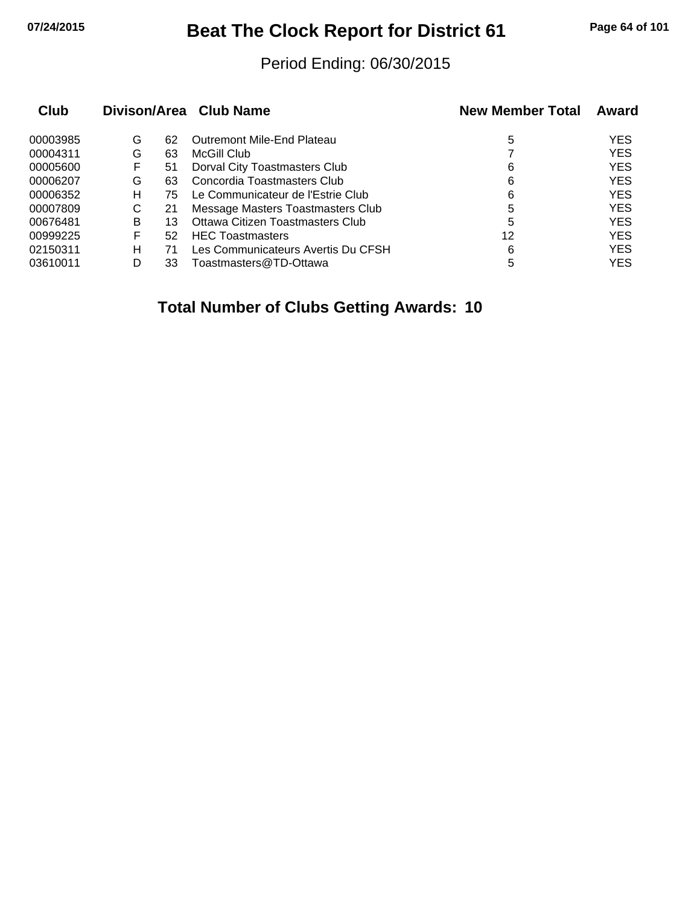# **07/24/2015 Beat The Clock Report for District 61 Page 64 of 101**

#### Period Ending: 06/30/2015

| Club     |   |    | Divison/Area Club Name             | <b>New Member Total</b> | Award      |
|----------|---|----|------------------------------------|-------------------------|------------|
| 00003985 | G | 62 | Outremont Mile-End Plateau         | 5                       | <b>YES</b> |
| 00004311 | G | 63 | McGill Club                        |                         | <b>YES</b> |
| 00005600 | F | 51 | Dorval City Toastmasters Club      | 6                       | <b>YES</b> |
| 00006207 | G | 63 | Concordia Toastmasters Club        | 6                       | <b>YES</b> |
| 00006352 | н | 75 | Le Communicateur de l'Estrie Club  | 6                       | <b>YES</b> |
| 00007809 | С | 21 | Message Masters Toastmasters Club  | 5                       | <b>YES</b> |
| 00676481 | в | 13 | Ottawa Citizen Toastmasters Club   | 5                       | <b>YES</b> |
| 00999225 | F | 52 | <b>HEC Toastmasters</b>            | 12                      | <b>YES</b> |
| 02150311 | н | 71 | Les Communicateurs Avertis Du CFSH | 6                       | <b>YES</b> |
| 03610011 | D | 33 | Toastmasters@TD-Ottawa             | 5                       | <b>YES</b> |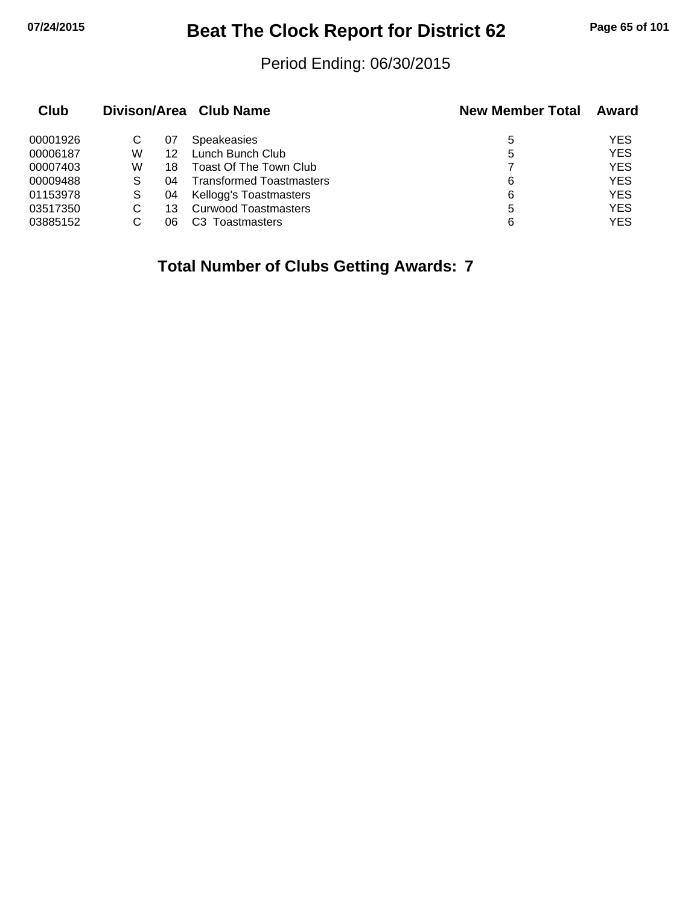# **07/24/2015 Beat The Clock Report for District 62 Page 65 of 101**

#### Period Ending: 06/30/2015

| Club     |   |    | Divison/Area Club Name          | <b>New Member Total</b> | Award      |
|----------|---|----|---------------------------------|-------------------------|------------|
| 00001926 | С | 07 | <b>Speakeasies</b>              | 5                       | YES        |
| 00006187 | W | 12 | Lunch Bunch Club                | 5                       | <b>YES</b> |
| 00007403 | W | 18 | Toast Of The Town Club          |                         | <b>YES</b> |
| 00009488 | S | 04 | <b>Transformed Toastmasters</b> | 6                       | <b>YES</b> |
| 01153978 | S | 04 | Kellogg's Toastmasters          | 6                       | <b>YES</b> |
| 03517350 | С | 13 | <b>Curwood Toastmasters</b>     | 5                       | <b>YES</b> |
| 03885152 |   | 06 | Toastmasters                    | 6                       | YES        |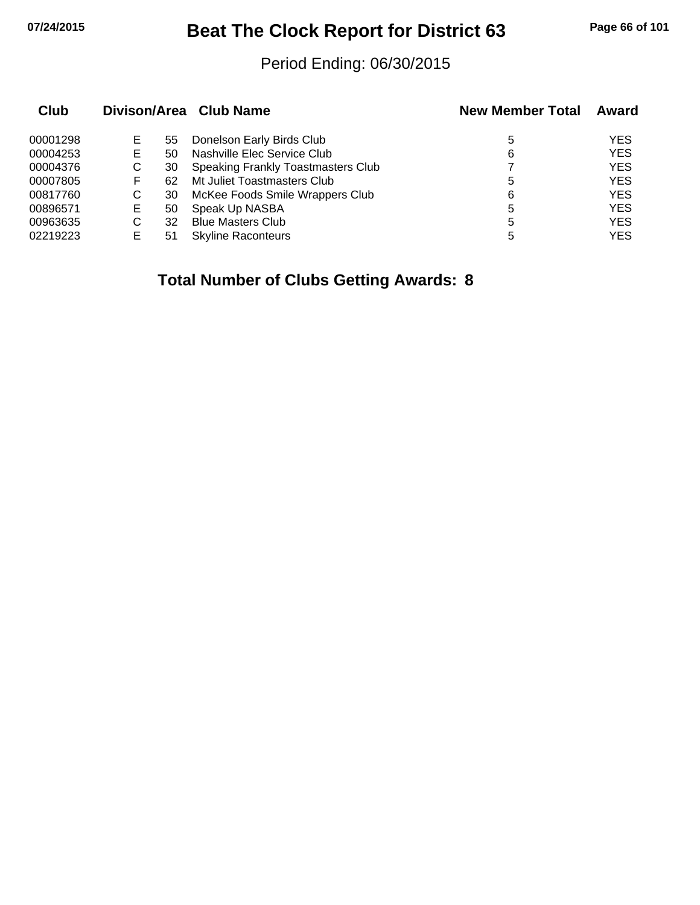# **07/24/2015 Beat The Clock Report for District 63 Page 66 of 101**

#### Period Ending: 06/30/2015

| Club     |   |    | Divison/Area Club Name             | <b>New Member Total</b> | Award      |
|----------|---|----|------------------------------------|-------------------------|------------|
| 00001298 | Е | 55 | Donelson Early Birds Club          | 5                       | <b>YES</b> |
| 00004253 | Е | 50 | Nashville Elec Service Club        | 6                       | <b>YES</b> |
| 00004376 | С | 30 | Speaking Frankly Toastmasters Club |                         | <b>YES</b> |
| 00007805 | F | 62 | Mt Juliet Toastmasters Club        | 5                       | <b>YES</b> |
| 00817760 | C | 30 | McKee Foods Smile Wrappers Club    | 6                       | <b>YES</b> |
| 00896571 | Е | 50 | Speak Up NASBA                     | 5                       | <b>YES</b> |
| 00963635 | С | 32 | <b>Blue Masters Club</b>           | 5                       | <b>YES</b> |
| 02219223 | Е | 51 | <b>Skyline Raconteurs</b>          | 5                       | <b>YES</b> |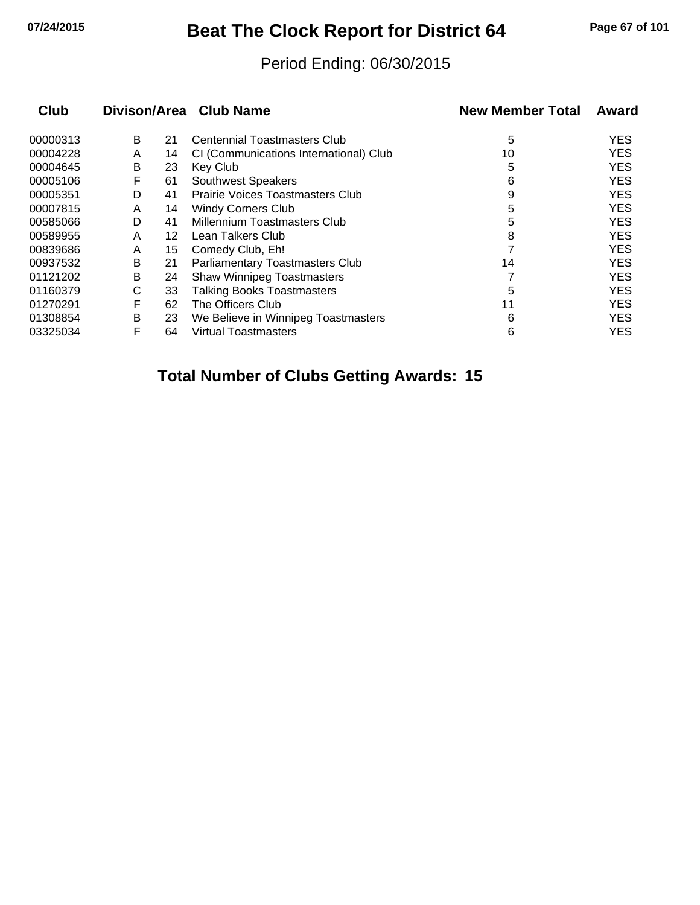# **07/24/2015 Beat The Clock Report for District 64 Page 67 of 101**

#### Period Ending: 06/30/2015

| Club     |   |    | Divison/Area Club Name                  | <b>New Member Total</b> | Award      |
|----------|---|----|-----------------------------------------|-------------------------|------------|
| 00000313 | В | 21 | Centennial Toastmasters Club            | 5                       | <b>YES</b> |
| 00004228 | A | 14 | CI (Communications International) Club  | 10                      | <b>YES</b> |
| 00004645 | В | 23 | Key Club                                | 5                       | <b>YES</b> |
| 00005106 | F | 61 | <b>Southwest Speakers</b>               | 6                       | <b>YES</b> |
| 00005351 | D | 41 | <b>Prairie Voices Toastmasters Club</b> | 9                       | <b>YES</b> |
| 00007815 | A | 14 | <b>Windy Corners Club</b>               | 5                       | <b>YES</b> |
| 00585066 | D | 41 | Millennium Toastmasters Club            | 5                       | <b>YES</b> |
| 00589955 | A | 12 | Lean Talkers Club                       | 8                       | <b>YES</b> |
| 00839686 | A | 15 | Comedy Club, Eh!                        |                         | <b>YES</b> |
| 00937532 | В | 21 | <b>Parliamentary Toastmasters Club</b>  | 14                      | <b>YES</b> |
| 01121202 | В | 24 | <b>Shaw Winnipeg Toastmasters</b>       |                         | <b>YES</b> |
| 01160379 | С | 33 | <b>Talking Books Toastmasters</b>       | 5                       | <b>YES</b> |
| 01270291 | F | 62 | The Officers Club                       | 11                      | <b>YES</b> |
| 01308854 | В | 23 | We Believe in Winnipeg Toastmasters     | 6                       | <b>YES</b> |
| 03325034 | F | 64 | <b>Virtual Toastmasters</b>             | 6                       | <b>YES</b> |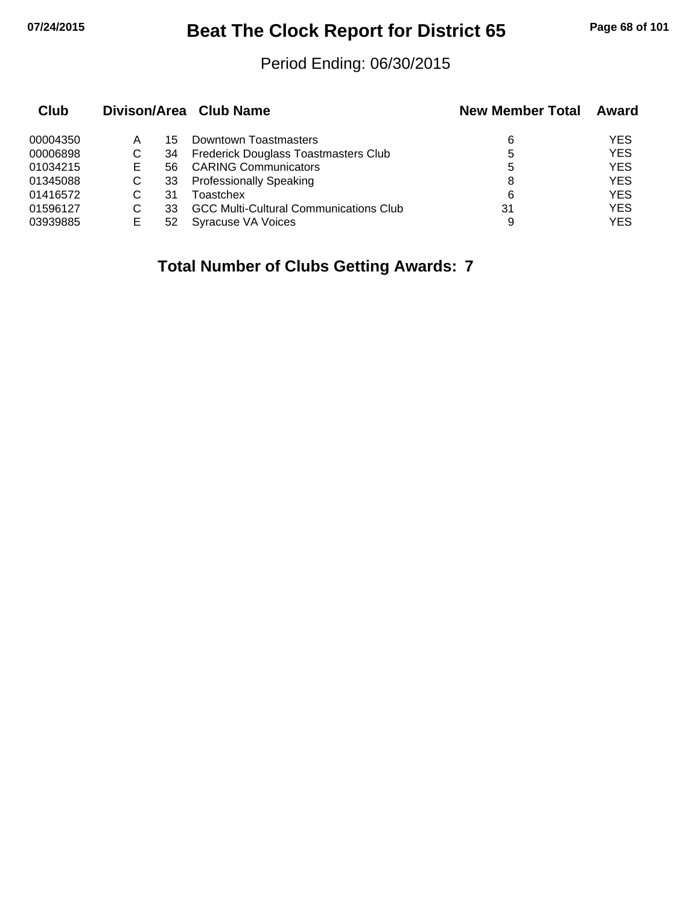# **07/24/2015 Beat The Clock Report for District 65 Page 68 of 101**

#### Period Ending: 06/30/2015

| Club     |    |    | Divison/Area Club Name                        | <b>New Member Total</b> | Award      |
|----------|----|----|-----------------------------------------------|-------------------------|------------|
| 00004350 | Α  | 15 | Downtown Toastmasters                         | 6                       | YES        |
| 00006898 | С  | 34 | <b>Frederick Douglass Toastmasters Club</b>   | 5                       | <b>YES</b> |
| 01034215 | E. | 56 | <b>CARING Communicators</b>                   | 5                       | <b>YES</b> |
| 01345088 |    | 33 | <b>Professionally Speaking</b>                | 8                       | <b>YES</b> |
| 01416572 |    | 31 | Toastchex                                     | 6                       | <b>YES</b> |
| 01596127 |    | 33 | <b>GCC Multi-Cultural Communications Club</b> | 31                      | <b>YES</b> |
| 03939885 | E  | 52 | Syracuse VA Voices                            | 9                       | <b>YES</b> |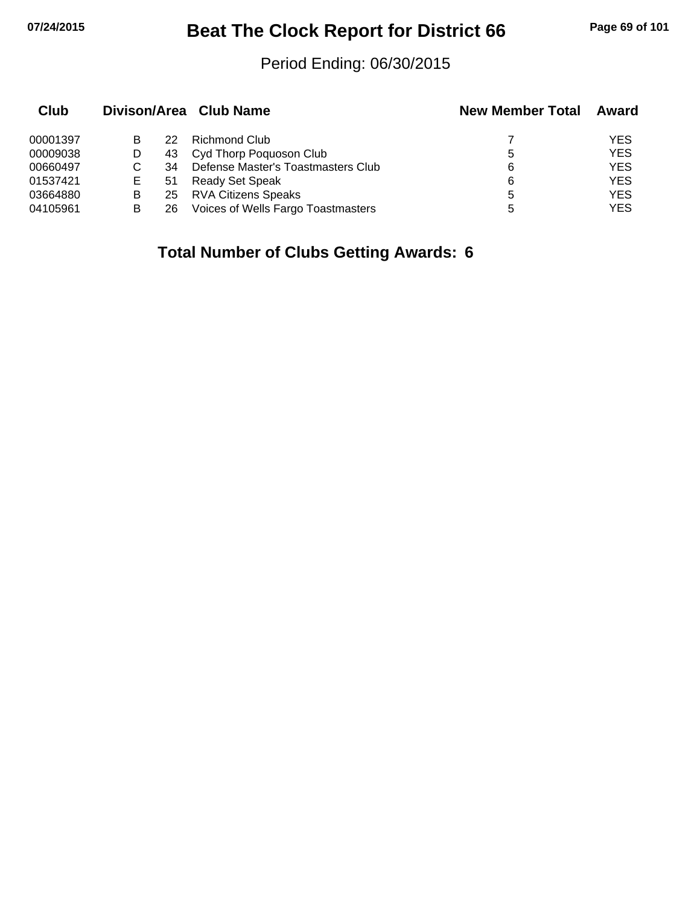# **07/24/2015 Beat The Clock Report for District 66 Page 69 of 101**

#### Period Ending: 06/30/2015

| Club     |   |    | Divison/Area Club Name             | <b>New Member Total</b> | Award      |
|----------|---|----|------------------------------------|-------------------------|------------|
| 00001397 | В | 22 | Richmond Club                      |                         | <b>YES</b> |
| 00009038 |   |    | 43 Cyd Thorp Poquoson Club         | 5                       | <b>YES</b> |
| 00660497 |   | 34 | Defense Master's Toastmasters Club | 6                       | <b>YES</b> |
| 01537421 | Е | 51 | Ready Set Speak                    | 6                       | <b>YES</b> |
| 03664880 | B | 25 | <b>RVA Citizens Speaks</b>         | 5                       | <b>YES</b> |
| 04105961 | В | 26 | Voices of Wells Fargo Toastmasters |                         | <b>YES</b> |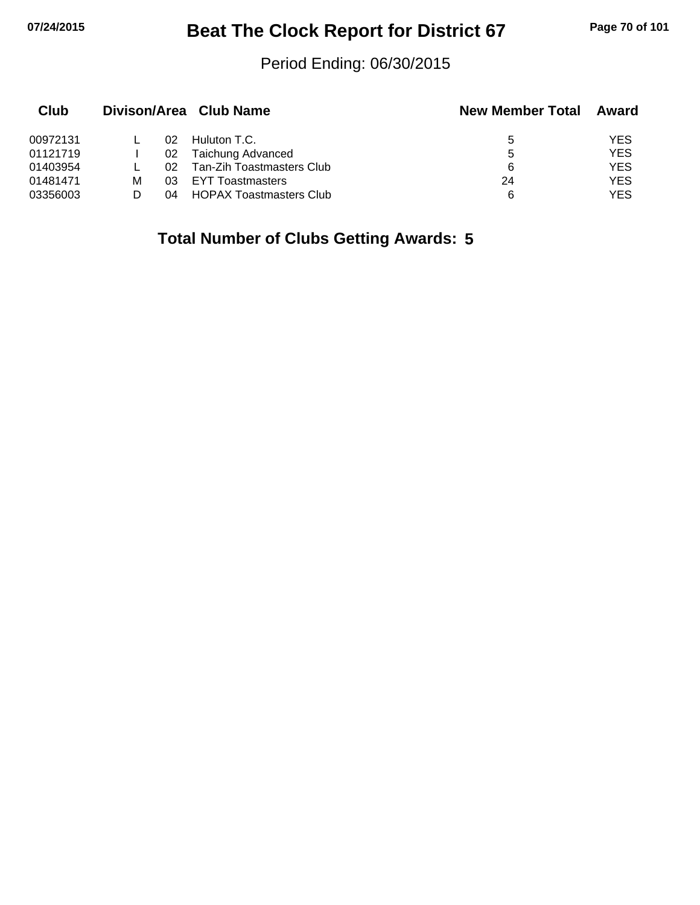# **07/24/2015 Beat The Clock Report for District 67 Page 70 of 101**

#### Period Ending: 06/30/2015

| Club     |   |     | Divison/Area Club Name         | <b>New Member Total</b> | Award      |
|----------|---|-----|--------------------------------|-------------------------|------------|
| 00972131 |   | 02  | Huluton T.C.                   | 5                       | <b>YES</b> |
| 01121719 |   | 02  | Taichung Advanced              | 5                       | <b>YES</b> |
| 01403954 |   | O2. | Tan-Zih Toastmasters Club      | 6                       | <b>YES</b> |
| 01481471 | м | 03  | <b>EYT Toastmasters</b>        | 24                      | <b>YES</b> |
| 03356003 |   | 04  | <b>HOPAX Toastmasters Club</b> | 6                       | <b>YES</b> |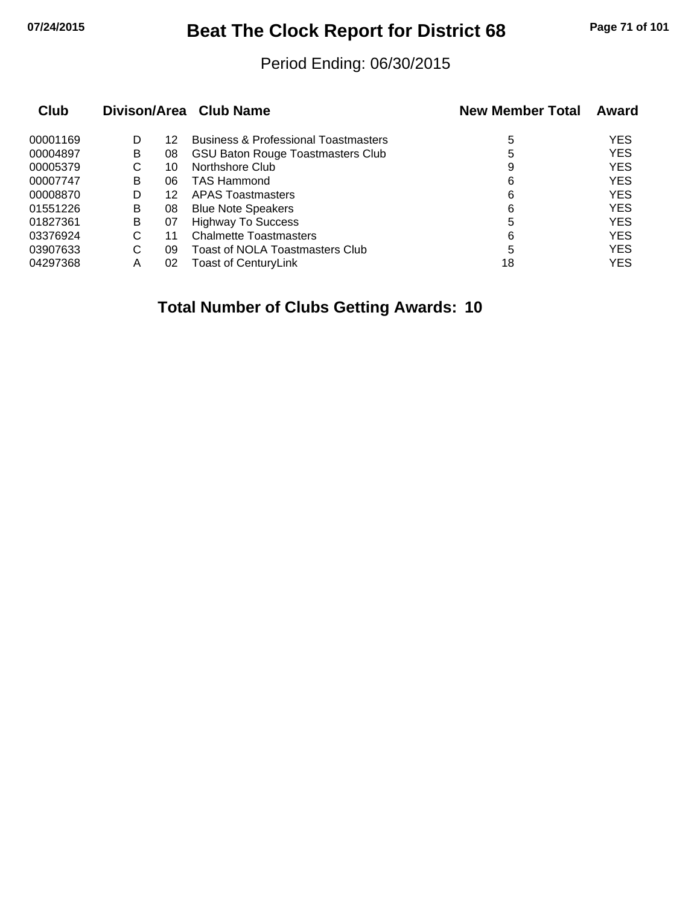# **07/24/2015 Beat The Clock Report for District 68 Page 71 of 101**

#### Period Ending: 06/30/2015

| Club     |   |    | Divison/Area Club Name                          | <b>New Member Total</b> | Award      |
|----------|---|----|-------------------------------------------------|-------------------------|------------|
| 00001169 | D | 12 | <b>Business &amp; Professional Toastmasters</b> | 5                       | <b>YES</b> |
| 00004897 | в | 08 | <b>GSU Baton Rouge Toastmasters Club</b>        | 5                       | <b>YES</b> |
| 00005379 | С | 10 | Northshore Club                                 | 9                       | <b>YES</b> |
| 00007747 | в | 06 | <b>TAS Hammond</b>                              | 6                       | <b>YES</b> |
| 00008870 | D | 12 | <b>APAS Toastmasters</b>                        | 6                       | <b>YES</b> |
| 01551226 | в | 08 | <b>Blue Note Speakers</b>                       | 6                       | <b>YES</b> |
| 01827361 | B | 07 | <b>Highway To Success</b>                       | 5                       | <b>YES</b> |
| 03376924 | С | 11 | <b>Chalmette Toastmasters</b>                   | 6                       | <b>YES</b> |
| 03907633 | С | 09 | Toast of NOLA Toastmasters Club                 | 5                       | <b>YES</b> |
| 04297368 | Α | 02 | <b>Toast of CenturyLink</b>                     | 18                      | <b>YES</b> |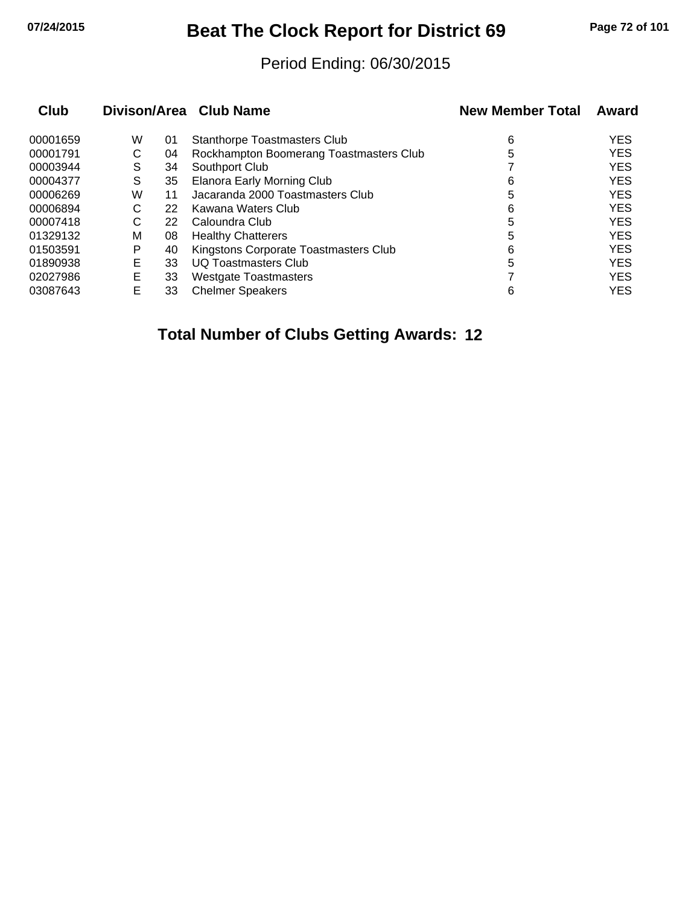# **07/24/2015 Beat The Clock Report for District 69 Page 72 of 101**

#### Period Ending: 06/30/2015

|   |    |                                         | <b>New Member Total</b> | Award      |
|---|----|-----------------------------------------|-------------------------|------------|
| W | 01 | <b>Stanthorpe Toastmasters Club</b>     | 6                       | <b>YES</b> |
| С | 04 | Rockhampton Boomerang Toastmasters Club | 5                       | <b>YES</b> |
| S | 34 | Southport Club                          |                         | <b>YES</b> |
| S | 35 | <b>Elanora Early Morning Club</b>       | 6                       | <b>YES</b> |
| W | 11 | Jacaranda 2000 Toastmasters Club        | 5                       | <b>YES</b> |
| С | 22 | Kawana Waters Club                      | 6                       | <b>YES</b> |
| С | 22 | Caloundra Club                          | 5                       | <b>YES</b> |
| М | 08 | <b>Healthy Chatterers</b>               | 5                       | <b>YES</b> |
| P | 40 | Kingstons Corporate Toastmasters Club   | 6                       | <b>YES</b> |
| E | 33 | <b>UQ Toastmasters Club</b>             | 5                       | <b>YES</b> |
| Е | 33 | <b>Westgate Toastmasters</b>            |                         | <b>YES</b> |
| E | 33 | <b>Chelmer Speakers</b>                 | 6                       | <b>YES</b> |
|   |    |                                         | Divison/Area Club Name  |            |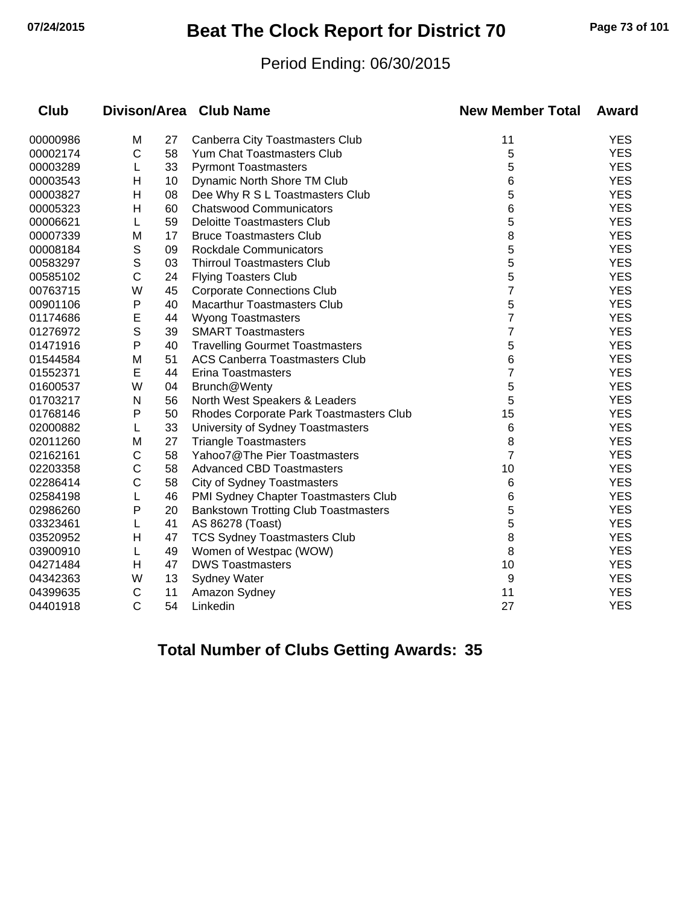## **07/24/2015 Beat The Clock Report for District 70 Page 73 of 101**

#### Period Ending: 06/30/2015

| <b>Club</b> |              |    | Divison/Area Club Name                      | <b>New Member Total</b> | <b>Award</b> |
|-------------|--------------|----|---------------------------------------------|-------------------------|--------------|
| 00000986    | M            | 27 | Canberra City Toastmasters Club             | 11                      | <b>YES</b>   |
| 00002174    | $\mathsf{C}$ | 58 | Yum Chat Toastmasters Club                  | 5                       | <b>YES</b>   |
| 00003289    | L            | 33 | <b>Pyrmont Toastmasters</b>                 | 5                       | <b>YES</b>   |
| 00003543    | н            | 10 | Dynamic North Shore TM Club                 | 6                       | <b>YES</b>   |
| 00003827    | Н            | 08 | Dee Why R S L Toastmasters Club             | 5                       | <b>YES</b>   |
| 00005323    | н            | 60 | <b>Chatswood Communicators</b>              | 6                       | <b>YES</b>   |
| 00006621    | L            | 59 | <b>Deloitte Toastmasters Club</b>           | 5                       | <b>YES</b>   |
| 00007339    | M            | 17 | <b>Bruce Toastmasters Club</b>              | 8                       | <b>YES</b>   |
| 00008184    | S            | 09 | <b>Rockdale Communicators</b>               | 5                       | <b>YES</b>   |
| 00583297    | S            | 03 | <b>Thirroul Toastmasters Club</b>           | 5                       | <b>YES</b>   |
| 00585102    | $\mathsf{C}$ | 24 | <b>Flying Toasters Club</b>                 | 5                       | <b>YES</b>   |
| 00763715    | W            | 45 | <b>Corporate Connections Club</b>           | $\overline{7}$          | <b>YES</b>   |
| 00901106    | P            | 40 | <b>Macarthur Toastmasters Club</b>          | 5                       | <b>YES</b>   |
| 01174686    | E            | 44 | <b>Wyong Toastmasters</b>                   | $\overline{7}$          | <b>YES</b>   |
| 01276972    | S            | 39 | <b>SMART Toastmasters</b>                   | 7                       | <b>YES</b>   |
| 01471916    | P            | 40 | <b>Travelling Gourmet Toastmasters</b>      | 5                       | <b>YES</b>   |
| 01544584    | M            | 51 | <b>ACS Canberra Toastmasters Club</b>       | 6                       | <b>YES</b>   |
| 01552371    | E            | 44 | Erina Toastmasters                          | 7                       | <b>YES</b>   |
| 01600537    | W            | 04 | Brunch@Wenty                                | 5                       | <b>YES</b>   |
| 01703217    | N            | 56 | North West Speakers & Leaders               | 5                       | <b>YES</b>   |
| 01768146    | Ρ            | 50 | Rhodes Corporate Park Toastmasters Club     | 15                      | <b>YES</b>   |
| 02000882    | L            | 33 | University of Sydney Toastmasters           | 6                       | <b>YES</b>   |
| 02011260    | M            | 27 | <b>Triangle Toastmasters</b>                | 8                       | <b>YES</b>   |
| 02162161    | C            | 58 | Yahoo7@The Pier Toastmasters                | $\overline{7}$          | <b>YES</b>   |
| 02203358    | C            | 58 | <b>Advanced CBD Toastmasters</b>            | 10                      | <b>YES</b>   |
| 02286414    | C            | 58 | <b>City of Sydney Toastmasters</b>          | 6                       | <b>YES</b>   |
| 02584198    |              | 46 | PMI Sydney Chapter Toastmasters Club        | 6                       | <b>YES</b>   |
| 02986260    | Ρ            | 20 | <b>Bankstown Trotting Club Toastmasters</b> | 5                       | <b>YES</b>   |
| 03323461    | L            | 41 | AS 86278 (Toast)                            | 5                       | <b>YES</b>   |
| 03520952    | H            | 47 | <b>TCS Sydney Toastmasters Club</b>         | 8                       | <b>YES</b>   |
| 03900910    | L            | 49 | Women of Westpac (WOW)                      | 8                       | <b>YES</b>   |
| 04271484    | н            | 47 | <b>DWS Toastmasters</b>                     | 10                      | <b>YES</b>   |
| 04342363    | W            | 13 | Sydney Water                                | 9                       | <b>YES</b>   |
| 04399635    | C            | 11 | Amazon Sydney                               | 11                      | <b>YES</b>   |
| 04401918    | $\mathsf{C}$ | 54 | Linkedin                                    | 27                      | <b>YES</b>   |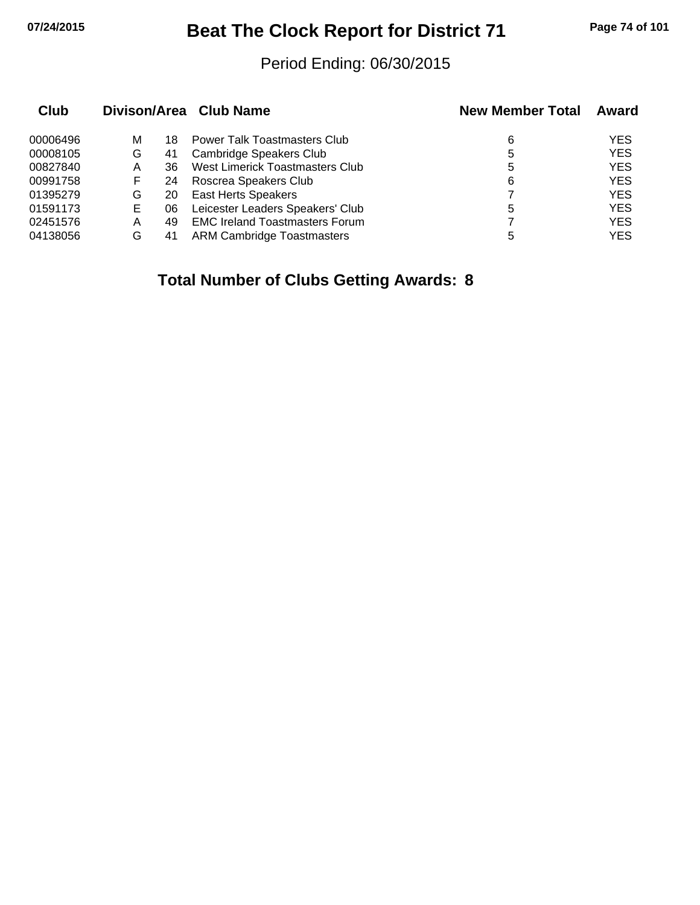## **07/24/2015 Beat The Clock Report for District 71 Page 74 of 101**

#### Period Ending: 06/30/2015

| Club     |   |    | Divison/Area Club Name                | <b>New Member Total</b> | Award      |
|----------|---|----|---------------------------------------|-------------------------|------------|
| 00006496 | М | 18 | <b>Power Talk Toastmasters Club</b>   | 6                       | <b>YES</b> |
| 00008105 | G | 41 | Cambridge Speakers Club               | 5                       | <b>YES</b> |
| 00827840 | A | 36 | West Limerick Toastmasters Club       | 5                       | <b>YES</b> |
| 00991758 | F | 24 | Roscrea Speakers Club                 | 6                       | <b>YES</b> |
| 01395279 | G | 20 | <b>East Herts Speakers</b>            |                         | <b>YES</b> |
| 01591173 | Е | 06 | Leicester Leaders Speakers' Club      | 5                       | <b>YES</b> |
| 02451576 | Α | 49 | <b>EMC Ireland Toastmasters Forum</b> |                         | <b>YES</b> |
| 04138056 | G | 41 | ARM Cambridge Toastmasters            | 5                       | <b>YES</b> |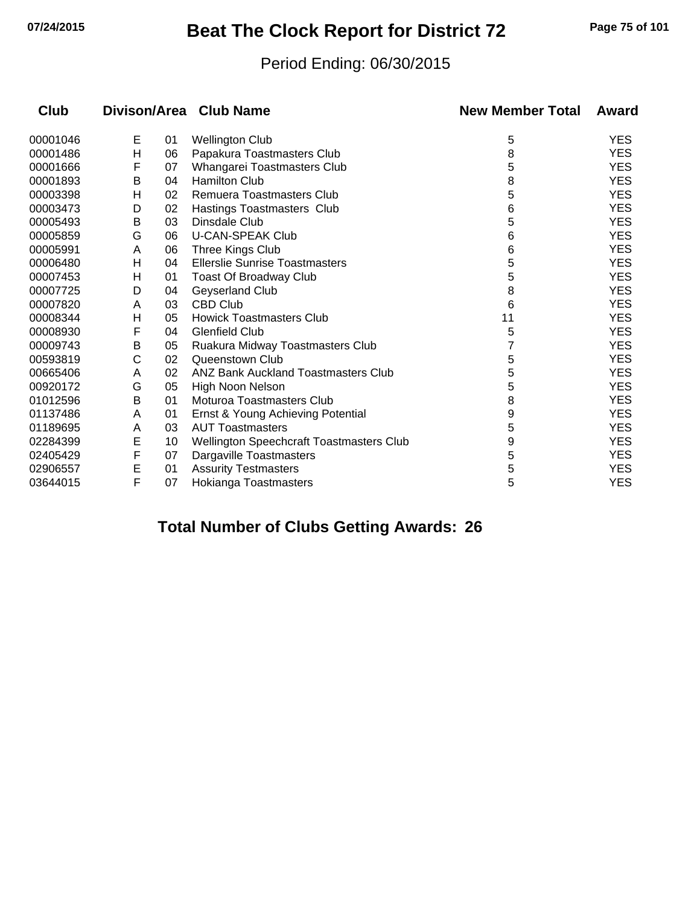## **07/24/2015 Beat The Clock Report for District 72 Page 75 of 101**

#### Period Ending: 06/30/2015

| <b>Club</b> |   |    | Divison/Area Club Name                     | <b>New Member Total</b> | Award      |
|-------------|---|----|--------------------------------------------|-------------------------|------------|
| 00001046    | Е | 01 | <b>Wellington Club</b>                     | 5                       | <b>YES</b> |
| 00001486    | н | 06 | Papakura Toastmasters Club                 | 8                       | <b>YES</b> |
| 00001666    | F | 07 | Whangarei Toastmasters Club                | 5                       | <b>YES</b> |
| 00001893    | B | 04 | <b>Hamilton Club</b>                       | 8                       | <b>YES</b> |
| 00003398    | н | 02 | Remuera Toastmasters Club                  | 5                       | <b>YES</b> |
| 00003473    | D | 02 | Hastings Toastmasters Club                 | 6                       | <b>YES</b> |
| 00005493    | Β | 03 | Dinsdale Club                              | 5                       | <b>YES</b> |
| 00005859    | G | 06 | <b>U-CAN-SPEAK Club</b>                    | 6                       | <b>YES</b> |
| 00005991    | A | 06 | Three Kings Club                           | 6                       | <b>YES</b> |
| 00006480    | н | 04 | <b>Ellerslie Sunrise Toastmasters</b>      | 5                       | <b>YES</b> |
| 00007453    | н | 01 | Toast Of Broadway Club                     | 5                       | <b>YES</b> |
| 00007725    | D | 04 | Geyserland Club                            | 8                       | <b>YES</b> |
| 00007820    | A | 03 | <b>CBD Club</b>                            | 6                       | <b>YES</b> |
| 00008344    | н | 05 | <b>Howick Toastmasters Club</b>            | 11                      | <b>YES</b> |
| 00008930    | F | 04 | <b>Glenfield Club</b>                      | 5                       | <b>YES</b> |
| 00009743    | В | 05 | Ruakura Midway Toastmasters Club           |                         | <b>YES</b> |
| 00593819    | С | 02 | Queenstown Club                            | 5                       | <b>YES</b> |
| 00665406    | A | 02 | <b>ANZ Bank Auckland Toastmasters Club</b> | 5                       | <b>YES</b> |
| 00920172    | G | 05 | High Noon Nelson                           | 5                       | <b>YES</b> |
| 01012596    | B | 01 | Moturoa Toastmasters Club                  | 8                       | <b>YES</b> |
| 01137486    | A | 01 | Ernst & Young Achieving Potential          | 9                       | <b>YES</b> |
| 01189695    | A | 03 | <b>AUT Toastmasters</b>                    | 5                       | <b>YES</b> |
| 02284399    | E | 10 | Wellington Speechcraft Toastmasters Club   | 9                       | <b>YES</b> |
| 02405429    | F | 07 | Dargaville Toastmasters                    | 5                       | <b>YES</b> |
| 02906557    | E | 01 | <b>Assurity Testmasters</b>                | 5                       | <b>YES</b> |
| 03644015    | F | 07 | Hokianga Toastmasters                      | 5                       | <b>YES</b> |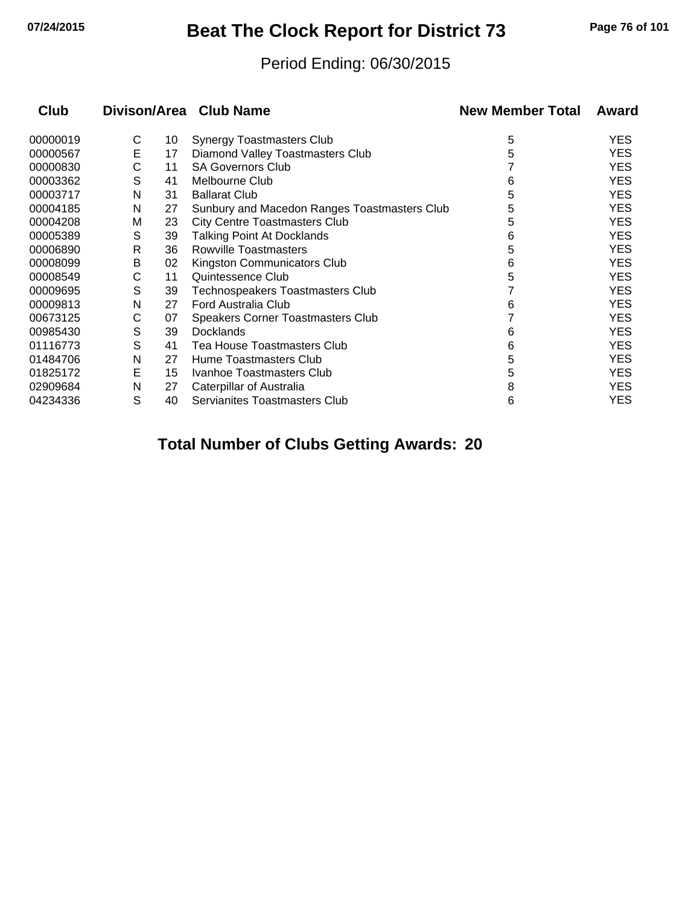## **07/24/2015 Beat The Clock Report for District 73 Page 76 of 101**

#### Period Ending: 06/30/2015

| Club     |   |    | Divison/Area Club Name                       | <b>New Member Total</b> | Award      |
|----------|---|----|----------------------------------------------|-------------------------|------------|
| 00000019 | C | 10 | Synergy Toastmasters Club                    | 5                       | <b>YES</b> |
| 00000567 | E | 17 | Diamond Valley Toastmasters Club             | 5                       | <b>YES</b> |
| 00000830 | С | 11 | <b>SA Governors Club</b>                     |                         | <b>YES</b> |
| 00003362 | S | 41 | Melbourne Club                               | 6                       | <b>YES</b> |
| 00003717 | N | 31 | <b>Ballarat Club</b>                         | 5                       | <b>YES</b> |
| 00004185 | N | 27 | Sunbury and Macedon Ranges Toastmasters Club | 5                       | <b>YES</b> |
| 00004208 | M | 23 | <b>City Centre Toastmasters Club</b>         | 5                       | <b>YES</b> |
| 00005389 | S | 39 | <b>Talking Point At Docklands</b>            | 6                       | <b>YES</b> |
| 00006890 | R | 36 | <b>Rowville Toastmasters</b>                 | 5                       | <b>YES</b> |
| 00008099 | B | 02 | Kingston Communicators Club                  | 6                       | <b>YES</b> |
| 00008549 | С | 11 | Quintessence Club                            | 5                       | <b>YES</b> |
| 00009695 | S | 39 | <b>Technospeakers Toastmasters Club</b>      |                         | <b>YES</b> |
| 00009813 | N | 27 | Ford Australia Club                          | 6                       | <b>YES</b> |
| 00673125 | С | 07 | Speakers Corner Toastmasters Club            |                         | <b>YES</b> |
| 00985430 | S | 39 | <b>Docklands</b>                             | 6                       | <b>YES</b> |
| 01116773 | S | 41 | <b>Tea House Toastmasters Club</b>           | 6                       | <b>YES</b> |
| 01484706 | N | 27 | Hume Toastmasters Club                       | 5                       | <b>YES</b> |
| 01825172 | Е | 15 | Ivanhoe Toastmasters Club                    | 5                       | <b>YES</b> |
| 02909684 | N | 27 | Caterpillar of Australia                     | 8                       | <b>YES</b> |
| 04234336 | S | 40 | Servianites Toastmasters Club                | 6                       | <b>YES</b> |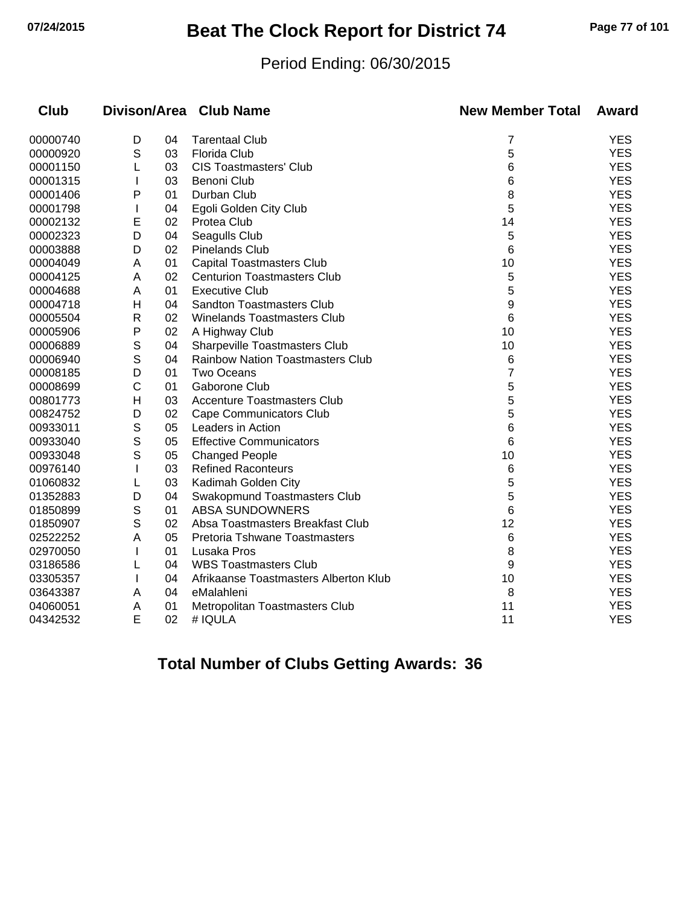## **07/24/2015 Beat The Clock Report for District 74 Page 77 of 101**

#### Period Ending: 06/30/2015

| <b>Club</b> |              |    | Divison/Area Club Name                  | <b>New Member Total</b> | Award      |
|-------------|--------------|----|-----------------------------------------|-------------------------|------------|
| 00000740    | D            | 04 | <b>Tarentaal Club</b>                   | 7                       | <b>YES</b> |
| 00000920    | S            | 03 | Florida Club                            | 5                       | <b>YES</b> |
| 00001150    | L            | 03 | <b>CIS Toastmasters' Club</b>           | 6                       | <b>YES</b> |
| 00001315    |              | 03 | <b>Benoni Club</b>                      | 6                       | <b>YES</b> |
| 00001406    | P            | 01 | Durban Club                             | 8                       | <b>YES</b> |
| 00001798    | L            | 04 | Egoli Golden City Club                  | 5                       | <b>YES</b> |
| 00002132    | E            | 02 | Protea Club                             | 14                      | <b>YES</b> |
| 00002323    | D            | 04 | Seagulls Club                           | 5                       | <b>YES</b> |
| 00003888    | D            | 02 | <b>Pinelands Club</b>                   | 6                       | <b>YES</b> |
| 00004049    | A            | 01 | <b>Capital Toastmasters Club</b>        | 10                      | <b>YES</b> |
| 00004125    | Α            | 02 | <b>Centurion Toastmasters Club</b>      | 5                       | <b>YES</b> |
| 00004688    | A            | 01 | <b>Executive Club</b>                   | 5                       | <b>YES</b> |
| 00004718    | H            | 04 | <b>Sandton Toastmasters Club</b>        | 9                       | <b>YES</b> |
| 00005504    | R            | 02 | <b>Winelands Toastmasters Club</b>      | 6                       | <b>YES</b> |
| 00005906    | P            | 02 | A Highway Club                          | 10                      | <b>YES</b> |
| 00006889    | S            | 04 | Sharpeville Toastmasters Club           | 10                      | <b>YES</b> |
| 00006940    | S            | 04 | <b>Rainbow Nation Toastmasters Club</b> | 6                       | <b>YES</b> |
| 00008185    | D            | 01 | <b>Two Oceans</b>                       | 7                       | <b>YES</b> |
| 00008699    | C            | 01 | Gaborone Club                           | 5                       | <b>YES</b> |
| 00801773    | H            | 03 | <b>Accenture Toastmasters Club</b>      | 5                       | <b>YES</b> |
| 00824752    | D            | 02 | Cape Communicators Club                 | 5                       | <b>YES</b> |
| 00933011    | S            | 05 | Leaders in Action                       | 6                       | <b>YES</b> |
| 00933040    | S            | 05 | <b>Effective Communicators</b>          | 6                       | <b>YES</b> |
| 00933048    | S            | 05 | <b>Changed People</b>                   | 10                      | <b>YES</b> |
| 00976140    |              | 03 | <b>Refined Raconteurs</b>               | 6                       | <b>YES</b> |
| 01060832    | L            | 03 | Kadimah Golden City                     | 5                       | <b>YES</b> |
| 01352883    | D            | 04 | Swakopmund Toastmasters Club            | 5                       | <b>YES</b> |
| 01850899    | S            | 01 | <b>ABSA SUNDOWNERS</b>                  | 6                       | <b>YES</b> |
| 01850907    | S            | 02 | Absa Toastmasters Breakfast Club        | 12                      | <b>YES</b> |
| 02522252    | Α            | 05 | Pretoria Tshwane Toastmasters           | 6                       | <b>YES</b> |
| 02970050    | L            | 01 | Lusaka Pros                             | 8                       | <b>YES</b> |
| 03186586    |              | 04 | <b>WBS Toastmasters Club</b>            | 9                       | <b>YES</b> |
| 03305357    | $\mathbf{I}$ | 04 | Afrikaanse Toastmasters Alberton Klub   | 10                      | <b>YES</b> |
| 03643387    | A            | 04 | eMalahleni                              | 8                       | <b>YES</b> |
| 04060051    | Α            | 01 | Metropolitan Toastmasters Club          | 11                      | <b>YES</b> |
| 04342532    | E            | 02 | # IQULA                                 | 11                      | <b>YES</b> |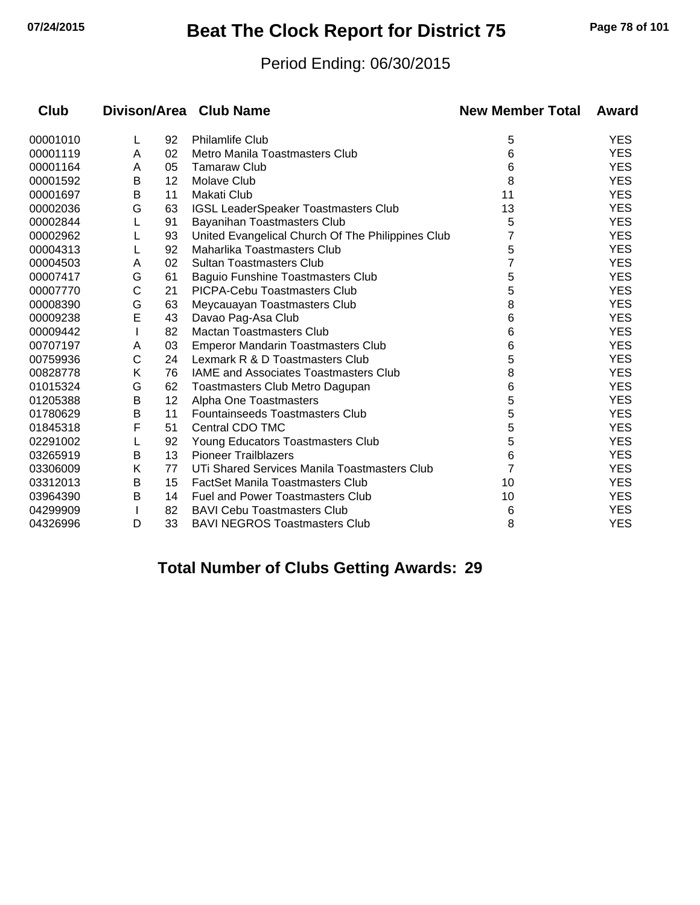## **07/24/2015 Beat The Clock Report for District 75 Page 78 of 101**

#### Period Ending: 06/30/2015

| Club     |   |                 | Divison/Area Club Name                            | <b>New Member Total</b> | Award      |
|----------|---|-----------------|---------------------------------------------------|-------------------------|------------|
| 00001010 | L | 92              | <b>Philamlife Club</b>                            | 5                       | <b>YES</b> |
| 00001119 | A | 02              | Metro Manila Toastmasters Club                    | 6                       | <b>YES</b> |
| 00001164 | A | 05              | <b>Tamaraw Club</b>                               | 6                       | <b>YES</b> |
| 00001592 | В | 12 <sup>2</sup> | Molave Club                                       | 8                       | <b>YES</b> |
| 00001697 | B | 11              | Makati Club                                       | 11                      | <b>YES</b> |
| 00002036 | G | 63              | <b>IGSL LeaderSpeaker Toastmasters Club</b>       | 13                      | <b>YES</b> |
| 00002844 |   | 91              | Bayanihan Toastmasters Club                       | 5                       | <b>YES</b> |
| 00002962 |   | 93              | United Evangelical Church Of The Philippines Club | 7                       | <b>YES</b> |
| 00004313 |   | 92              | Maharlika Toastmasters Club                       | 5                       | <b>YES</b> |
| 00004503 | A | 02              | <b>Sultan Toastmasters Club</b>                   | 7                       | <b>YES</b> |
| 00007417 | G | 61              | <b>Baguio Funshine Toastmasters Club</b>          | 5                       | <b>YES</b> |
| 00007770 | С | 21              | PICPA-Cebu Toastmasters Club                      | 5                       | <b>YES</b> |
| 00008390 | G | 63              | Meycauayan Toastmasters Club                      | 8                       | <b>YES</b> |
| 00009238 | E | 43              | Davao Pag-Asa Club                                | 6                       | <b>YES</b> |
| 00009442 |   | 82              | <b>Mactan Toastmasters Club</b>                   | 6                       | <b>YES</b> |
| 00707197 | A | 03              | <b>Emperor Mandarin Toastmasters Club</b>         | 6                       | <b>YES</b> |
| 00759936 | С | 24              | Lexmark R & D Toastmasters Club                   | 5                       | <b>YES</b> |
| 00828778 | Κ | 76              | <b>IAME and Associates Toastmasters Club</b>      | 8                       | <b>YES</b> |
| 01015324 | G | 62              | Toastmasters Club Metro Dagupan                   | 6                       | <b>YES</b> |
| 01205388 | B | 12              | Alpha One Toastmasters                            | 5                       | <b>YES</b> |
| 01780629 | B | 11              | Fountainseeds Toastmasters Club                   | 5                       | <b>YES</b> |
| 01845318 | F | 51              | Central CDO TMC                                   | 5                       | <b>YES</b> |
| 02291002 |   | 92              | Young Educators Toastmasters Club                 | 5                       | <b>YES</b> |
| 03265919 | B | 13              | <b>Pioneer Trailblazers</b>                       | 6                       | <b>YES</b> |
| 03306009 | Κ | 77              | UTi Shared Services Manila Toastmasters Club      | 7                       | <b>YES</b> |
| 03312013 | В | 15              | <b>FactSet Manila Toastmasters Club</b>           | 10                      | <b>YES</b> |
| 03964390 | B | 14              | <b>Fuel and Power Toastmasters Club</b>           | 10                      | <b>YES</b> |
| 04299909 |   | 82              | <b>BAVI Cebu Toastmasters Club</b>                | 6                       | <b>YES</b> |
| 04326996 | D | 33              | <b>BAVI NEGROS Toastmasters Club</b>              | 8                       | <b>YES</b> |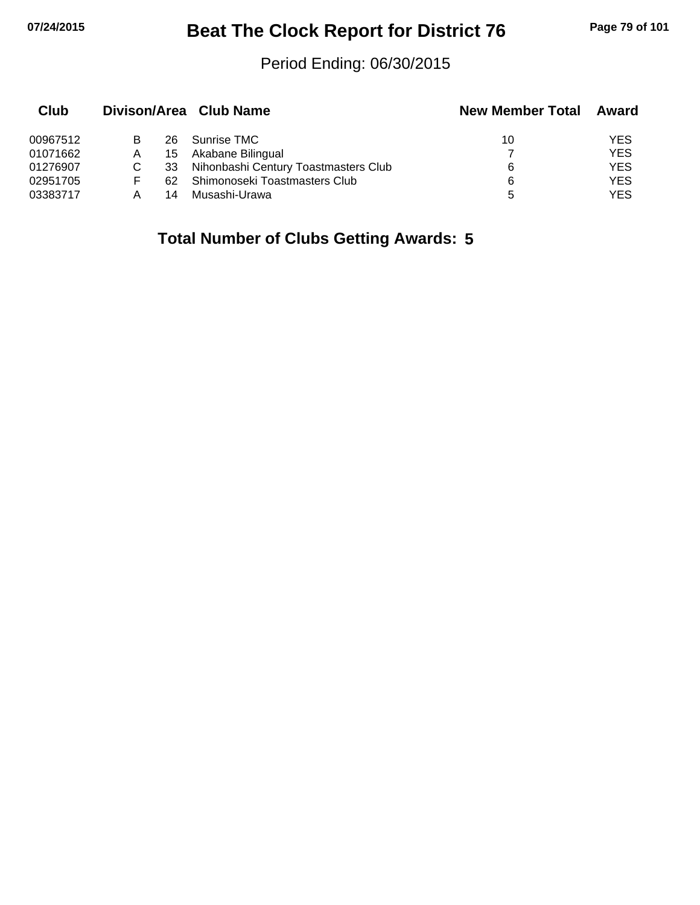## **07/24/2015 Beat The Clock Report for District 76 Page 79 of 101**

#### Period Ending: 06/30/2015

| Club     |   |     | Divison/Area Club Name               | <b>New Member Total</b> | Award      |
|----------|---|-----|--------------------------------------|-------------------------|------------|
| 00967512 | B | 26. | Sunrise TMC                          | 10                      | YES        |
| 01071662 | A | 15  | Akabane Bilingual                    |                         | <b>YES</b> |
| 01276907 |   | 33  | Nihonbashi Century Toastmasters Club | 6                       | <b>YES</b> |
| 02951705 | F | 62  | Shimonoseki Toastmasters Club        | 6                       | <b>YES</b> |
| 03383717 |   | 14  | Musashi-Urawa                        | 5                       | YES        |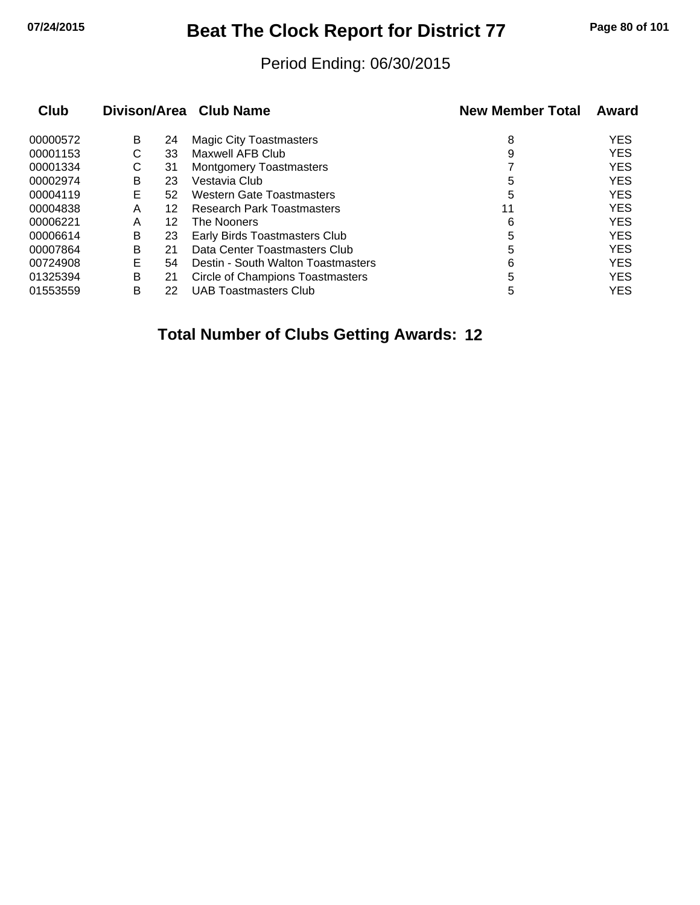## **07/24/2015 Beat The Clock Report for District 77 Page 80 of 101**

#### Period Ending: 06/30/2015

| Club     |   |    | Divison/Area Club Name             | <b>New Member Total</b> | Award      |
|----------|---|----|------------------------------------|-------------------------|------------|
| 00000572 | B | 24 | <b>Magic City Toastmasters</b>     | 8                       | <b>YES</b> |
| 00001153 | С | 33 | Maxwell AFB Club                   | 9                       | <b>YES</b> |
| 00001334 | C | 31 | <b>Montgomery Toastmasters</b>     |                         | <b>YES</b> |
| 00002974 | B | 23 | Vestavia Club                      | 5                       | <b>YES</b> |
| 00004119 | Е | 52 | Western Gate Toastmasters          | 5                       | <b>YES</b> |
| 00004838 | Α | 12 | <b>Research Park Toastmasters</b>  | 11                      | <b>YES</b> |
| 00006221 | A | 12 | The Nooners                        | 6                       | <b>YES</b> |
| 00006614 | В | 23 | Early Birds Toastmasters Club      | 5                       | <b>YES</b> |
| 00007864 | B | 21 | Data Center Toastmasters Club      | 5                       | <b>YES</b> |
| 00724908 | Е | 54 | Destin - South Walton Toastmasters | 6                       | <b>YES</b> |
| 01325394 | B | 21 | Circle of Champions Toastmasters   | 5                       | <b>YES</b> |
| 01553559 | в | 22 | <b>UAB Toastmasters Club</b>       | 5                       | <b>YES</b> |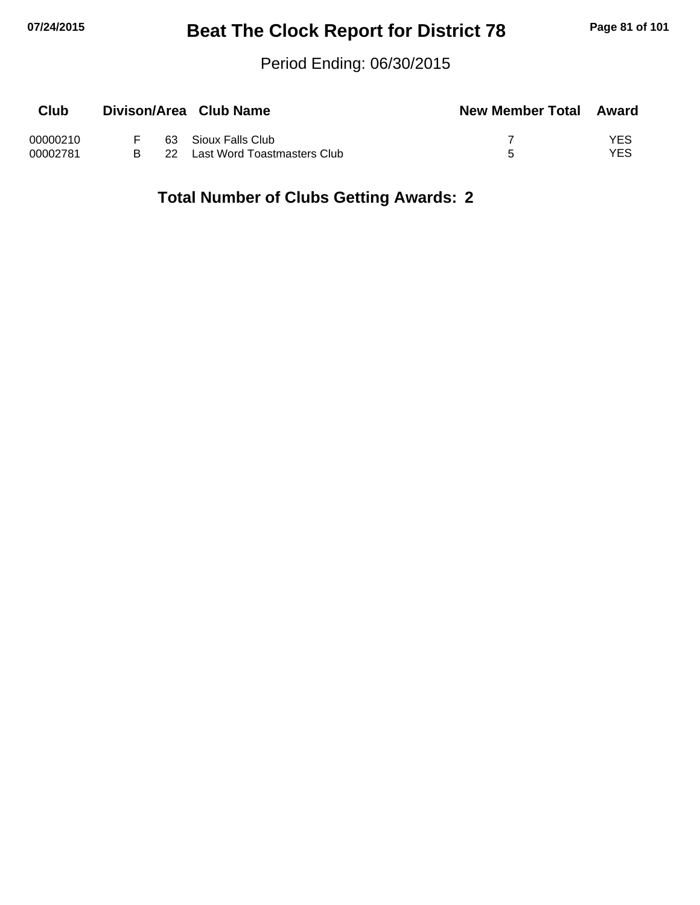## **07/24/2015 Beat The Clock Report for District 78 Page 81 of 101**

#### Period Ending: 06/30/2015

| Club     |       | Divison/Area Club Name      | <b>New Member Total Award</b> |     |
|----------|-------|-----------------------------|-------------------------------|-----|
| 00000210 |       | 63 Sioux Falls Club         |                               | YES |
| 00002781 | -22 - | Last Word Toastmasters Club |                               | YES |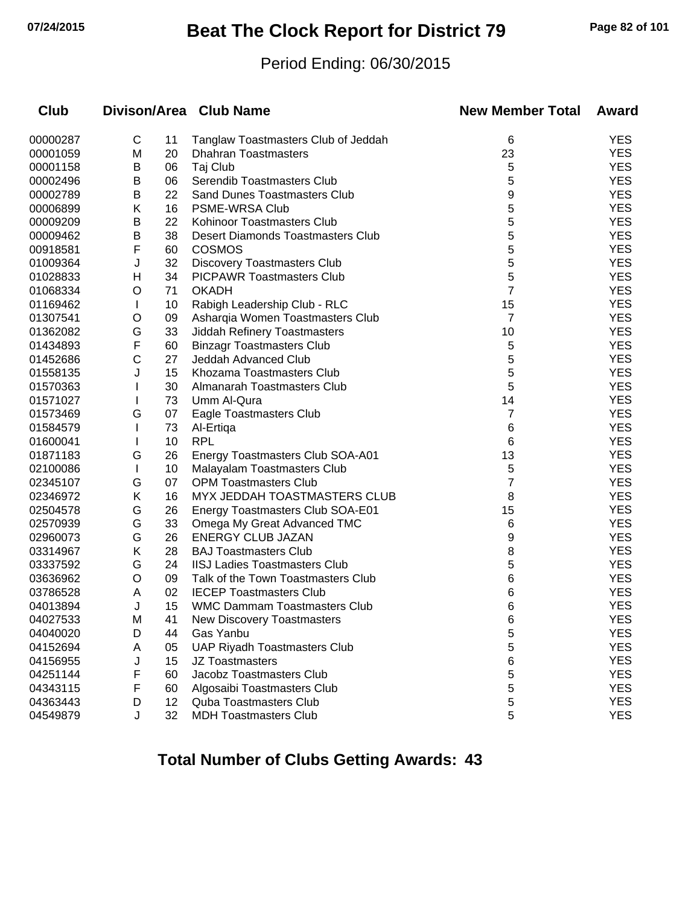## **07/24/2015 Beat The Clock Report for District 79 Page 82 of 101**

#### Period Ending: 06/30/2015

| <b>Club</b> |              |                 | Divison/Area Club Name                   | <b>New Member Total</b> | Award      |
|-------------|--------------|-----------------|------------------------------------------|-------------------------|------------|
| 00000287    | C            | 11              | Tanglaw Toastmasters Club of Jeddah      | 6                       | <b>YES</b> |
| 00001059    | M            | 20              | <b>Dhahran Toastmasters</b>              | 23                      | <b>YES</b> |
| 00001158    | B            | 06              | Taj Club                                 | 5                       | <b>YES</b> |
| 00002496    | B            | 06              | Serendib Toastmasters Club               | 5                       | <b>YES</b> |
| 00002789    | B            | 22              | <b>Sand Dunes Toastmasters Club</b>      | 9                       | <b>YES</b> |
| 00006899    | Κ            | 16              | PSME-WRSA Club                           | 5                       | <b>YES</b> |
| 00009209    | B            | 22              | Kohinoor Toastmasters Club               | 5                       | <b>YES</b> |
| 00009462    | B            | 38              | <b>Desert Diamonds Toastmasters Club</b> | 5                       | <b>YES</b> |
| 00918581    | F            | 60              | <b>COSMOS</b>                            | 5                       | <b>YES</b> |
| 01009364    | J            | 32              | <b>Discovery Toastmasters Club</b>       | 5                       | <b>YES</b> |
| 01028833    | н            | 34              | <b>PICPAWR Toastmasters Club</b>         | 5                       | <b>YES</b> |
| 01068334    | O            | 71              | <b>OKADH</b>                             | 7                       | <b>YES</b> |
| 01169462    | $\mathbf{I}$ | 10              | Rabigh Leadership Club - RLC             | 15                      | <b>YES</b> |
| 01307541    | O            | 09              | Asharqia Women Toastmasters Club         | 7                       | <b>YES</b> |
| 01362082    | G            | 33              | Jiddah Refinery Toastmasters             | 10                      | <b>YES</b> |
| 01434893    | F            | 60              | <b>Binzagr Toastmasters Club</b>         | 5                       | <b>YES</b> |
| 01452686    | С            | 27              | Jeddah Advanced Club                     | 5                       | <b>YES</b> |
| 01558135    | J            | 15              | Khozama Toastmasters Club                | 5                       | <b>YES</b> |
| 01570363    |              | 30              | Almanarah Toastmasters Club              | 5                       | <b>YES</b> |
| 01571027    | L            | 73              | Umm Al-Qura                              | 14                      | <b>YES</b> |
| 01573469    | G            | 07              | Eagle Toastmasters Club                  | 7                       | <b>YES</b> |
| 01584579    |              | 73              | Al-Ertiga                                | 6                       | <b>YES</b> |
| 01600041    |              | 10              | <b>RPL</b>                               | 6                       | <b>YES</b> |
| 01871183    | G            | 26              | Energy Toastmasters Club SOA-A01         | 13                      | <b>YES</b> |
| 02100086    | L            | 10              | Malayalam Toastmasters Club              | 5                       | <b>YES</b> |
| 02345107    | G            | 07              | <b>OPM Toastmasters Club</b>             | 7                       | <b>YES</b> |
| 02346972    | Κ            | 16              | MYX JEDDAH TOASTMASTERS CLUB             | 8                       | <b>YES</b> |
| 02504578    | G            | 26              | Energy Toastmasters Club SOA-E01         | 15                      | <b>YES</b> |
| 02570939    | G            | 33              | Omega My Great Advanced TMC              | 6                       | <b>YES</b> |
| 02960073    | G            | 26              | <b>ENERGY CLUB JAZAN</b>                 | 9                       | <b>YES</b> |
| 03314967    | Κ            | 28              | <b>BAJ Toastmasters Club</b>             | 8                       | <b>YES</b> |
| 03337592    | G            | 24              | <b>IISJ Ladies Toastmasters Club</b>     | 5                       | <b>YES</b> |
| 03636962    | O            | 09              | Talk of the Town Toastmasters Club       | 6                       | <b>YES</b> |
| 03786528    | A            | 02              | <b>IECEP Toastmasters Club</b>           | 6                       | <b>YES</b> |
| 04013894    | J            | 15              | <b>WMC Dammam Toastmasters Club</b>      | 6                       | <b>YES</b> |
| 04027533    | M            | 41              | New Discovery Toastmasters               | 6                       | YES        |
| 04040020    | D            | 44              | Gas Yanbu                                | 5                       | <b>YES</b> |
| 04152694    | A            | 05              | <b>UAP Riyadh Toastmasters Club</b>      | 5                       | <b>YES</b> |
| 04156955    | J            | 15              | <b>JZ Toastmasters</b>                   | 6                       | <b>YES</b> |
| 04251144    | F            | 60              | Jacobz Toastmasters Club                 | 5                       | <b>YES</b> |
| 04343115    | F            | 60              | Algosaibi Toastmasters Club              | 5                       | <b>YES</b> |
| 04363443    | D            | 12 <sup>2</sup> | <b>Quba Toastmasters Club</b>            | 5                       | <b>YES</b> |
| 04549879    | J            | 32              | <b>MDH Toastmasters Club</b>             | 5                       | <b>YES</b> |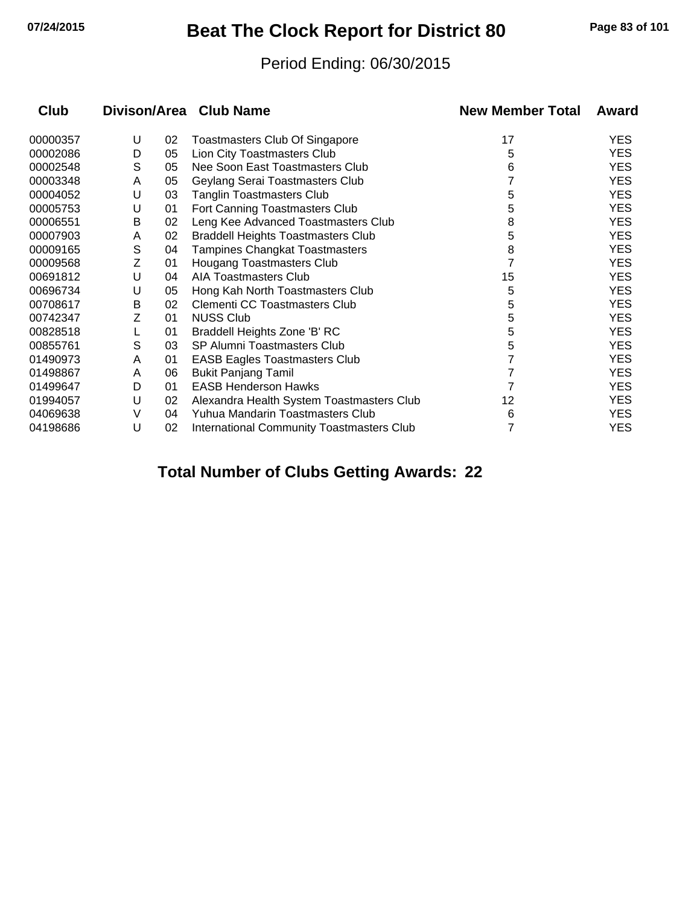## **07/24/2015 Beat The Clock Report for District 80 Page 83 of 101**

#### Period Ending: 06/30/2015

| Club     |   |    | Divison/Area Club Name                           | <b>New Member Total</b> | Award      |
|----------|---|----|--------------------------------------------------|-------------------------|------------|
| 00000357 | U | 02 | <b>Toastmasters Club Of Singapore</b>            | 17                      | <b>YES</b> |
| 00002086 | D | 05 | Lion City Toastmasters Club                      | 5                       | <b>YES</b> |
| 00002548 | S | 05 | Nee Soon East Toastmasters Club                  | 6                       | <b>YES</b> |
| 00003348 | A | 05 | Geylang Serai Toastmasters Club                  |                         | <b>YES</b> |
| 00004052 | U | 03 | <b>Tanglin Toastmasters Club</b>                 | 5                       | <b>YES</b> |
| 00005753 | U | 01 | Fort Canning Toastmasters Club                   | 5                       | <b>YES</b> |
| 00006551 | B | 02 | Leng Kee Advanced Toastmasters Club              | 8                       | <b>YES</b> |
| 00007903 | A | 02 | <b>Braddell Heights Toastmasters Club</b>        | 5                       | <b>YES</b> |
| 00009165 | S | 04 | Tampines Changkat Toastmasters                   | 8                       | <b>YES</b> |
| 00009568 | Ζ | 01 | Hougang Toastmasters Club                        |                         | <b>YES</b> |
| 00691812 | U | 04 | AIA Toastmasters Club                            | 15                      | <b>YES</b> |
| 00696734 | U | 05 | Hong Kah North Toastmasters Club                 | 5                       | <b>YES</b> |
| 00708617 | В | 02 | Clementi CC Toastmasters Club                    | 5                       | <b>YES</b> |
| 00742347 | Ζ | 01 | <b>NUSS Club</b>                                 | 5                       | <b>YES</b> |
| 00828518 |   | 01 | Braddell Heights Zone 'B' RC                     | 5                       | <b>YES</b> |
| 00855761 | S | 03 | SP Alumni Toastmasters Club                      | 5                       | <b>YES</b> |
| 01490973 | A | 01 | <b>EASB Eagles Toastmasters Club</b>             |                         | <b>YES</b> |
| 01498867 | A | 06 | <b>Bukit Panjang Tamil</b>                       |                         | <b>YES</b> |
| 01499647 | D | 01 | <b>EASB Henderson Hawks</b>                      |                         | <b>YES</b> |
| 01994057 | U | 02 | Alexandra Health System Toastmasters Club        | 12                      | <b>YES</b> |
| 04069638 | V | 04 | Yuhua Mandarin Toastmasters Club                 | 6                       | <b>YES</b> |
| 04198686 | U | 02 | <b>International Community Toastmasters Club</b> | 7                       | <b>YES</b> |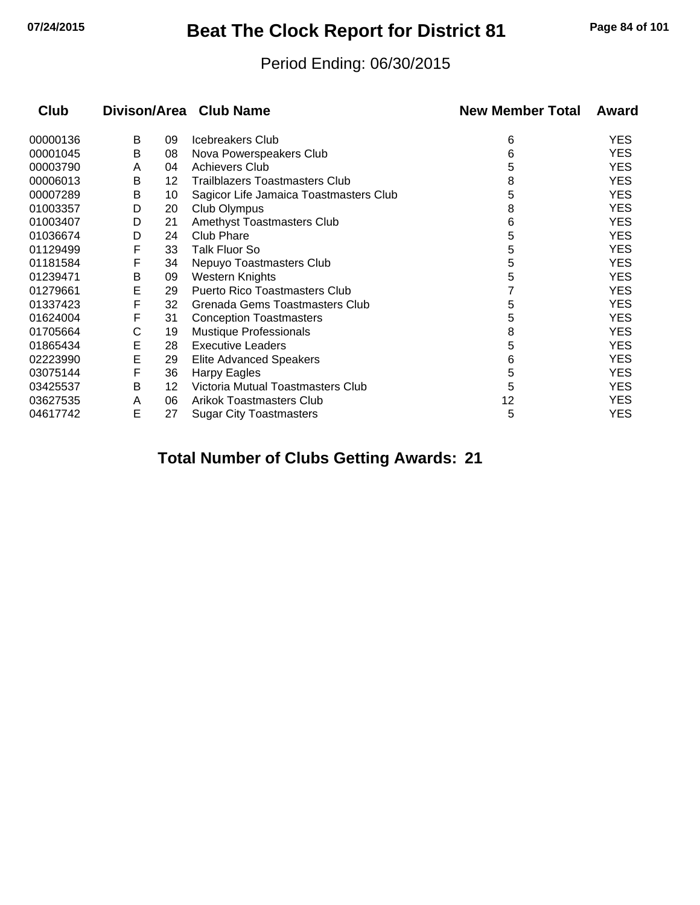# **07/24/2015 Beat The Clock Report for District 81 Page 84 of 101**

#### Period Ending: 06/30/2015

| <b>Club</b> |   |    | Divison/Area Club Name                 | <b>New Member Total</b> | Award      |
|-------------|---|----|----------------------------------------|-------------------------|------------|
| 00000136    | В | 09 | Icebreakers Club                       | 6                       | YES        |
| 00001045    | B | 08 | Nova Powerspeakers Club                | 6                       | YES        |
| 00003790    | A | 04 | <b>Achievers Club</b>                  | 5                       | <b>YES</b> |
| 00006013    | В | 12 | Trailblazers Toastmasters Club         | 8                       | YES        |
| 00007289    | В | 10 | Sagicor Life Jamaica Toastmasters Club | 5                       | YES        |
| 01003357    | D | 20 | Club Olympus                           | 8                       | <b>YES</b> |
| 01003407    | D | 21 | Amethyst Toastmasters Club             | 6                       | YES        |
| 01036674    | D | 24 | <b>Club Phare</b>                      | 5                       | <b>YES</b> |
| 01129499    | F | 33 | <b>Talk Fluor So</b>                   | 5                       | YES        |
| 01181584    | F | 34 | Nepuyo Toastmasters Club               | 5                       | YES        |
| 01239471    | B | 09 | Western Knights                        | 5                       | <b>YES</b> |
| 01279661    | E | 29 | <b>Puerto Rico Toastmasters Club</b>   |                         | YES        |
| 01337423    | F | 32 | Grenada Gems Toastmasters Club         | 5                       | YES        |
| 01624004    | F | 31 | <b>Conception Toastmasters</b>         | 5                       | <b>YES</b> |
| 01705664    | С | 19 | Mustique Professionals                 | 8                       | YES        |
| 01865434    | E | 28 | <b>Executive Leaders</b>               | 5                       | <b>YES</b> |
| 02223990    | E | 29 | Elite Advanced Speakers                | 6                       | YES        |
| 03075144    | F | 36 | Harpy Eagles                           | 5                       | <b>YES</b> |
| 03425537    | B | 12 | Victoria Mutual Toastmasters Club      | 5                       | <b>YES</b> |
| 03627535    | A | 06 | <b>Arikok Toastmasters Club</b>        | 12                      | YES        |
| 04617742    | Ε | 27 | <b>Sugar City Toastmasters</b>         | 5                       | <b>YES</b> |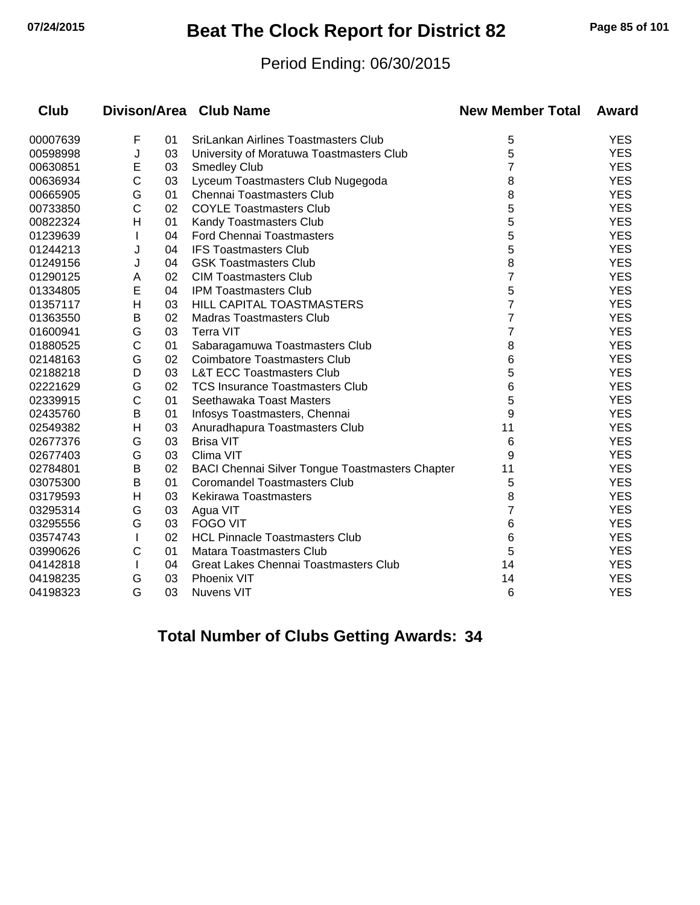## **07/24/2015 Beat The Clock Report for District 82 Page 85 of 101**

#### Period Ending: 06/30/2015

| <b>Club</b> |              |    | Divison/Area Club Name                                 | <b>New Member Total</b> | Award      |
|-------------|--------------|----|--------------------------------------------------------|-------------------------|------------|
| 00007639    | F            | 01 | SriLankan Airlines Toastmasters Club                   | 5                       | <b>YES</b> |
| 00598998    | J            | 03 | University of Moratuwa Toastmasters Club               | 5                       | <b>YES</b> |
| 00630851    | Е            | 03 | <b>Smedley Club</b>                                    | 7                       | <b>YES</b> |
| 00636934    | С            | 03 | Lyceum Toastmasters Club Nugegoda                      | 8                       | <b>YES</b> |
| 00665905    | G            | 01 | <b>Chennai Toastmasters Club</b>                       | 8                       | <b>YES</b> |
| 00733850    | C            | 02 | <b>COYLE Toastmasters Club</b>                         | 5                       | <b>YES</b> |
| 00822324    | н            | 01 | Kandy Toastmasters Club                                | 5                       | <b>YES</b> |
| 01239639    |              | 04 | <b>Ford Chennai Toastmasters</b>                       | 5                       | <b>YES</b> |
| 01244213    | J            | 04 | <b>IFS Toastmasters Club</b>                           | 5                       | <b>YES</b> |
| 01249156    | J            | 04 | <b>GSK Toastmasters Club</b>                           | 8                       | <b>YES</b> |
| 01290125    | A            | 02 | <b>CIM Toastmasters Club</b>                           | $\overline{7}$          | <b>YES</b> |
| 01334805    | E            | 04 | <b>IPM Toastmasters Club</b>                           | 5                       | <b>YES</b> |
| 01357117    | Н            | 03 | HILL CAPITAL TOASTMASTERS                              | 7                       | <b>YES</b> |
| 01363550    | в            | 02 | <b>Madras Toastmasters Club</b>                        | 7                       | <b>YES</b> |
| 01600941    | G            | 03 | <b>Terra VIT</b>                                       | 7                       | <b>YES</b> |
| 01880525    | C            | 01 | Sabaragamuwa Toastmasters Club                         | 8                       | <b>YES</b> |
| 02148163    | G            | 02 | <b>Coimbatore Toastmasters Club</b>                    | 6                       | <b>YES</b> |
| 02188218    | D            | 03 | <b>L&amp;T ECC Toastmasters Club</b>                   | 5                       | <b>YES</b> |
| 02221629    | G            | 02 | <b>TCS Insurance Toastmasters Club</b>                 | 6                       | <b>YES</b> |
| 02339915    | C            | 01 | Seethawaka Toast Masters                               | 5                       | <b>YES</b> |
| 02435760    | B            | 01 | Infosys Toastmasters, Chennai                          | 9                       | <b>YES</b> |
| 02549382    | Н            | 03 | Anuradhapura Toastmasters Club                         | 11                      | <b>YES</b> |
| 02677376    | G            | 03 | <b>Brisa VIT</b>                                       | 6                       | <b>YES</b> |
| 02677403    | G            | 03 | Clima VIT                                              | 9                       | <b>YES</b> |
| 02784801    | B            | 02 | <b>BACI Chennai Silver Tongue Toastmasters Chapter</b> | 11                      | <b>YES</b> |
| 03075300    | В            | 01 | <b>Coromandel Toastmasters Club</b>                    | 5                       | <b>YES</b> |
| 03179593    | н            | 03 | <b>Kekirawa Toastmasters</b>                           | 8                       | <b>YES</b> |
| 03295314    | G            | 03 | Agua VIT                                               | 7                       | <b>YES</b> |
| 03295556    | G            | 03 | <b>FOGO VIT</b>                                        | 6                       | <b>YES</b> |
| 03574743    |              | 02 | <b>HCL Pinnacle Toastmasters Club</b>                  | 6                       | <b>YES</b> |
| 03990626    | С            | 01 | Matara Toastmasters Club                               | 5                       | <b>YES</b> |
| 04142818    | $\mathbf{I}$ | 04 | Great Lakes Chennai Toastmasters Club                  | 14                      | <b>YES</b> |
| 04198235    | G            | 03 | Phoenix VIT                                            | 14                      | <b>YES</b> |
| 04198323    | G            | 03 | <b>Nuvens VIT</b>                                      | 6                       | <b>YES</b> |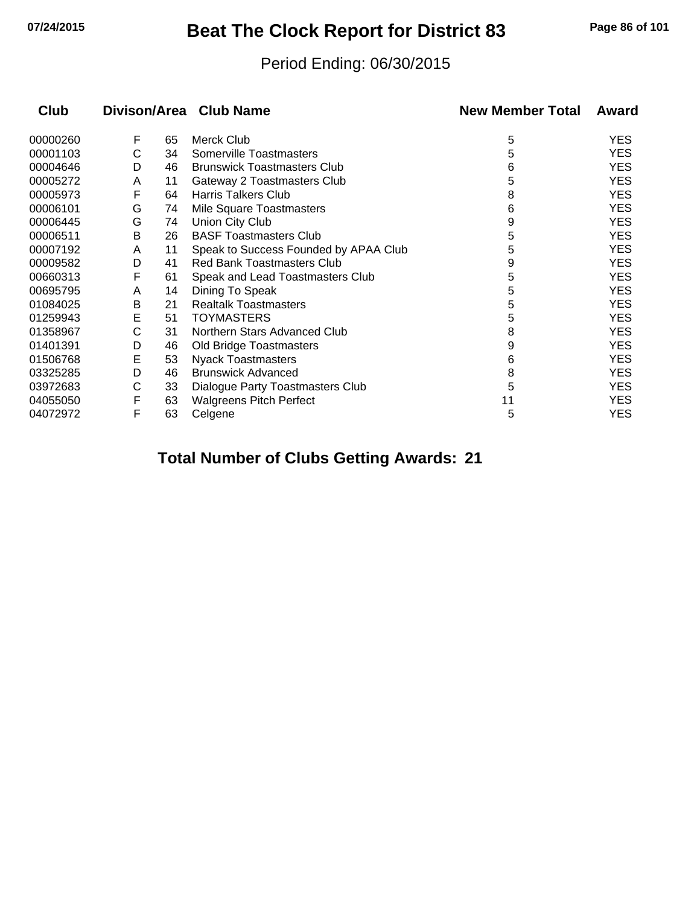## **07/24/2015 Beat The Clock Report for District 83 Page 86 of 101**

#### Period Ending: 06/30/2015

| <b>Club</b> |   |    | Divison/Area Club Name                | <b>New Member Total</b> | Award      |
|-------------|---|----|---------------------------------------|-------------------------|------------|
| 00000260    | F | 65 | Merck Club                            | 5                       | YES        |
| 00001103    | C | 34 | Somerville Toastmasters               | 5                       | YES        |
| 00004646    | D | 46 | <b>Brunswick Toastmasters Club</b>    | 6                       | <b>YES</b> |
| 00005272    | A | 11 | Gateway 2 Toastmasters Club           | 5                       | YES        |
| 00005973    | F | 64 | <b>Harris Talkers Club</b>            | 8                       | YES        |
| 00006101    | G | 74 | Mile Square Toastmasters              | 6                       | <b>YES</b> |
| 00006445    | G | 74 | Union City Club                       | 9                       | YES        |
| 00006511    | B | 26 | <b>BASF Toastmasters Club</b>         | 5                       | <b>YES</b> |
| 00007192    | A | 11 | Speak to Success Founded by APAA Club | 5                       | <b>YES</b> |
| 00009582    | D | 41 | <b>Red Bank Toastmasters Club</b>     | 9                       | YES        |
| 00660313    | F | 61 | Speak and Lead Toastmasters Club      | 5                       | <b>YES</b> |
| 00695795    | A | 14 | Dining To Speak                       | 5                       | <b>YES</b> |
| 01084025    | B | 21 | <b>Realtalk Toastmasters</b>          | 5                       | <b>YES</b> |
| 01259943    | Е | 51 | <b>TOYMASTERS</b>                     | 5                       | YES        |
| 01358967    | С | 31 | Northern Stars Advanced Club          | 8                       | <b>YES</b> |
| 01401391    | D | 46 | Old Bridge Toastmasters               | 9                       | <b>YES</b> |
| 01506768    | Е | 53 | <b>Nyack Toastmasters</b>             | 6                       | <b>YES</b> |
| 03325285    | D | 46 | <b>Brunswick Advanced</b>             | 8                       | <b>YES</b> |
| 03972683    | C | 33 | Dialogue Party Toastmasters Club      | 5                       | <b>YES</b> |
| 04055050    | F | 63 | <b>Walgreens Pitch Perfect</b>        | 11                      | YES        |
| 04072972    | F | 63 | Celgene                               | 5                       | <b>YES</b> |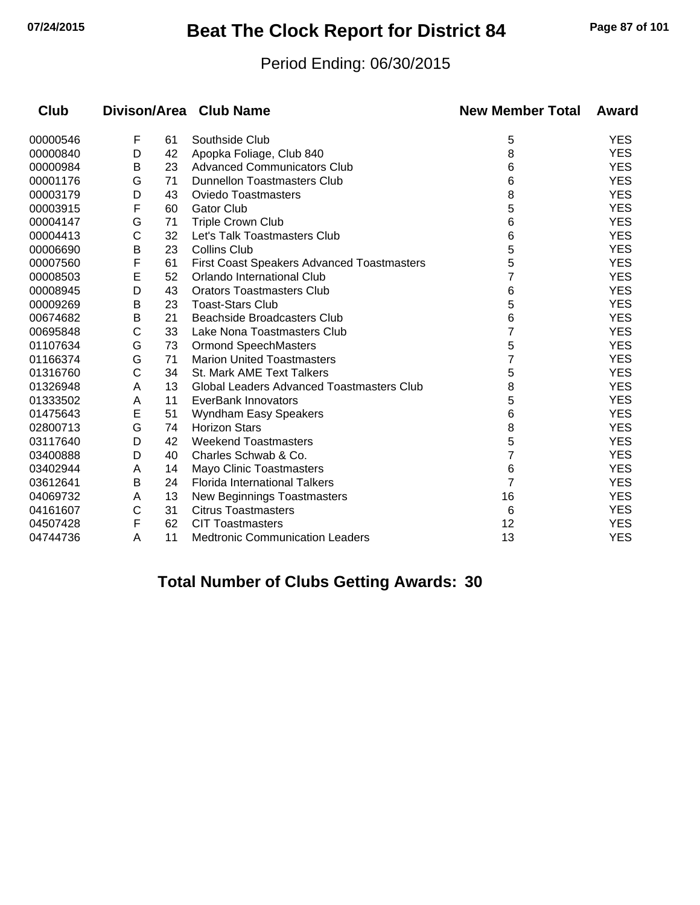## **07/24/2015 Beat The Clock Report for District 84 Page 87 of 101**

#### Period Ending: 06/30/2015

| <b>Club</b> |   |    | Divison/Area Club Name                            | <b>New Member Total</b> | Award      |
|-------------|---|----|---------------------------------------------------|-------------------------|------------|
| 00000546    | F | 61 | Southside Club                                    | 5                       | <b>YES</b> |
| 00000840    | D | 42 | Apopka Foliage, Club 840                          | 8                       | <b>YES</b> |
| 00000984    | в | 23 | <b>Advanced Communicators Club</b>                | 6                       | <b>YES</b> |
| 00001176    | G | 71 | <b>Dunnellon Toastmasters Club</b>                | 6                       | <b>YES</b> |
| 00003179    | D | 43 | <b>Oviedo Toastmasters</b>                        | 8                       | <b>YES</b> |
| 00003915    | F | 60 | <b>Gator Club</b>                                 | 5                       | <b>YES</b> |
| 00004147    | G | 71 | <b>Triple Crown Club</b>                          | 6                       | <b>YES</b> |
| 00004413    | С | 32 | Let's Talk Toastmasters Club                      | 6                       | <b>YES</b> |
| 00006690    | В | 23 | <b>Collins Club</b>                               | 5                       | <b>YES</b> |
| 00007560    | F | 61 | <b>First Coast Speakers Advanced Toastmasters</b> | 5                       | <b>YES</b> |
| 00008503    | E | 52 | Orlando International Club                        | 7                       | <b>YES</b> |
| 00008945    | D | 43 | <b>Orators Toastmasters Club</b>                  | 6                       | <b>YES</b> |
| 00009269    | В | 23 | <b>Toast-Stars Club</b>                           | 5                       | <b>YES</b> |
| 00674682    | В | 21 | Beachside Broadcasters Club                       | 6                       | <b>YES</b> |
| 00695848    | С | 33 | Lake Nona Toastmasters Club                       | 7                       | <b>YES</b> |
| 01107634    | G | 73 | <b>Ormond SpeechMasters</b>                       | 5                       | <b>YES</b> |
| 01166374    | G | 71 | <b>Marion United Toastmasters</b>                 | 7                       | <b>YES</b> |
| 01316760    | С | 34 | St. Mark AME Text Talkers                         | 5                       | <b>YES</b> |
| 01326948    | A | 13 | <b>Global Leaders Advanced Toastmasters Club</b>  | 8                       | <b>YES</b> |
| 01333502    | A | 11 | EverBank Innovators                               | 5                       | <b>YES</b> |
| 01475643    | E | 51 | Wyndham Easy Speakers                             | 6                       | <b>YES</b> |
| 02800713    | G | 74 | <b>Horizon Stars</b>                              | 8                       | <b>YES</b> |
| 03117640    | D | 42 | <b>Weekend Toastmasters</b>                       | 5                       | <b>YES</b> |
| 03400888    | D | 40 | Charles Schwab & Co.                              | 7                       | <b>YES</b> |
| 03402944    | A | 14 | Mayo Clinic Toastmasters                          | 6                       | <b>YES</b> |
| 03612641    | Β | 24 | <b>Florida International Talkers</b>              | 7                       | <b>YES</b> |
| 04069732    | A | 13 | New Beginnings Toastmasters                       | 16                      | <b>YES</b> |
| 04161607    | C | 31 | <b>Citrus Toastmasters</b>                        | 6                       | <b>YES</b> |
| 04507428    | F | 62 | <b>CIT Toastmasters</b>                           | 12                      | <b>YES</b> |
| 04744736    | A | 11 | <b>Medtronic Communication Leaders</b>            | 13                      | <b>YES</b> |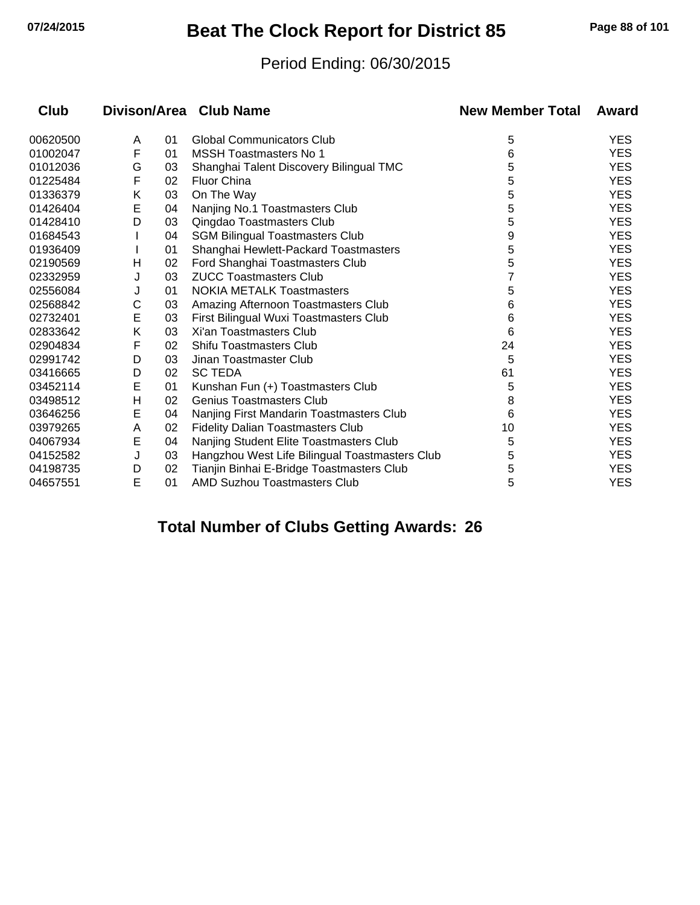## **07/24/2015 Beat The Clock Report for District 85 Page 88 of 101**

#### Period Ending: 06/30/2015

| Club     |   |    | Divison/Area Club Name                         | <b>New Member Total</b> | Award      |
|----------|---|----|------------------------------------------------|-------------------------|------------|
| 00620500 | A | 01 | <b>Global Communicators Club</b>               | 5                       | <b>YES</b> |
| 01002047 | F | 01 | <b>MSSH Toastmasters No 1</b>                  | 6                       | <b>YES</b> |
| 01012036 | G | 03 | Shanghai Talent Discovery Bilingual TMC        | 5                       | <b>YES</b> |
| 01225484 | F | 02 | <b>Fluor China</b>                             | 5                       | <b>YES</b> |
| 01336379 | Κ | 03 | On The Way                                     | 5                       | <b>YES</b> |
| 01426404 | E | 04 | Nanjing No.1 Toastmasters Club                 | 5                       | <b>YES</b> |
| 01428410 | D | 03 | Qingdao Toastmasters Club                      | 5                       | <b>YES</b> |
| 01684543 |   | 04 | <b>SGM Bilingual Toastmasters Club</b>         | 9                       | <b>YES</b> |
| 01936409 |   | 01 | Shanghai Hewlett-Packard Toastmasters          | 5                       | <b>YES</b> |
| 02190569 | н | 02 | Ford Shanghai Toastmasters Club                | 5                       | <b>YES</b> |
| 02332959 | J | 03 | <b>ZUCC Toastmasters Club</b>                  | 7                       | <b>YES</b> |
| 02556084 | J | 01 | <b>NOKIA METALK Toastmasters</b>               | 5                       | <b>YES</b> |
| 02568842 | С | 03 | Amazing Afternoon Toastmasters Club            | 6                       | <b>YES</b> |
| 02732401 | E | 03 | First Bilingual Wuxi Toastmasters Club         | 6                       | <b>YES</b> |
| 02833642 | K | 03 | Xi'an Toastmasters Club                        | 6                       | <b>YES</b> |
| 02904834 | F | 02 | <b>Shifu Toastmasters Club</b>                 | 24                      | <b>YES</b> |
| 02991742 | D | 03 | Jinan Toastmaster Club                         | 5                       | <b>YES</b> |
| 03416665 | D | 02 | <b>SC TEDA</b>                                 | 61                      | <b>YES</b> |
| 03452114 | E | 01 | Kunshan Fun (+) Toastmasters Club              | 5                       | <b>YES</b> |
| 03498512 | Η | 02 | <b>Genius Toastmasters Club</b>                | 8                       | <b>YES</b> |
| 03646256 | E | 04 | Nanjing First Mandarin Toastmasters Club       | 6                       | <b>YES</b> |
| 03979265 | A | 02 | <b>Fidelity Dalian Toastmasters Club</b>       | 10                      | <b>YES</b> |
| 04067934 | Е | 04 | Nanjing Student Elite Toastmasters Club        | 5                       | <b>YES</b> |
| 04152582 | J | 03 | Hangzhou West Life Bilingual Toastmasters Club | 5                       | <b>YES</b> |
| 04198735 | D | 02 | Tianjin Binhai E-Bridge Toastmasters Club      | 5                       | <b>YES</b> |
| 04657551 | E | 01 | <b>AMD Suzhou Toastmasters Club</b>            | 5                       | <b>YES</b> |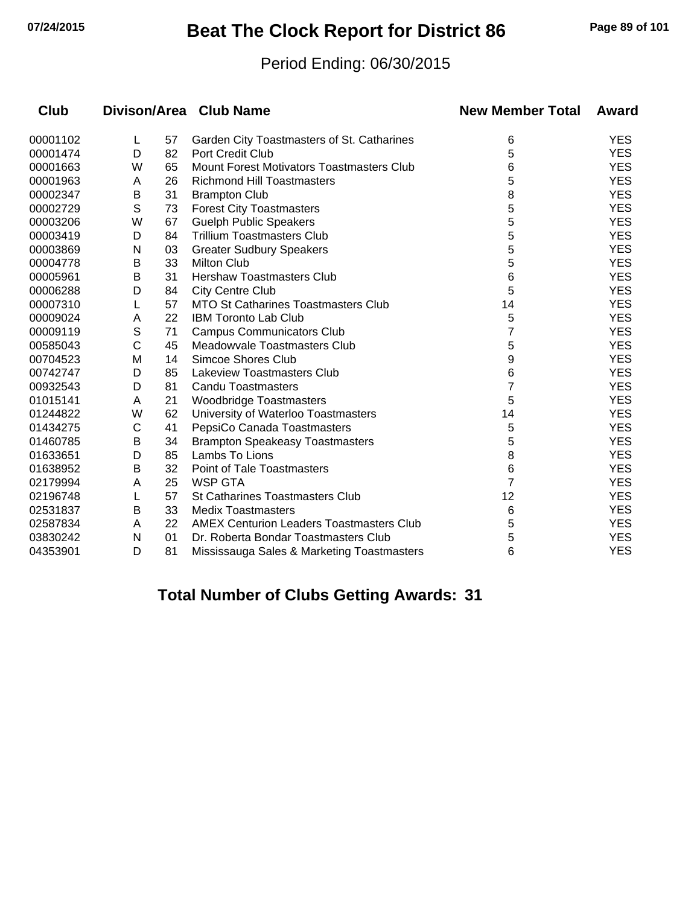## **07/24/2015 Beat The Clock Report for District 86 Page 89 of 101**

#### Period Ending: 06/30/2015

| <b>Club</b> |              |    | Divison/Area Club Name                          | <b>New Member Total</b> | Award      |
|-------------|--------------|----|-------------------------------------------------|-------------------------|------------|
| 00001102    | L            | 57 | Garden City Toastmasters of St. Catharines      | 6                       | <b>YES</b> |
| 00001474    | D            | 82 | <b>Port Credit Club</b>                         | 5                       | <b>YES</b> |
| 00001663    | W            | 65 | Mount Forest Motivators Toastmasters Club       | 6                       | <b>YES</b> |
| 00001963    | A            | 26 | <b>Richmond Hill Toastmasters</b>               | 5                       | <b>YES</b> |
| 00002347    | B            | 31 | <b>Brampton Club</b>                            | 8                       | <b>YES</b> |
| 00002729    | $\mathsf{S}$ | 73 | <b>Forest City Toastmasters</b>                 | 5                       | <b>YES</b> |
| 00003206    | W            | 67 | <b>Guelph Public Speakers</b>                   | 5                       | <b>YES</b> |
| 00003419    | D            | 84 | <b>Trillium Toastmasters Club</b>               | 5                       | <b>YES</b> |
| 00003869    | N            | 03 | <b>Greater Sudbury Speakers</b>                 | 5                       | <b>YES</b> |
| 00004778    | в            | 33 | <b>Milton Club</b>                              | 5                       | <b>YES</b> |
| 00005961    | B            | 31 | Hershaw Toastmasters Club                       | 6                       | <b>YES</b> |
| 00006288    | D            | 84 | <b>City Centre Club</b>                         | 5                       | <b>YES</b> |
| 00007310    | L            | 57 | <b>MTO St Catharines Toastmasters Club</b>      | 14                      | <b>YES</b> |
| 00009024    | A            | 22 | <b>IBM Toronto Lab Club</b>                     | 5                       | <b>YES</b> |
| 00009119    | S            | 71 | <b>Campus Communicators Club</b>                | 7                       | <b>YES</b> |
| 00585043    | C            | 45 | Meadowyale Toastmasters Club                    | 5                       | <b>YES</b> |
| 00704523    | M            | 14 | <b>Simcoe Shores Club</b>                       | 9                       | <b>YES</b> |
| 00742747    | D            | 85 | Lakeview Toastmasters Club                      | 6                       | <b>YES</b> |
| 00932543    | D            | 81 | <b>Candu Toastmasters</b>                       | 7                       | <b>YES</b> |
| 01015141    | A            | 21 | <b>Woodbridge Toastmasters</b>                  | 5                       | <b>YES</b> |
| 01244822    | W            | 62 | University of Waterloo Toastmasters             | 14                      | <b>YES</b> |
| 01434275    | С            | 41 | PepsiCo Canada Toastmasters                     | 5                       | <b>YES</b> |
| 01460785    | Β            | 34 | <b>Brampton Speakeasy Toastmasters</b>          | 5                       | <b>YES</b> |
| 01633651    | D            | 85 | Lambs To Lions                                  | 8                       | <b>YES</b> |
| 01638952    | B            | 32 | <b>Point of Tale Toastmasters</b>               | 6                       | <b>YES</b> |
| 02179994    | A            | 25 | <b>WSP GTA</b>                                  | 7                       | <b>YES</b> |
| 02196748    | L            | 57 | <b>St Catharines Toastmasters Club</b>          | 12                      | <b>YES</b> |
| 02531837    | B            | 33 | <b>Medix Toastmasters</b>                       | 6                       | <b>YES</b> |
| 02587834    | A            | 22 | <b>AMEX Centurion Leaders Toastmasters Club</b> | 5                       | <b>YES</b> |
| 03830242    | N            | 01 | Dr. Roberta Bondar Toastmasters Club            | 5                       | <b>YES</b> |
| 04353901    | D            | 81 | Mississauga Sales & Marketing Toastmasters      | 6                       | <b>YES</b> |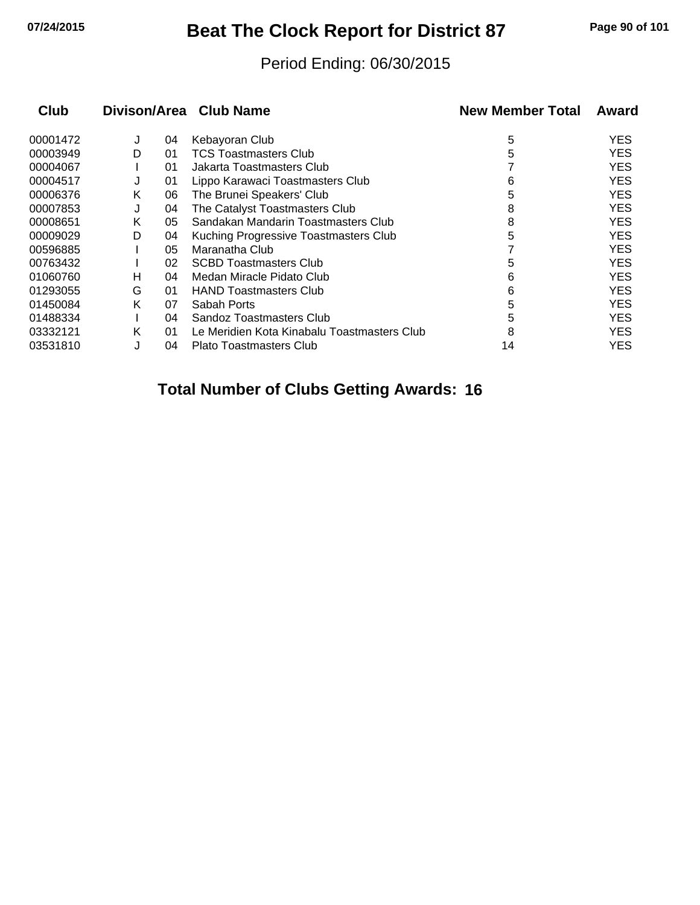## **07/24/2015 Beat The Clock Report for District 87 Page 90 of 101**

#### Period Ending: 06/30/2015

| <b>Club</b> |   |    | Divison/Area Club Name                      | <b>New Member Total</b> | Award      |
|-------------|---|----|---------------------------------------------|-------------------------|------------|
| 00001472    | J | 04 | Kebayoran Club                              | 5                       | <b>YES</b> |
| 00003949    | D | 01 | <b>TCS Toastmasters Club</b>                | 5                       | <b>YES</b> |
| 00004067    |   | 01 | Jakarta Toastmasters Club                   |                         | <b>YES</b> |
| 00004517    | J | 01 | Lippo Karawaci Toastmasters Club            | 6                       | <b>YES</b> |
| 00006376    | Κ | 06 | The Brunei Speakers' Club                   | 5                       | <b>YES</b> |
| 00007853    | J | 04 | The Catalyst Toastmasters Club              | 8                       | <b>YES</b> |
| 00008651    | Κ | 05 | Sandakan Mandarin Toastmasters Club         | 8                       | <b>YES</b> |
| 00009029    | D | 04 | Kuching Progressive Toastmasters Club       | 5                       | <b>YES</b> |
| 00596885    |   | 05 | Maranatha Club                              |                         | <b>YES</b> |
| 00763432    |   | 02 | <b>SCBD Toastmasters Club</b>               | 5                       | <b>YES</b> |
| 01060760    | н | 04 | Medan Miracle Pidato Club                   | 6                       | <b>YES</b> |
| 01293055    | G | 01 | <b>HAND Toastmasters Club</b>               | 6                       | <b>YES</b> |
| 01450084    | K | 07 | Sabah Ports                                 | 5                       | <b>YES</b> |
| 01488334    |   | 04 | Sandoz Toastmasters Club                    | 5                       | <b>YES</b> |
| 03332121    | Κ | 01 | Le Meridien Kota Kinabalu Toastmasters Club | 8                       | <b>YES</b> |
| 03531810    |   | 04 | Plato Toastmasters Club                     | 14                      | YES.       |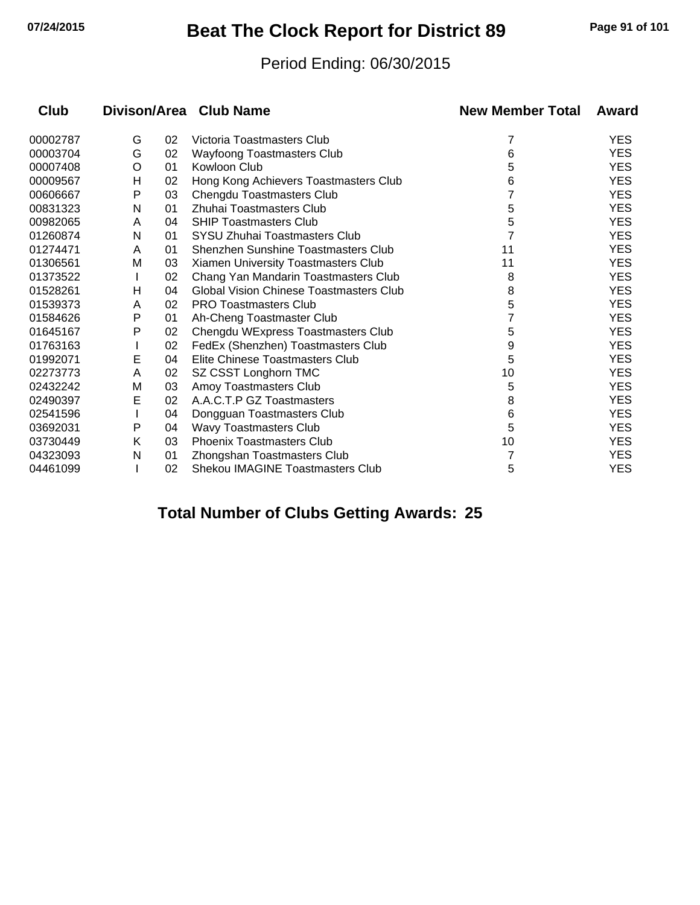## **07/24/2015 Beat The Clock Report for District 89 Page 91 of 101**

#### Period Ending: 06/30/2015

| <b>Club</b> |   |    | Divison/Area Club Name                         | <b>New Member Total</b> | Award      |
|-------------|---|----|------------------------------------------------|-------------------------|------------|
| 00002787    | G | 02 | Victoria Toastmasters Club                     | 7                       | <b>YES</b> |
| 00003704    | G | 02 | Wayfoong Toastmasters Club                     | 6                       | <b>YES</b> |
| 00007408    | O | 01 | Kowloon Club                                   | 5                       | <b>YES</b> |
| 00009567    | н | 02 | Hong Kong Achievers Toastmasters Club          | 6                       | <b>YES</b> |
| 00606667    | P | 03 | Chengdu Toastmasters Club                      |                         | <b>YES</b> |
| 00831323    | N | 01 | Zhuhai Toastmasters Club                       | 5                       | <b>YES</b> |
| 00982065    | A | 04 | <b>SHIP Toastmasters Club</b>                  | 5                       | <b>YES</b> |
| 01260874    | N | 01 | SYSU Zhuhai Toastmasters Club                  | 7                       | <b>YES</b> |
| 01274471    | A | 01 | Shenzhen Sunshine Toastmasters Club            | 11                      | <b>YES</b> |
| 01306561    | М | 03 | Xiamen University Toastmasters Club            | 11                      | <b>YES</b> |
| 01373522    |   | 02 | Chang Yan Mandarin Toastmasters Club           | 8                       | <b>YES</b> |
| 01528261    | н | 04 | <b>Global Vision Chinese Toastmasters Club</b> | 8                       | <b>YES</b> |
| 01539373    | A | 02 | <b>PRO Toastmasters Club</b>                   | 5                       | <b>YES</b> |
| 01584626    | P | 01 | Ah-Cheng Toastmaster Club                      |                         | <b>YES</b> |
| 01645167    | P | 02 | Chengdu WExpress Toastmasters Club             | 5                       | <b>YES</b> |
| 01763163    |   | 02 | FedEx (Shenzhen) Toastmasters Club             | 9                       | <b>YES</b> |
| 01992071    | E | 04 | Elite Chinese Toastmasters Club                | 5                       | <b>YES</b> |
| 02273773    | A | 02 | SZ CSST Longhorn TMC                           | 10                      | <b>YES</b> |
| 02432242    | M | 03 | Amoy Toastmasters Club                         | 5                       | <b>YES</b> |
| 02490397    | Е | 02 | A.A.C.T.P GZ Toastmasters                      | 8                       | <b>YES</b> |
| 02541596    |   | 04 | Dongguan Toastmasters Club                     | 6                       | <b>YES</b> |
| 03692031    | P | 04 | Wavy Toastmasters Club                         | 5                       | <b>YES</b> |
| 03730449    | Κ | 03 | <b>Phoenix Toastmasters Club</b>               | 10                      | <b>YES</b> |
| 04323093    | N | 01 | Zhongshan Toastmasters Club                    | 7                       | <b>YES</b> |
| 04461099    |   | 02 | <b>Shekou IMAGINE Toastmasters Club</b>        | 5                       | <b>YES</b> |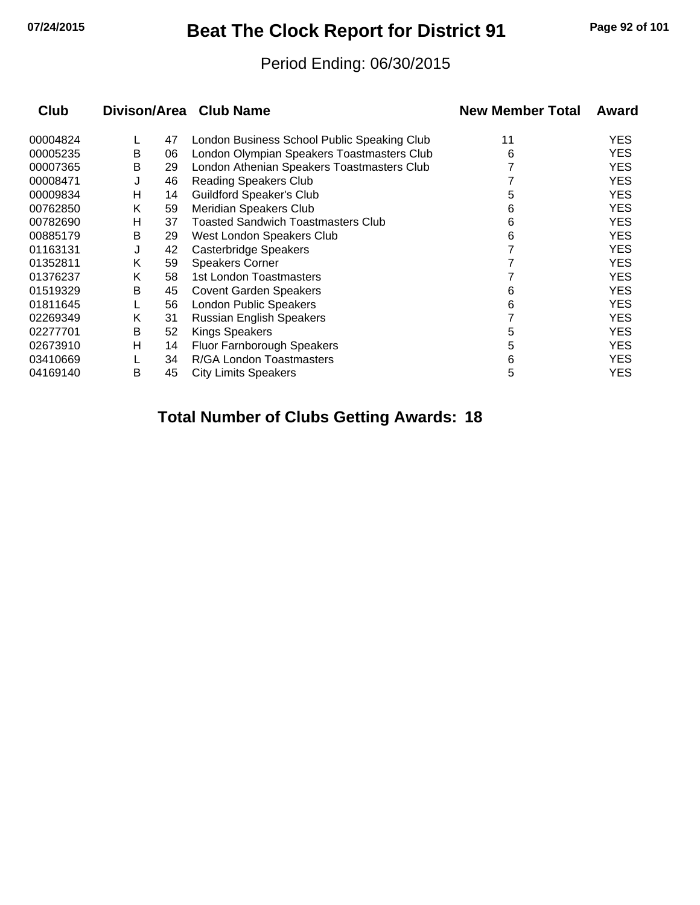## **07/24/2015 Beat The Clock Report for District 91 Page 92 of 101**

#### Period Ending: 06/30/2015

| <b>Club</b> |   |    | Divison/Area Club Name                      | <b>New Member Total</b> | Award      |
|-------------|---|----|---------------------------------------------|-------------------------|------------|
| 00004824    |   | 47 | London Business School Public Speaking Club | 11                      | <b>YES</b> |
| 00005235    | В | 06 | London Olympian Speakers Toastmasters Club  | 6                       | <b>YES</b> |
| 00007365    | В | 29 | London Athenian Speakers Toastmasters Club  |                         | <b>YES</b> |
| 00008471    | J | 46 | <b>Reading Speakers Club</b>                |                         | <b>YES</b> |
| 00009834    | н | 14 | <b>Guildford Speaker's Club</b>             | 5                       | <b>YES</b> |
| 00762850    | Κ | 59 | Meridian Speakers Club                      | 6                       | <b>YES</b> |
| 00782690    | н | 37 | <b>Toasted Sandwich Toastmasters Club</b>   | 6                       | <b>YES</b> |
| 00885179    | В | 29 | West London Speakers Club                   | 6                       | <b>YES</b> |
| 01163131    | J | 42 | <b>Casterbridge Speakers</b>                |                         | <b>YES</b> |
| 01352811    | Κ | 59 | <b>Speakers Corner</b>                      |                         | <b>YES</b> |
| 01376237    | Κ | 58 | 1st London Toastmasters                     |                         | <b>YES</b> |
| 01519329    | В | 45 | <b>Covent Garden Speakers</b>               | 6                       | <b>YES</b> |
| 01811645    |   | 56 | <b>London Public Speakers</b>               | 6                       | <b>YES</b> |
| 02269349    | K | 31 | <b>Russian English Speakers</b>             |                         | <b>YES</b> |
| 02277701    | B | 52 | <b>Kings Speakers</b>                       | 5                       | <b>YES</b> |
| 02673910    | н | 14 | Fluor Farnborough Speakers                  | 5                       | <b>YES</b> |
| 03410669    |   | 34 | R/GA London Toastmasters                    | 6                       | <b>YES</b> |
| 04169140    | В | 45 | <b>City Limits Speakers</b>                 | 5                       | <b>YES</b> |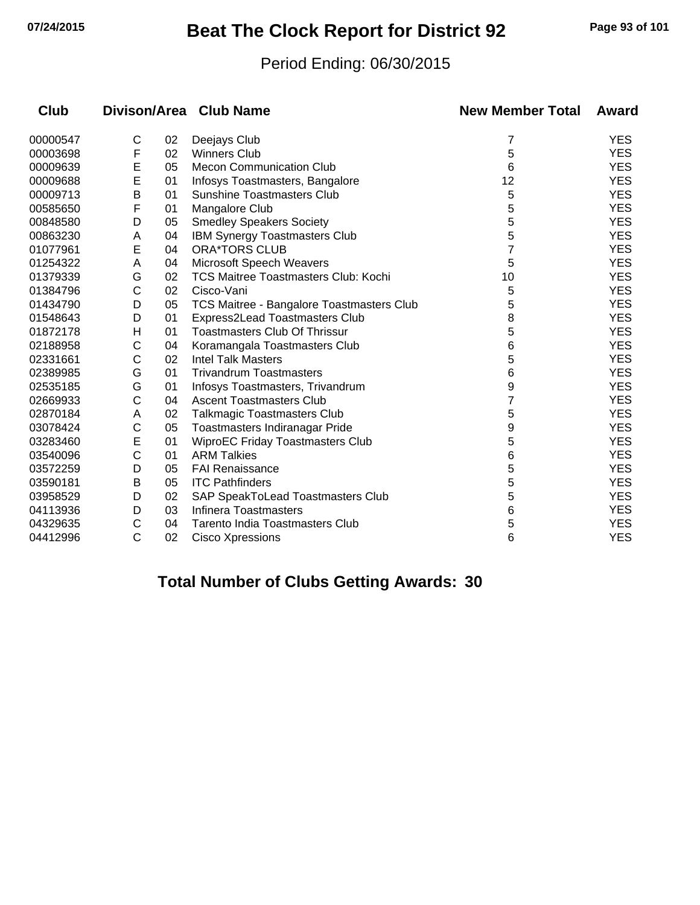## **07/24/2015 Beat The Clock Report for District 92 Page 93 of 101**

#### Period Ending: 06/30/2015

| <b>Club</b> |   |    | Divison/Area Club Name                           | <b>New Member Total</b> | Award      |
|-------------|---|----|--------------------------------------------------|-------------------------|------------|
| 00000547    | C | 02 | Deejays Club                                     | 7                       | <b>YES</b> |
| 00003698    | F | 02 | <b>Winners Club</b>                              | 5                       | <b>YES</b> |
| 00009639    | E | 05 | <b>Mecon Communication Club</b>                  | 6                       | <b>YES</b> |
| 00009688    | E | 01 | Infosys Toastmasters, Bangalore                  | 12                      | <b>YES</b> |
| 00009713    | В | 01 | <b>Sunshine Toastmasters Club</b>                | 5                       | <b>YES</b> |
| 00585650    | F | 01 | Mangalore Club                                   | 5                       | <b>YES</b> |
| 00848580    | D | 05 | <b>Smedley Speakers Society</b>                  | 5                       | <b>YES</b> |
| 00863230    | A | 04 | IBM Synergy Toastmasters Club                    | 5                       | <b>YES</b> |
| 01077961    | E | 04 | <b>ORA*TORS CLUB</b>                             | 7                       | <b>YES</b> |
| 01254322    | A | 04 | <b>Microsoft Speech Weavers</b>                  | 5                       | <b>YES</b> |
| 01379339    | G | 02 | <b>TCS Maitree Toastmasters Club: Kochi</b>      | 10                      | <b>YES</b> |
| 01384796    | C | 02 | Cisco-Vani                                       | 5                       | <b>YES</b> |
| 01434790    | D | 05 | <b>TCS Maitree - Bangalore Toastmasters Club</b> | 5                       | <b>YES</b> |
| 01548643    | D | 01 | Express2Lead Toastmasters Club                   | 8                       | <b>YES</b> |
| 01872178    | Н | 01 | <b>Toastmasters Club Of Thrissur</b>             | 5                       | <b>YES</b> |
| 02188958    | C | 04 | Koramangala Toastmasters Club                    | 6                       | <b>YES</b> |
| 02331661    | C | 02 | <b>Intel Talk Masters</b>                        | 5                       | <b>YES</b> |
| 02389985    | G | 01 | <b>Trivandrum Toastmasters</b>                   | 6                       | <b>YES</b> |
| 02535185    | G | 01 | Infosys Toastmasters, Trivandrum                 | 9                       | <b>YES</b> |
| 02669933    | C | 04 | <b>Ascent Toastmasters Club</b>                  | 7                       | <b>YES</b> |
| 02870184    | A | 02 | <b>Talkmagic Toastmasters Club</b>               | 5                       | <b>YES</b> |
| 03078424    | C | 05 | Toastmasters Indiranagar Pride                   | 9                       | <b>YES</b> |
| 03283460    | E | 01 | <b>WiproEC Friday Toastmasters Club</b>          | 5                       | <b>YES</b> |
| 03540096    | C | 01 | <b>ARM Talkies</b>                               | 6                       | <b>YES</b> |
| 03572259    | D | 05 | <b>FAI Renaissance</b>                           | 5                       | <b>YES</b> |
| 03590181    | B | 05 | <b>ITC Pathfinders</b>                           | 5                       | <b>YES</b> |
| 03958529    | D | 02 | SAP SpeakToLead Toastmasters Club                | 5                       | <b>YES</b> |
| 04113936    | D | 03 | <b>Infinera Toastmasters</b>                     | 6                       | <b>YES</b> |
| 04329635    | C | 04 | <b>Tarento India Toastmasters Club</b>           | 5                       | <b>YES</b> |
| 04412996    | C | 02 | Cisco Xpressions                                 | 6                       | <b>YES</b> |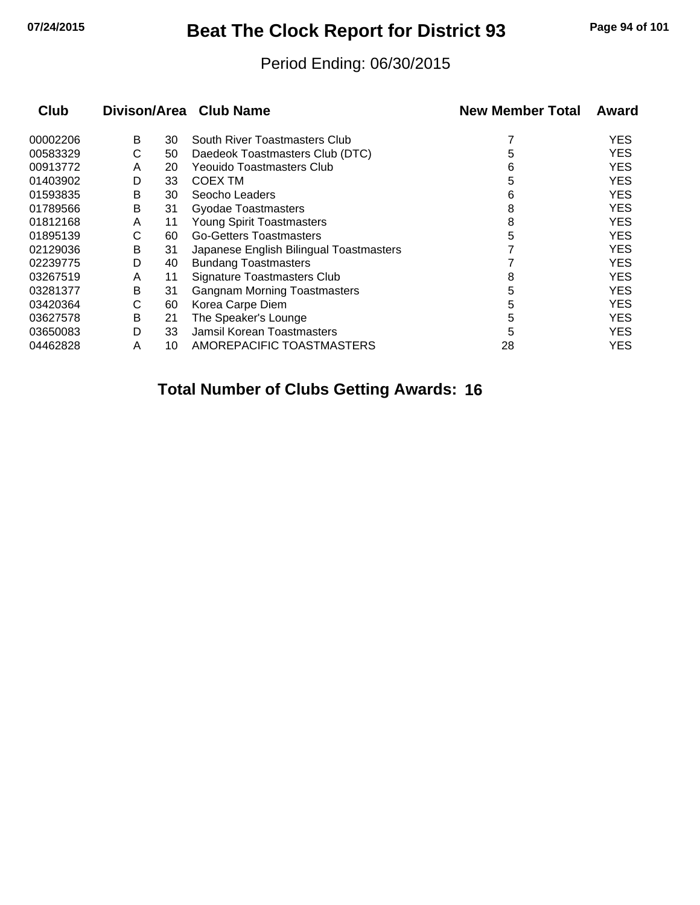## **07/24/2015 Beat The Clock Report for District 93 Page 94 of 101**

#### Period Ending: 06/30/2015

| <b>Club</b> |   |    | Divison/Area Club Name                  | <b>New Member Total</b> | Award      |
|-------------|---|----|-----------------------------------------|-------------------------|------------|
| 00002206    | В | 30 | South River Toastmasters Club           |                         | <b>YES</b> |
| 00583329    | С | 50 | Daedeok Toastmasters Club (DTC)         | 5                       | <b>YES</b> |
| 00913772    | A | 20 | Yeouido Toastmasters Club               | 6                       | <b>YES</b> |
| 01403902    | D | 33 | COEX TM                                 | 5                       | <b>YES</b> |
| 01593835    | В | 30 | Seocho Leaders                          | 6                       | <b>YES</b> |
| 01789566    | В | 31 | <b>Gyodae Toastmasters</b>              | 8                       | <b>YES</b> |
| 01812168    | A | 11 | Young Spirit Toastmasters               | 8                       | <b>YES</b> |
| 01895139    | С | 60 | <b>Go-Getters Toastmasters</b>          | 5                       | <b>YES</b> |
| 02129036    | В | 31 | Japanese English Bilingual Toastmasters |                         | <b>YES</b> |
| 02239775    | D | 40 | <b>Bundang Toastmasters</b>             |                         | <b>YES</b> |
| 03267519    | A | 11 | <b>Signature Toastmasters Club</b>      | 8                       | <b>YES</b> |
| 03281377    | В | 31 | <b>Gangnam Morning Toastmasters</b>     | 5                       | <b>YES</b> |
| 03420364    | С | 60 | Korea Carpe Diem                        | 5                       | <b>YES</b> |
| 03627578    | В | 21 | The Speaker's Lounge                    | 5                       | <b>YES</b> |
| 03650083    | D | 33 | Jamsil Korean Toastmasters              | 5                       | <b>YES</b> |
| 04462828    | A | 10 | AMOREPACIFIC TOASTMASTERS               | 28                      | YES.       |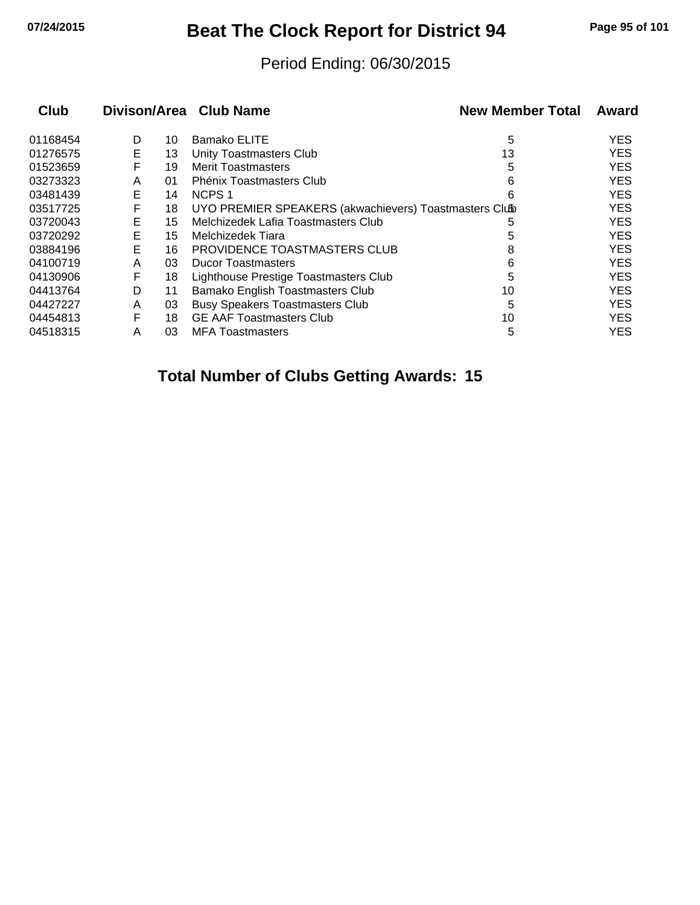## **07/24/2015 Beat The Clock Report for District 94 Page 95 of 101**

#### Period Ending: 06/30/2015

| Club     |   |    | Divison/Area Club Name                                | <b>New Member Total</b> | Award      |
|----------|---|----|-------------------------------------------------------|-------------------------|------------|
| 01168454 | D | 10 | Bamako ELITE                                          | 5                       | <b>YES</b> |
| 01276575 | E | 13 | Unity Toastmasters Club                               | 13                      | <b>YES</b> |
| 01523659 | F | 19 | <b>Merit Toastmasters</b>                             | 5                       | <b>YES</b> |
| 03273323 | A | 01 | Phénix Toastmasters Club                              | 6                       | <b>YES</b> |
| 03481439 | Е | 14 | NCPS <sub>1</sub>                                     | 6                       | <b>YES</b> |
| 03517725 | F | 18 | UYO PREMIER SPEAKERS (akwachievers) Toastmasters Club |                         | <b>YES</b> |
| 03720043 | Е | 15 | Melchizedek Lafia Toastmasters Club                   | 5                       | <b>YES</b> |
| 03720292 | Е | 15 | Melchizedek Tiara                                     | 5                       | <b>YES</b> |
| 03884196 | Е | 16 | PROVIDENCE TOASTMASTERS CLUB                          | 8                       | <b>YES</b> |
| 04100719 | A | 03 | <b>Ducor Toastmasters</b>                             | 6                       | <b>YES</b> |
| 04130906 | F | 18 | Lighthouse Prestige Toastmasters Club                 | 5                       | <b>YES</b> |
| 04413764 | D | 11 | Bamako English Toastmasters Club                      | 10                      | <b>YES</b> |
| 04427227 | A | 03 | <b>Busy Speakers Toastmasters Club</b>                | 5                       | <b>YES</b> |
| 04454813 | F | 18 | <b>GE AAF Toastmasters Club</b>                       | 10                      | <b>YES</b> |
| 04518315 | A | 03 | <b>MFA Toastmasters</b>                               | 5                       | <b>YES</b> |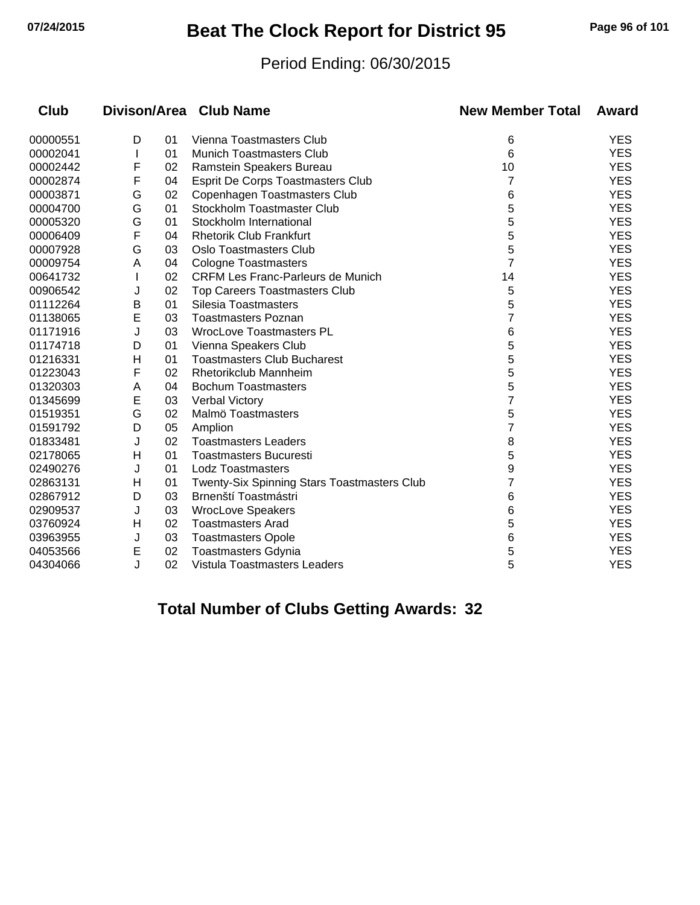## **07/24/2015 Beat The Clock Report for District 95 Page 96 of 101**

#### Period Ending: 06/30/2015

| <b>Club</b> |              |                                | Divison/Area Club Name                             | <b>New Member Total</b> | Award      |
|-------------|--------------|--------------------------------|----------------------------------------------------|-------------------------|------------|
| 00000551    | D            | 01<br>Vienna Toastmasters Club |                                                    | 6                       | <b>YES</b> |
| 00002041    | $\mathbf{I}$ | 01                             | <b>Munich Toastmasters Club</b>                    | 6                       | <b>YES</b> |
| 00002442    | F            | 02                             | Ramstein Speakers Bureau                           | 10                      | <b>YES</b> |
| 00002874    | F            | 04                             | Esprit De Corps Toastmasters Club                  | 7                       | <b>YES</b> |
| 00003871    | G            | 02                             | Copenhagen Toastmasters Club                       | 6                       | <b>YES</b> |
| 00004700    | G            | 01                             | Stockholm Toastmaster Club                         | 5                       | <b>YES</b> |
| 00005320    | G            | 01                             | Stockholm International                            | 5                       | <b>YES</b> |
| 00006409    | F            | 04                             | <b>Rhetorik Club Frankfurt</b>                     | 5                       | <b>YES</b> |
| 00007928    | G            | 03                             | <b>Oslo Toastmasters Club</b>                      | 5                       | <b>YES</b> |
| 00009754    | Α            | 04                             | <b>Cologne Toastmasters</b>                        | 7                       | <b>YES</b> |
| 00641732    |              | 02                             | <b>CRFM Les Franc-Parleurs de Munich</b>           | 14                      | <b>YES</b> |
| 00906542    | J            | 02                             | <b>Top Careers Toastmasters Club</b>               | 5                       | <b>YES</b> |
| 01112264    | В            | 01                             | Silesia Toastmasters                               | 5                       | <b>YES</b> |
| 01138065    | E            | 03                             | <b>Toastmasters Poznan</b>                         | 7                       | <b>YES</b> |
| 01171916    | J            | 03                             | <b>WrocLove Toastmasters PL</b>                    | 6                       | <b>YES</b> |
| 01174718    | D            | 01                             | Vienna Speakers Club                               | 5                       | <b>YES</b> |
| 01216331    | н            | 01                             | <b>Toastmasters Club Bucharest</b>                 | 5                       | <b>YES</b> |
| 01223043    | F            | 02                             | Rhetorikclub Mannheim                              | 5                       | <b>YES</b> |
| 01320303    | A            | 04                             | <b>Bochum Toastmasters</b>                         | 5                       | <b>YES</b> |
| 01345699    | Е            | 03                             | Verbal Victory                                     | 7                       | <b>YES</b> |
| 01519351    | G            | 02                             | Malmö Toastmasters                                 | 5                       | <b>YES</b> |
| 01591792    | D            | 05                             | Amplion                                            | 7                       | <b>YES</b> |
| 01833481    | J            | 02                             | <b>Toastmasters Leaders</b>                        | 8                       | <b>YES</b> |
| 02178065    | н            | 01                             | <b>Toastmasters Bucuresti</b>                      | 5                       | <b>YES</b> |
| 02490276    | J            | 01                             | <b>Lodz Toastmasters</b>                           | 9                       | <b>YES</b> |
| 02863131    | Н            | 01                             | <b>Twenty-Six Spinning Stars Toastmasters Club</b> | 7                       | <b>YES</b> |
| 02867912    | D            | 03                             | Brnenští Toastmástri                               | 6                       | <b>YES</b> |
| 02909537    | J            | 03                             | <b>WrocLove Speakers</b>                           | 6                       | <b>YES</b> |
| 03760924    | Н            | 02                             | <b>Toastmasters Arad</b>                           | 5                       | <b>YES</b> |
| 03963955    | J            | 03                             | <b>Toastmasters Opole</b>                          | 6                       | <b>YES</b> |
| 04053566    | E            | 02                             | <b>Toastmasters Gdynia</b>                         | 5                       | <b>YES</b> |
| 04304066    | J            | 02                             | Vistula Toastmasters Leaders                       | 5                       | <b>YES</b> |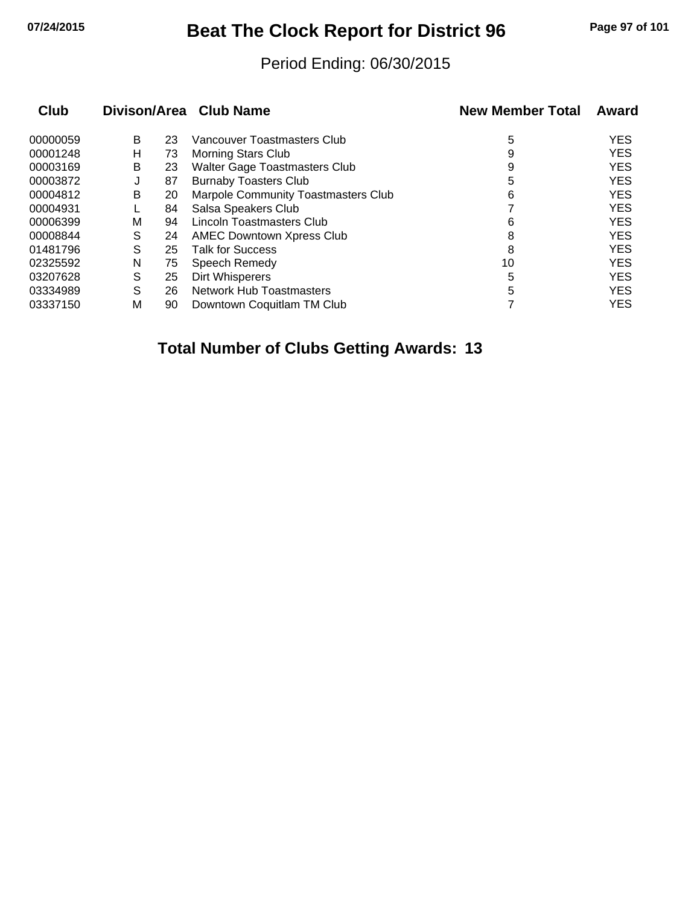## **07/24/2015 Beat The Clock Report for District 96 Page 97 of 101**

#### Period Ending: 06/30/2015

| Club     |   |    | Divison/Area Club Name                     | <b>New Member Total</b> | Award      |
|----------|---|----|--------------------------------------------|-------------------------|------------|
| 00000059 | B | 23 | Vancouver Toastmasters Club                | 5                       | <b>YES</b> |
| 00001248 | н | 73 | Morning Stars Club                         | 9                       | <b>YES</b> |
| 00003169 | В | 23 | Walter Gage Toastmasters Club              | 9                       | <b>YES</b> |
| 00003872 | J | 87 | <b>Burnaby Toasters Club</b>               | 5                       | <b>YES</b> |
| 00004812 | В | 20 | <b>Marpole Community Toastmasters Club</b> | 6                       | <b>YES</b> |
| 00004931 |   | 84 | Salsa Speakers Club                        |                         | <b>YES</b> |
| 00006399 | M | 94 | <b>Lincoln Toastmasters Club</b>           | 6                       | <b>YES</b> |
| 00008844 | S | 24 | <b>AMEC Downtown Xpress Club</b>           | 8                       | <b>YES</b> |
| 01481796 | S | 25 | <b>Talk for Success</b>                    | 8                       | <b>YES</b> |
| 02325592 | N | 75 | Speech Remedy                              | 10                      | <b>YES</b> |
| 03207628 | S | 25 | Dirt Whisperers                            | 5                       | <b>YES</b> |
| 03334989 | S | 26 | Network Hub Toastmasters                   | 5                       | <b>YES</b> |
| 03337150 | м | 90 | Downtown Coquitlam TM Club                 |                         | <b>YES</b> |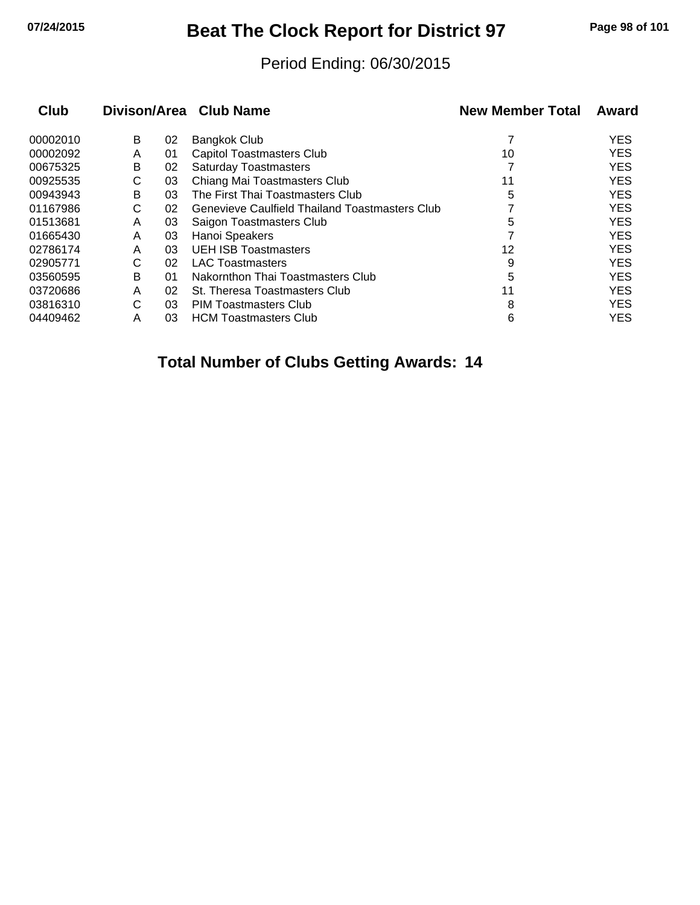# **07/24/2015 Beat The Clock Report for District 97 Page 98 of 101**

#### Period Ending: 06/30/2015

|   |    |                                                       | <b>New Member Total</b> | Award      |
|---|----|-------------------------------------------------------|-------------------------|------------|
| B | 02 | Bangkok Club                                          |                         | <b>YES</b> |
| A | 01 | Capitol Toastmasters Club                             | 10                      | <b>YES</b> |
| B | 02 | <b>Saturday Toastmasters</b>                          |                         | <b>YES</b> |
| С | 03 | Chiang Mai Toastmasters Club                          | 11                      | <b>YES</b> |
| B | 03 | The First Thai Toastmasters Club                      | 5                       | <b>YES</b> |
| C | 02 | <b>Genevieve Caulfield Thailand Toastmasters Club</b> |                         | <b>YES</b> |
| A | 03 | Saigon Toastmasters Club                              | 5                       | <b>YES</b> |
| A | 03 | Hanoi Speakers                                        |                         | <b>YES</b> |
| A | 03 | <b>UEH ISB Toastmasters</b>                           | 12                      | <b>YES</b> |
| С | 02 | <b>LAC Toastmasters</b>                               | 9                       | <b>YES</b> |
| B | 01 | Nakornthon Thai Toastmasters Club                     | 5                       | <b>YES</b> |
| A | 02 | St. Theresa Toastmasters Club                         | 11                      | <b>YES</b> |
| С | 03 | PIM Toastmasters Club                                 | 8                       | <b>YES</b> |
| Α | 03 | <b>HCM Toastmasters Club</b>                          | 6                       | <b>YES</b> |
|   |    |                                                       | Divison/Area Club Name  |            |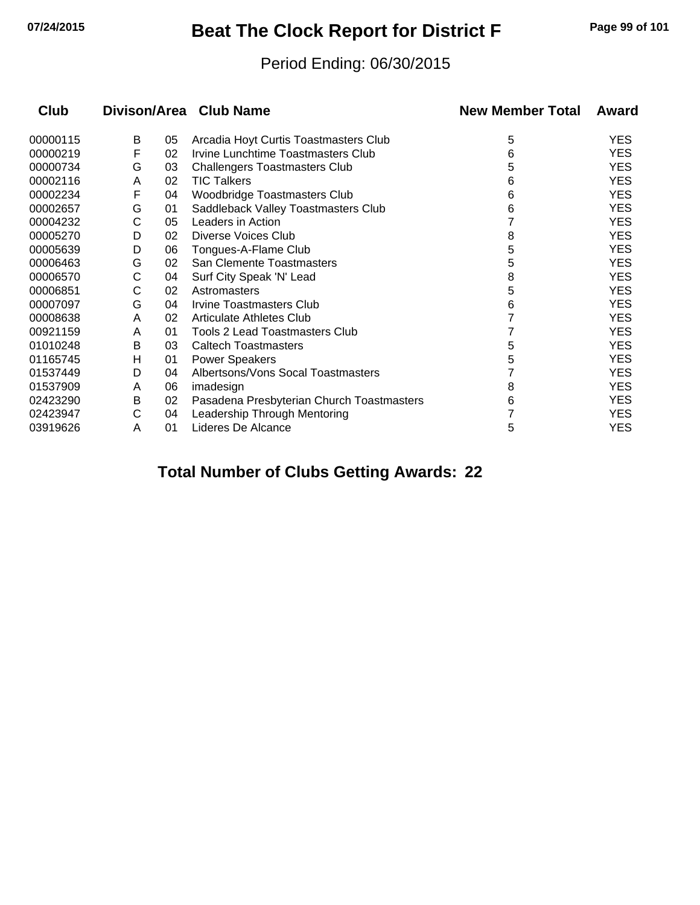# **07/24/2015 Beat The Clock Report for District F Page 99 of 101**

#### Period Ending: 06/30/2015

| <b>Club</b> | Divison/Area Club Name |    |                                           | <b>New Member Total</b> | Award      |
|-------------|------------------------|----|-------------------------------------------|-------------------------|------------|
| 00000115    | В                      | 05 | Arcadia Hoyt Curtis Toastmasters Club     | 5                       | <b>YES</b> |
| 00000219    | F                      | 02 | Irvine Lunchtime Toastmasters Club        | 6                       | YES        |
| 00000734    | G                      | 03 | <b>Challengers Toastmasters Club</b>      | 5                       | <b>YES</b> |
| 00002116    | A                      | 02 | <b>TIC Talkers</b>                        | 6                       | <b>YES</b> |
| 00002234    | F                      | 04 | Woodbridge Toastmasters Club              | 6                       | YES        |
| 00002657    | G                      | 01 | Saddleback Valley Toastmasters Club       | 6                       | <b>YES</b> |
| 00004232    | С                      | 05 | Leaders in Action                         |                         | <b>YES</b> |
| 00005270    | D                      | 02 | <b>Diverse Voices Club</b>                | 8                       | <b>YES</b> |
| 00005639    | D                      | 06 | Tongues-A-Flame Club                      | 5                       | <b>YES</b> |
| 00006463    | G                      | 02 | San Clemente Toastmasters                 | 5                       | <b>YES</b> |
| 00006570    | C                      | 04 | Surf City Speak 'N' Lead                  | 8                       | <b>YES</b> |
| 00006851    | С                      | 02 | Astromasters                              | 5                       | <b>YES</b> |
| 00007097    | G                      | 04 | Irvine Toastmasters Club                  | 6                       | <b>YES</b> |
| 00008638    | A                      | 02 | Articulate Athletes Club                  |                         | <b>YES</b> |
| 00921159    | A                      | 01 | <b>Tools 2 Lead Toastmasters Club</b>     |                         | <b>YES</b> |
| 01010248    | В                      | 03 | <b>Caltech Toastmasters</b>               | 5                       | <b>YES</b> |
| 01165745    | н                      | 01 | <b>Power Speakers</b>                     | 5                       | <b>YES</b> |
| 01537449    | D                      | 04 | Albertsons/Vons Socal Toastmasters        |                         | <b>YES</b> |
| 01537909    | A                      | 06 | imadesign                                 | 8                       | <b>YES</b> |
| 02423290    | в                      | 02 | Pasadena Presbyterian Church Toastmasters | 6                       | <b>YES</b> |
| 02423947    | С                      | 04 | Leadership Through Mentoring              |                         | <b>YES</b> |
| 03919626    | A                      | 01 | Lideres De Alcance                        | 5                       | YES        |